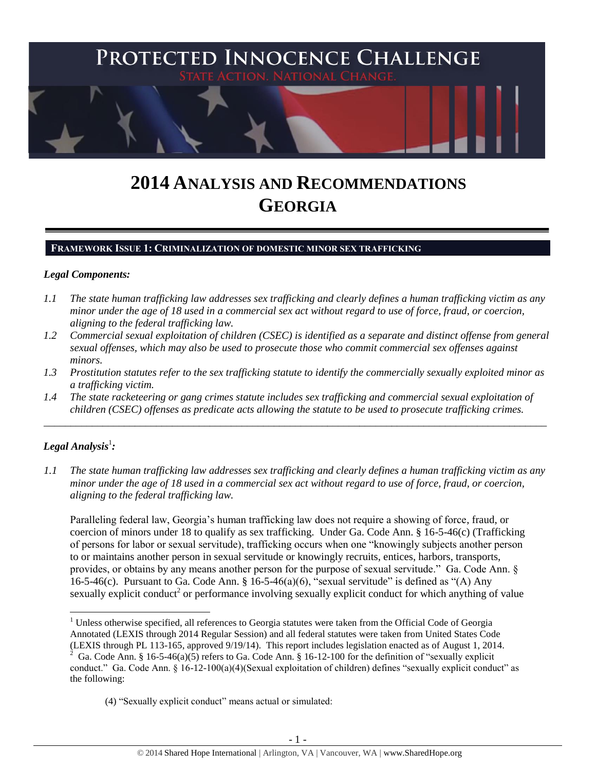

# **2014 ANALYSIS AND RECOMMENDATIONS GEORGIA**

## **FRAMEWORK ISSUE 1: CRIMINALIZATION OF DOMESTIC MINOR SEX TRAFFICKING**

#### *Legal Components:*

- *1.1 The state human trafficking law addresses sex trafficking and clearly defines a human trafficking victim as any minor under the age of 18 used in a commercial sex act without regard to use of force, fraud, or coercion, aligning to the federal trafficking law.*
- *1.2 Commercial sexual exploitation of children (CSEC) is identified as a separate and distinct offense from general sexual offenses, which may also be used to prosecute those who commit commercial sex offenses against minors.*
- *1.3 Prostitution statutes refer to the sex trafficking statute to identify the commercially sexually exploited minor as a trafficking victim.*

\_\_\_\_\_\_\_\_\_\_\_\_\_\_\_\_\_\_\_\_\_\_\_\_\_\_\_\_\_\_\_\_\_\_\_\_\_\_\_\_\_\_\_\_\_\_\_\_\_\_\_\_\_\_\_\_\_\_\_\_\_\_\_\_\_\_\_\_\_\_\_\_\_\_\_\_\_\_\_\_\_\_\_\_\_\_\_\_\_\_\_\_\_\_

*1.4 The state racketeering or gang crimes statute includes sex trafficking and commercial sexual exploitation of children (CSEC) offenses as predicate acts allowing the statute to be used to prosecute trafficking crimes.* 

# $\bm{L}$ egal Analysis $^1$ :

 $\overline{\phantom{a}}$ 

*1.1 The state human trafficking law addresses sex trafficking and clearly defines a human trafficking victim as any minor under the age of 18 used in a commercial sex act without regard to use of force, fraud, or coercion, aligning to the federal trafficking law.*

Paralleling federal law, Georgia's human trafficking law does not require a showing of force, fraud, or coercion of minors under 18 to qualify as sex trafficking. Under Ga. Code Ann. § 16-5-46(c) (Trafficking of persons for labor or sexual servitude), trafficking occurs when one "knowingly subjects another person to or maintains another person in sexual servitude or knowingly recruits, entices, harbors, transports, provides, or obtains by any means another person for the purpose of sexual servitude." Ga. Code Ann. § 16-5-46(c). Pursuant to Ga. Code Ann. § 16-5-46(a)(6), "sexual servitude" is defined as "(A) Any sexually explicit conduct<sup>2</sup> or performance involving sexually explicit conduct for which anything of value

<sup>&</sup>lt;sup>1</sup> Unless otherwise specified, all references to Georgia statutes were taken from the Official Code of Georgia Annotated (LEXIS through 2014 Regular Session) and all federal statutes were taken from United States Code (LEXIS through PL 113-165, approved 9/19/14). This report includes legislation enacted as of August 1, 2014.

<sup>2</sup> Ga. Code Ann. §  $16-5-46(a)(5)$  refers to Ga. Code Ann. § 16-12-100 for the definition of "sexually explicit conduct." Ga. Code Ann. § 16-12-100(a)(4)(Sexual exploitation of children) defines "sexually explicit conduct" as the following:

<sup>(4)</sup> "Sexually explicit conduct" means actual or simulated: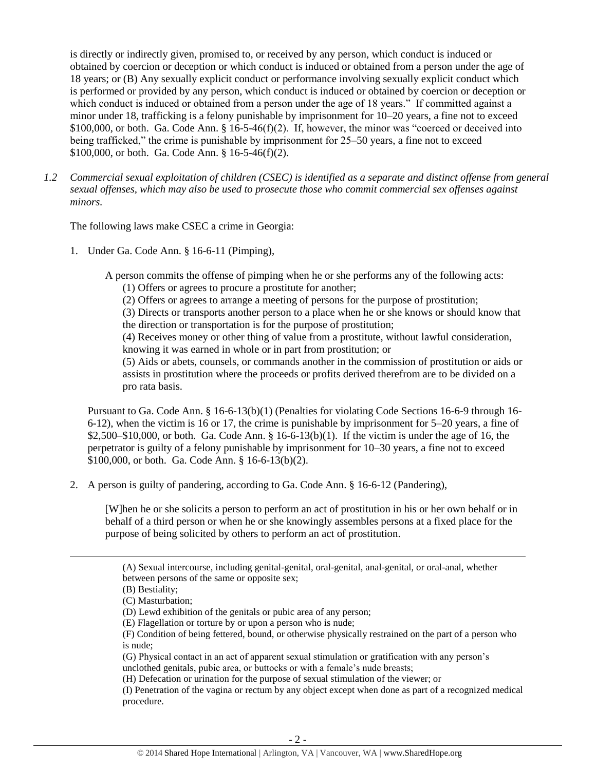is directly or indirectly given, promised to, or received by any person, which conduct is induced or obtained by coercion or deception or which conduct is induced or obtained from a person under the age of 18 years; or (B) Any sexually explicit conduct or performance involving sexually explicit conduct which is performed or provided by any person, which conduct is induced or obtained by coercion or deception or which conduct is induced or obtained from a person under the age of 18 years." If committed against a minor under 18, trafficking is a felony punishable by imprisonment for 10–20 years, a fine not to exceed \$100,000, or both. Ga. Code Ann. § 16-5-46(f)(2). If, however, the minor was "coerced or deceived into being trafficked," the crime is punishable by imprisonment for 25–50 years, a fine not to exceed \$100,000, or both. Ga. Code Ann. § 16-5-46(f)(2).

*1.2 Commercial sexual exploitation of children (CSEC) is identified as a separate and distinct offense from general sexual offenses, which may also be used to prosecute those who commit commercial sex offenses against minors.*

The following laws make CSEC a crime in Georgia:

1. Under Ga. Code Ann. § 16-6-11 (Pimping),

A person commits the offense of pimping when he or she performs any of the following acts:

(1) Offers or agrees to procure a prostitute for another;

(2) Offers or agrees to arrange a meeting of persons for the purpose of prostitution;

(3) Directs or transports another person to a place when he or she knows or should know that the direction or transportation is for the purpose of prostitution;

(4) Receives money or other thing of value from a prostitute, without lawful consideration, knowing it was earned in whole or in part from prostitution; or

(5) Aids or abets, counsels, or commands another in the commission of prostitution or aids or assists in prostitution where the proceeds or profits derived therefrom are to be divided on a pro rata basis.

Pursuant to Ga. Code Ann. § 16-6-13(b)(1) (Penalties for violating Code Sections 16-6-9 through 16- 6-12), when the victim is 16 or 17, the crime is punishable by imprisonment for 5–20 years, a fine of \$2,500–\$10,000, or both. Ga. Code Ann. § 16-6-13(b)(1). If the victim is under the age of 16, the perpetrator is guilty of a felony punishable by imprisonment for 10–30 years, a fine not to exceed \$100,000, or both. Ga. Code Ann. § 16-6-13(b)(2).

2. A person is guilty of pandering, according to Ga. Code Ann. § 16-6-12 (Pandering),

[W]hen he or she solicits a person to perform an act of prostitution in his or her own behalf or in behalf of a third person or when he or she knowingly assembles persons at a fixed place for the purpose of being solicited by others to perform an act of prostitution.

l

(G) Physical contact in an act of apparent sexual stimulation or gratification with any person's unclothed genitals, pubic area, or buttocks or with a female's nude breasts;

(H) Defecation or urination for the purpose of sexual stimulation of the viewer; or

(I) Penetration of the vagina or rectum by any object except when done as part of a recognized medical procedure.

<sup>(</sup>A) Sexual intercourse, including genital-genital, oral-genital, anal-genital, or oral-anal, whether between persons of the same or opposite sex;

<sup>(</sup>B) Bestiality;

<sup>(</sup>C) Masturbation;

<sup>(</sup>D) Lewd exhibition of the genitals or pubic area of any person;

<sup>(</sup>E) Flagellation or torture by or upon a person who is nude;

<sup>(</sup>F) Condition of being fettered, bound, or otherwise physically restrained on the part of a person who is nude;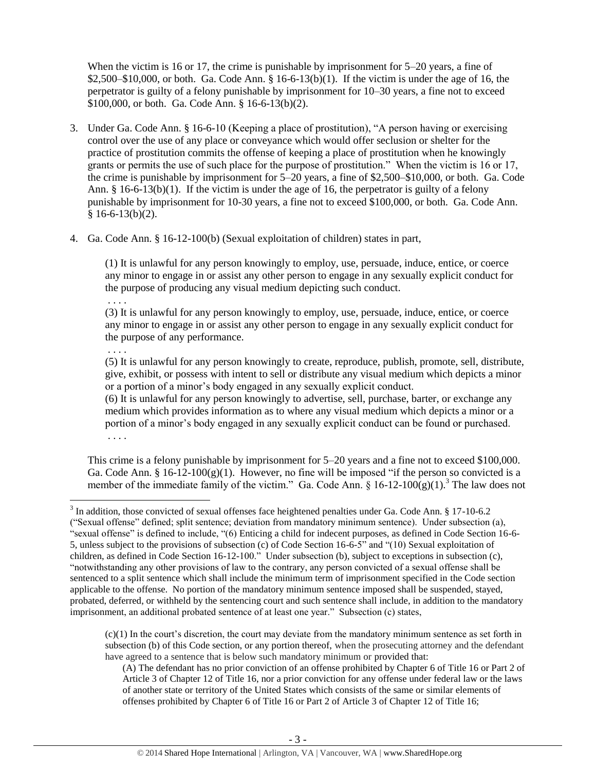When the victim is 16 or 17, the crime is punishable by imprisonment for 5–20 years, a fine of  $$2,500–$10,000$ , or both. Ga. Code Ann.  $§$  16-6-13(b)(1). If the victim is under the age of 16, the perpetrator is guilty of a felony punishable by imprisonment for 10–30 years, a fine not to exceed \$100,000, or both. Ga. Code Ann. § 16-6-13(b)(2).

- 3. Under Ga. Code Ann. § 16-6-10 (Keeping a place of prostitution), "A person having or exercising control over the use of any place or conveyance which would offer seclusion or shelter for the practice of prostitution commits the offense of keeping a place of prostitution when he knowingly grants or permits the use of such place for the purpose of prostitution." When the victim is 16 or 17, the crime is punishable by imprisonment for 5–20 years, a fine of \$2,500–\$10,000, or both. Ga. Code Ann. § 16-6-13(b)(1). If the victim is under the age of 16, the perpetrator is guilty of a felony punishable by imprisonment for 10-30 years, a fine not to exceed \$100,000, or both. Ga. Code Ann.  $§ 16-6-13(b)(2).$
- 4. Ga. Code Ann. § 16-12-100(b) (Sexual exploitation of children) states in part,

. . . .

 $\overline{a}$ 

(1) It is unlawful for any person knowingly to employ, use, persuade, induce, entice, or coerce any minor to engage in or assist any other person to engage in any sexually explicit conduct for the purpose of producing any visual medium depicting such conduct.

. . . . (3) It is unlawful for any person knowingly to employ, use, persuade, induce, entice, or coerce any minor to engage in or assist any other person to engage in any sexually explicit conduct for the purpose of any performance.

(5) It is unlawful for any person knowingly to create, reproduce, publish, promote, sell, distribute, give, exhibit, or possess with intent to sell or distribute any visual medium which depicts a minor or a portion of a minor's body engaged in any sexually explicit conduct.

(6) It is unlawful for any person knowingly to advertise, sell, purchase, barter, or exchange any medium which provides information as to where any visual medium which depicts a minor or a portion of a minor's body engaged in any sexually explicit conduct can be found or purchased. . . . .

This crime is a felony punishable by imprisonment for 5–20 years and a fine not to exceed \$100,000. Ga. Code Ann. §  $16-12-100(g)(1)$ . However, no fine will be imposed "if the person so convicted is a member of the immediate family of the victim." Ga. Code Ann.  $\S$  16-12-100 $(g)(1)$ .<sup>3</sup> The law does not

 $(c)(1)$  In the court's discretion, the court may deviate from the mandatory minimum sentence as set forth in subsection (b) of this Code section, or any portion thereof, when the prosecuting attorney and the defendant have agreed to a sentence that is below such mandatory minimum or provided that:

(A) The defendant has no prior conviction of an offense prohibited by Chapter 6 of Title 16 or Part 2 of Article 3 of Chapter 12 of Title 16, nor a prior conviction for any offense under federal law or the laws of another state or territory of the United States which consists of the same or similar elements of offenses prohibited by Chapter 6 of Title 16 or Part 2 of Article 3 of Chapter 12 of Title 16;

 $3$  In addition, those convicted of sexual offenses face heightened penalties under Ga. Code Ann. § 17-10-6.2 ("Sexual offense" defined; split sentence; deviation from mandatory minimum sentence). Under subsection (a), "sexual offense" is defined to include, "(6) Enticing a child for indecent purposes, as defined in Code Section 16-6- 5, unless subject to the provisions of subsection (c) of Code Section 16-6-5" and "(10) Sexual exploitation of children, as defined in Code Section 16-12-100." Under subsection (b), subject to exceptions in subsection (c), "notwithstanding any other provisions of law to the contrary, any person convicted of a sexual offense shall be sentenced to a split sentence which shall include the minimum term of imprisonment specified in the Code section applicable to the offense. No portion of the mandatory minimum sentence imposed shall be suspended, stayed, probated, deferred, or withheld by the sentencing court and such sentence shall include, in addition to the mandatory imprisonment, an additional probated sentence of at least one year." Subsection (c) states,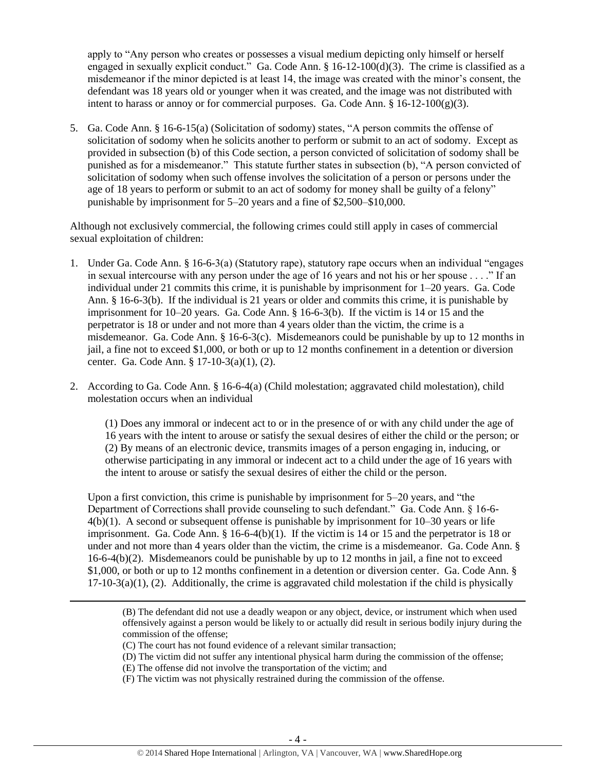apply to "Any person who creates or possesses a visual medium depicting only himself or herself engaged in sexually explicit conduct." Ga. Code Ann. § 16-12-100(d)(3). The crime is classified as a misdemeanor if the minor depicted is at least 14, the image was created with the minor's consent, the defendant was 18 years old or younger when it was created, and the image was not distributed with intent to harass or annoy or for commercial purposes. Ga. Code Ann.  $\S 16-12-100(g)(3)$ .

5. Ga. Code Ann. § 16-6-15(a) (Solicitation of sodomy) states, "A person commits the offense of solicitation of sodomy when he solicits another to perform or submit to an act of sodomy. Except as provided in subsection (b) of this Code section, a person convicted of solicitation of sodomy shall be punished as for a misdemeanor." This statute further states in subsection (b), "A person convicted of solicitation of sodomy when such offense involves the solicitation of a person or persons under the age of 18 years to perform or submit to an act of sodomy for money shall be guilty of a felony" punishable by imprisonment for 5–20 years and a fine of \$2,500–\$10,000.

Although not exclusively commercial, the following crimes could still apply in cases of commercial sexual exploitation of children:

- 1. Under Ga. Code Ann. § 16-6-3(a) (Statutory rape), statutory rape occurs when an individual "engages in sexual intercourse with any person under the age of 16 years and not his or her spouse . . . ." If an individual under 21 commits this crime, it is punishable by imprisonment for 1–20 years. Ga. Code Ann. § 16-6-3(b). If the individual is 21 years or older and commits this crime, it is punishable by imprisonment for 10–20 years. Ga. Code Ann. § 16-6-3(b). If the victim is 14 or 15 and the perpetrator is 18 or under and not more than 4 years older than the victim, the crime is a misdemeanor. Ga. Code Ann. § 16-6-3(c). Misdemeanors could be punishable by up to 12 months in jail, a fine not to exceed \$1,000, or both or up to 12 months confinement in a detention or diversion center. Ga. Code Ann. § 17-10-3(a)(1), (2).
- 2. According to Ga. Code Ann. § 16-6-4(a) (Child molestation; aggravated child molestation), child molestation occurs when an individual

(1) Does any immoral or indecent act to or in the presence of or with any child under the age of 16 years with the intent to arouse or satisfy the sexual desires of either the child or the person; or (2) By means of an electronic device, transmits images of a person engaging in, inducing, or otherwise participating in any immoral or indecent act to a child under the age of 16 years with the intent to arouse or satisfy the sexual desires of either the child or the person.

Upon a first conviction, this crime is punishable by imprisonment for 5–20 years, and "the Department of Corrections shall provide counseling to such defendant." Ga. Code Ann. § 16-6- 4(b)(1). A second or subsequent offense is punishable by imprisonment for 10–30 years or life imprisonment. Ga. Code Ann.  $\S 16-6-4(b)(1)$ . If the victim is 14 or 15 and the perpetrator is 18 or under and not more than 4 years older than the victim, the crime is a misdemeanor. Ga. Code Ann. §  $16-6-4(b)(2)$ . Misdemeanors could be punishable by up to 12 months in jail, a fine not to exceed \$1,000, or both or up to 12 months confinement in a detention or diversion center. Ga. Code Ann. §  $17-10-3(a)(1)$ , (2). Additionally, the crime is aggravated child molestation if the child is physically

l

(F) The victim was not physically restrained during the commission of the offense.

<sup>(</sup>B) The defendant did not use a deadly weapon or any object, device, or instrument which when used offensively against a person would be likely to or actually did result in serious bodily injury during the commission of the offense;

<sup>(</sup>C) The court has not found evidence of a relevant similar transaction;

<sup>(</sup>D) The victim did not suffer any intentional physical harm during the commission of the offense;

<sup>(</sup>E) The offense did not involve the transportation of the victim; and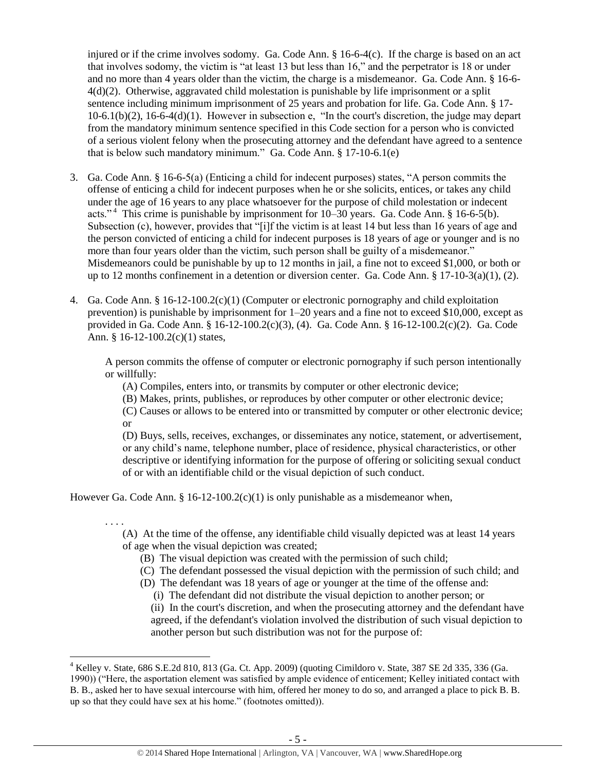injured or if the crime involves sodomy. Ga. Code Ann. § 16-6-4(c). If the charge is based on an act that involves sodomy, the victim is "at least 13 but less than 16," and the perpetrator is 18 or under and no more than 4 years older than the victim, the charge is a misdemeanor. Ga. Code Ann. § 16-6- 4(d)(2). Otherwise, aggravated child molestation is punishable by life imprisonment or a split sentence including minimum imprisonment of 25 years and probation for life. Ga. Code Ann. § 17- 10-6.1(b)(2), 16-6-4(d)(1). However in subsection e, "In the court's discretion, the judge may depart from the mandatory minimum sentence specified in this Code section for a person who is convicted of a serious violent felony when the prosecuting attorney and the defendant have agreed to a sentence that is below such mandatory minimum." Ga. Code Ann. § 17-10-6.1(e)

- 3. Ga. Code Ann. § 16-6-5(a) (Enticing a child for indecent purposes) states, "A person commits the offense of enticing a child for indecent purposes when he or she solicits, entices, or takes any child under the age of 16 years to any place whatsoever for the purpose of child molestation or indecent acts."<sup>4</sup> This crime is punishable by imprisonment for  $10-30$  years. Ga. Code Ann. § 16-6-5(b). Subsection (c), however, provides that "[i]f the victim is at least 14 but less than 16 years of age and the person convicted of enticing a child for indecent purposes is 18 years of age or younger and is no more than four years older than the victim, such person shall be guilty of a misdemeanor." Misdemeanors could be punishable by up to 12 months in jail, a fine not to exceed \$1,000, or both or up to 12 months confinement in a detention or diversion center. Ga. Code Ann.  $\S 17$ -10-3(a)(1), (2).
- 4. Ga. Code Ann. § 16-12-100.2(c)(1) (Computer or electronic pornography and child exploitation prevention) is punishable by imprisonment for 1–20 years and a fine not to exceed \$10,000, except as provided in Ga. Code Ann. § 16-12-100.2(c)(3), (4). Ga. Code Ann. § 16-12-100.2(c)(2). Ga. Code Ann. § 16-12-100.2(c)(1) states,

A person commits the offense of computer or electronic pornography if such person intentionally or willfully:

(A) Compiles, enters into, or transmits by computer or other electronic device;

(B) Makes, prints, publishes, or reproduces by other computer or other electronic device;

(C) Causes or allows to be entered into or transmitted by computer or other electronic device; or

(D) Buys, sells, receives, exchanges, or disseminates any notice, statement, or advertisement, or any child's name, telephone number, place of residence, physical characteristics, or other descriptive or identifying information for the purpose of offering or soliciting sexual conduct of or with an identifiable child or the visual depiction of such conduct.

However Ga. Code Ann. § 16-12-100.2(c)(1) is only punishable as a misdemeanor when,

 $\overline{\phantom{a}}$ 

. . . . (A) At the time of the offense, any identifiable child visually depicted was at least 14 years of age when the visual depiction was created;

- (B) The visual depiction was created with the permission of such child;
- (C) The defendant possessed the visual depiction with the permission of such child; and
- (D) The defendant was 18 years of age or younger at the time of the offense and:
	- (i) The defendant did not distribute the visual depiction to another person; or

(ii) In the court's discretion, and when the prosecuting attorney and the defendant have agreed, if the defendant's violation involved the distribution of such visual depiction to another person but such distribution was not for the purpose of:

 $^4$  Kelley v. State, 686 S.E.2d 810, 813 (Ga. Ct. App. 2009) (quoting Cimildoro v. State, 387 SE 2d 335, 336 (Ga. 1990)) ("Here, the asportation element was satisfied by ample evidence of enticement; Kelley initiated contact with B. B., asked her to have sexual intercourse with him, offered her money to do so, and arranged a place to pick B. B. up so that they could have sex at his home." (footnotes omitted)).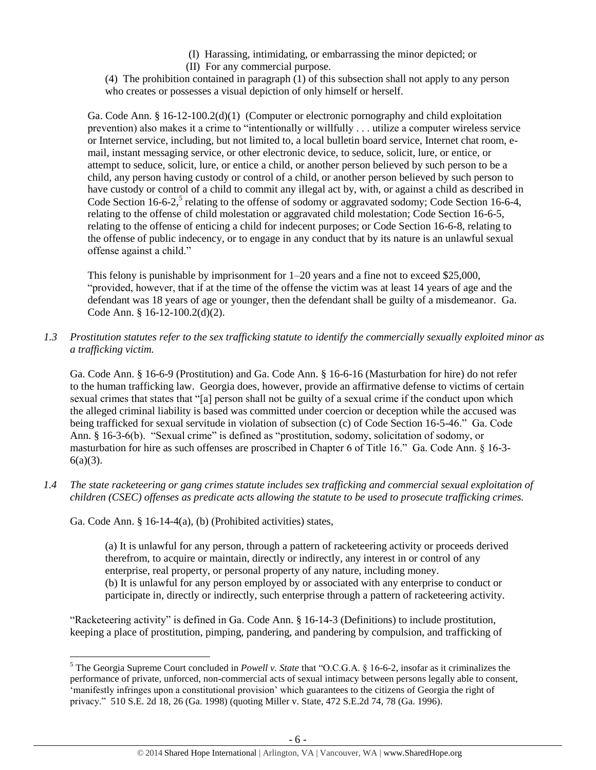- (I) Harassing, intimidating, or embarrassing the minor depicted; or
- (II) For any commercial purpose.

(4) The prohibition contained in paragraph (1) of this subsection shall not apply to any person who creates or possesses a visual depiction of only himself or herself.

Ga. Code Ann. § 16-12-100.2(d)(1) (Computer or electronic pornography and child exploitation prevention) also makes it a crime to "intentionally or willfully . . . utilize a computer wireless service or Internet service, including, but not limited to, a local bulletin board service, Internet chat room, email, instant messaging service, or other electronic device, to seduce, solicit, lure, or entice, or attempt to seduce, solicit, lure, or entice a child, or another person believed by such person to be a child, any person having custody or control of a child, or another person believed by such person to have custody or control of a child to commit any illegal act by, with, or against a child as described in Code Section 16-6-2,<sup>5</sup> relating to the offense of sodomy or aggravated sodomy; Code Section 16-6-4, relating to the offense of child molestation or aggravated child molestation; Code Section 16-6-5, relating to the offense of enticing a child for indecent purposes; or Code Section 16-6-8, relating to the offense of public indecency, or to engage in any conduct that by its nature is an unlawful sexual offense against a child."

<span id="page-5-0"></span>This felony is punishable by imprisonment for  $1-20$  years and a fine not to exceed \$25,000, "provided, however, that if at the time of the offense the victim was at least 14 years of age and the defendant was 18 years of age or younger, then the defendant shall be guilty of a misdemeanor. Ga. Code Ann. § 16-12-100.2(d)(2).

*1.3 Prostitution statutes refer to the sex trafficking statute to identify the commercially sexually exploited minor as a trafficking victim.* 

Ga. Code Ann. § 16-6-9 (Prostitution) and Ga. Code Ann. § 16-6-16 (Masturbation for hire) do not refer to the human trafficking law. Georgia does, however, provide an affirmative defense to victims of certain sexual crimes that states that "[a] person shall not be guilty of a sexual crime if the conduct upon which the alleged criminal liability is based was committed under coercion or deception while the accused was being trafficked for sexual servitude in violation of subsection (c) of Code Section 16-5-46." Ga. Code Ann. § 16-3-6(b). "Sexual crime" is defined as "prostitution, sodomy, solicitation of sodomy, or masturbation for hire as such offenses are proscribed in Chapter 6 of Title 16." Ga. Code Ann. § 16-3-  $6(a)(3)$ .

*1.4 The state racketeering or gang crimes statute includes sex trafficking and commercial sexual exploitation of children (CSEC) offenses as predicate acts allowing the statute to be used to prosecute trafficking crimes.* 

Ga. Code Ann. § 16-14-4(a), (b) (Prohibited activities) states,

(a) It is unlawful for any person, through a pattern of racketeering activity or proceeds derived therefrom, to acquire or maintain, directly or indirectly, any interest in or control of any enterprise, real property, or personal property of any nature, including money. (b) It is unlawful for any person employed by or associated with any enterprise to conduct or participate in, directly or indirectly, such enterprise through a pattern of racketeering activity.

"Racketeering activity" is defined in Ga. Code Ann. § 16-14-3 (Definitions) to include prostitution, keeping a place of prostitution, pimping, pandering, and pandering by compulsion, and trafficking of

 $\overline{\phantom{a}}$ <sup>5</sup> The Georgia Supreme Court concluded in *Powell v. State* that "O.C.G.A. § 16-6-2, insofar as it criminalizes the performance of private, unforced, non-commercial acts of sexual intimacy between persons legally able to consent, 'manifestly infringes upon a constitutional provision' which guarantees to the citizens of Georgia the right of privacy." 510 S.E. 2d 18, 26 (Ga. 1998) (quoting Miller v. State, 472 S.E.2d 74, 78 (Ga. 1996).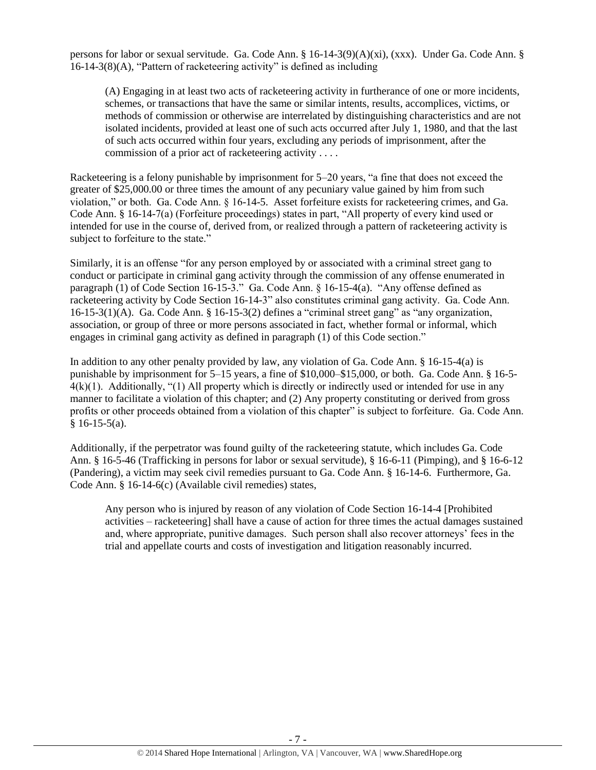persons for labor or sexual servitude. Ga. Code Ann. § 16-14-3(9)(A)(xi), (xxx). Under Ga. Code Ann. § 16-14-3(8)(A), "Pattern of racketeering activity" is defined as including

(A) Engaging in at least two acts of racketeering activity in furtherance of one or more incidents, schemes, or transactions that have the same or similar intents, results, accomplices, victims, or methods of commission or otherwise are interrelated by distinguishing characteristics and are not isolated incidents, provided at least one of such acts occurred after July 1, 1980, and that the last of such acts occurred within four years, excluding any periods of imprisonment, after the commission of a prior act of racketeering activity . . . .

Racketeering is a felony punishable by imprisonment for 5–20 years, "a fine that does not exceed the greater of \$25,000.00 or three times the amount of any pecuniary value gained by him from such violation," or both. Ga. Code Ann. § 16-14-5. Asset forfeiture exists for racketeering crimes, and Ga. Code Ann. § 16-14-7(a) (Forfeiture proceedings) states in part, "All property of every kind used or intended for use in the course of, derived from, or realized through a pattern of racketeering activity is subject to forfeiture to the state."

Similarly, it is an offense "for any person employed by or associated with a criminal street gang to conduct or participate in criminal gang activity through the commission of any offense enumerated in paragraph (1) of Code Section 16-15-3." Ga. Code Ann. § 16-15-4(a). "Any offense defined as racketeering activity by Code Section 16-14-3" also constitutes criminal gang activity. Ga. Code Ann. 16-15-3(1)(A). Ga. Code Ann. § 16-15-3(2) defines a "criminal street gang" as "any organization, association, or group of three or more persons associated in fact, whether formal or informal, which engages in criminal gang activity as defined in paragraph (1) of this Code section."

In addition to any other penalty provided by law, any violation of Ga. Code Ann. § 16-15-4(a) is punishable by imprisonment for 5–15 years, a fine of \$10,000–\$15,000, or both. Ga. Code Ann. § 16-5-  $4(k)(1)$ . Additionally, "(1) All property which is directly or indirectly used or intended for use in any manner to facilitate a violation of this chapter; and (2) Any property constituting or derived from gross profits or other proceeds obtained from a violation of this chapter" is subject to forfeiture. Ga. Code Ann.  $§ 16-15-5(a).$ 

Additionally, if the perpetrator was found guilty of the racketeering statute, which includes Ga. Code Ann. § 16-5-46 (Trafficking in persons for labor or sexual servitude), § 16-6-11 (Pimping), and § 16-6-12 (Pandering), a victim may seek civil remedies pursuant to Ga. Code Ann. § 16-14-6. Furthermore, Ga. Code Ann. § 16-14-6(c) (Available civil remedies) states,

Any person who is injured by reason of any violation of Code Section 16-14-4 [Prohibited activities – racketeering] shall have a cause of action for three times the actual damages sustained and, where appropriate, punitive damages. Such person shall also recover attorneys' fees in the trial and appellate courts and costs of investigation and litigation reasonably incurred.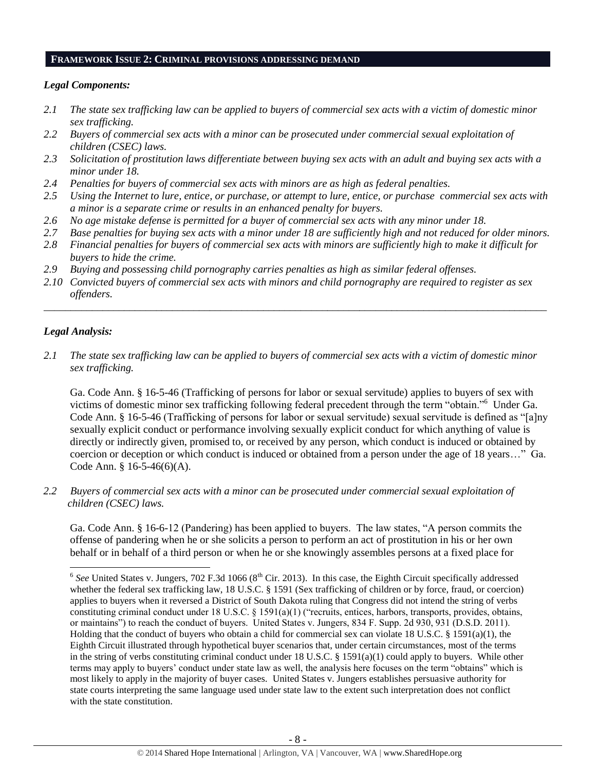#### **FRAMEWORK ISSUE 2: CRIMINAL PROVISIONS ADDRESSING DEMAND**

# *Legal Components:*

- *2.1 The state sex trafficking law can be applied to buyers of commercial sex acts with a victim of domestic minor sex trafficking.*
- *2.2 Buyers of commercial sex acts with a minor can be prosecuted under commercial sexual exploitation of children (CSEC) laws.*
- *2.3 Solicitation of prostitution laws differentiate between buying sex acts with an adult and buying sex acts with a minor under 18.*
- *2.4 Penalties for buyers of commercial sex acts with minors are as high as federal penalties.*
- *2.5 Using the Internet to lure, entice, or purchase, or attempt to lure, entice, or purchase commercial sex acts with a minor is a separate crime or results in an enhanced penalty for buyers.*
- *2.6 No age mistake defense is permitted for a buyer of commercial sex acts with any minor under 18.*
- *2.7 Base penalties for buying sex acts with a minor under 18 are sufficiently high and not reduced for older minors.*
- *2.8 Financial penalties for buyers of commercial sex acts with minors are sufficiently high to make it difficult for buyers to hide the crime.*
- *2.9 Buying and possessing child pornography carries penalties as high as similar federal offenses.*
- *2.10 Convicted buyers of commercial sex acts with minors and child pornography are required to register as sex offenders.*

\_\_\_\_\_\_\_\_\_\_\_\_\_\_\_\_\_\_\_\_\_\_\_\_\_\_\_\_\_\_\_\_\_\_\_\_\_\_\_\_\_\_\_\_\_\_\_\_\_\_\_\_\_\_\_\_\_\_\_\_\_\_\_\_\_\_\_\_\_\_\_\_\_\_\_\_\_\_\_\_\_\_\_\_\_\_\_\_\_\_\_\_\_\_

# *Legal Analysis:*

*2.1 The state sex trafficking law can be applied to buyers of commercial sex acts with a victim of domestic minor sex trafficking.* 

Ga. Code Ann. § 16-5-46 (Trafficking of persons for labor or sexual servitude) applies to buyers of sex with victims of domestic minor sex trafficking following federal precedent through the term "obtain."<sup>6</sup> Under Ga. Code Ann. § 16-5-46 (Trafficking of persons for labor or sexual servitude) sexual servitude is defined as "[a]ny sexually explicit conduct or performance involving sexually explicit conduct for which anything of value is directly or indirectly given, promised to, or received by any person, which conduct is induced or obtained by coercion or deception or which conduct is induced or obtained from a person under the age of 18 years…" Ga. Code Ann. § 16-5-46(6)(A).

*2.2 Buyers of commercial sex acts with a minor can be prosecuted under commercial sexual exploitation of children (CSEC) laws.*

Ga. Code Ann. § 16-6-12 (Pandering) has been applied to buyers. The law states, "A person commits the offense of pandering when he or she solicits a person to perform an act of prostitution in his or her own behalf or in behalf of a third person or when he or she knowingly assembles persons at a fixed place for

<sup>&</sup>lt;sup>6</sup> See United States v. Jungers, 702 F.3d 1066 (8<sup>th</sup> Cir. 2013). In this case, the Eighth Circuit specifically addressed whether the federal sex trafficking law, 18 U.S.C. § 1591 (Sex trafficking of children or by force, fraud, or coercion) applies to buyers when it reversed a District of South Dakota ruling that Congress did not intend the string of verbs constituting criminal conduct under 18 U.S.C. § 1591(a)(1) ("recruits, entices, harbors, transports, provides, obtains, or maintains") to reach the conduct of buyers. United States v. Jungers, 834 F. Supp. 2d 930, 931 (D.S.D. 2011). Holding that the conduct of buyers who obtain a child for commercial sex can violate 18 U.S.C. § 1591(a)(1), the Eighth Circuit illustrated through hypothetical buyer scenarios that, under certain circumstances, most of the terms in the string of verbs constituting criminal conduct under 18 U.S.C. § 1591(a)(1) could apply to buyers. While other terms may apply to buyers' conduct under state law as well, the analysis here focuses on the term "obtains" which is most likely to apply in the majority of buyer cases. United States v. Jungers establishes persuasive authority for state courts interpreting the same language used under state law to the extent such interpretation does not conflict with the state constitution.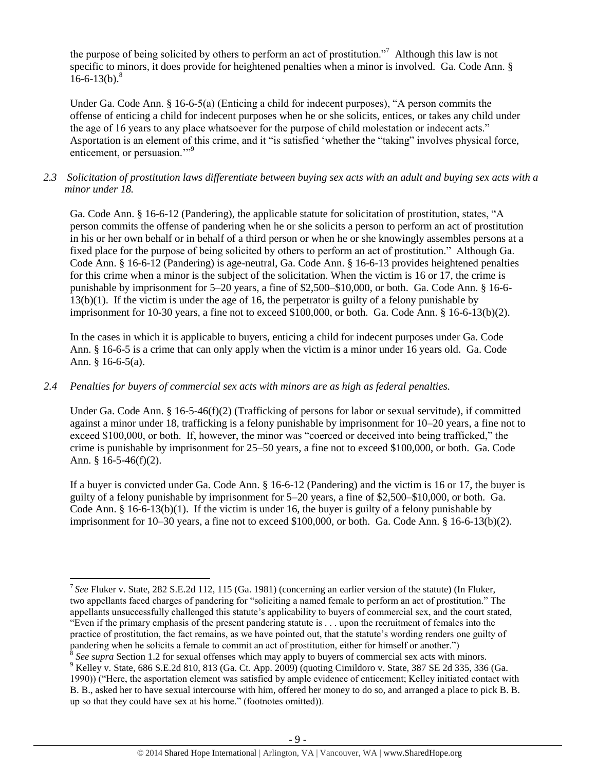the purpose of being solicited by others to perform an act of prostitution."<sup>7</sup> Although this law is not specific to minors, it does provide for heightened penalties when a minor is involved. Ga. Code Ann. §  $16-6-13(b)^8$ 

Under Ga. Code Ann. § 16-6-5(a) (Enticing a child for indecent purposes), "A person commits the offense of enticing a child for indecent purposes when he or she solicits, entices, or takes any child under the age of 16 years to any place whatsoever for the purpose of child molestation or indecent acts." Asportation is an element of this crime, and it "is satisfied 'whether the "taking" involves physical force, enticement, or persuasion."<sup>9</sup>

# *2.3 Solicitation of prostitution laws differentiate between buying sex acts with an adult and buying sex acts with a minor under 18.*

Ga. Code Ann. § 16-6-12 (Pandering), the applicable statute for solicitation of prostitution, states, "A person commits the offense of pandering when he or she solicits a person to perform an act of prostitution in his or her own behalf or in behalf of a third person or when he or she knowingly assembles persons at a fixed place for the purpose of being solicited by others to perform an act of prostitution." Although Ga. Code Ann. § 16-6-12 (Pandering) is age-neutral, Ga. Code Ann. § 16-6-13 provides heightened penalties for this crime when a minor is the subject of the solicitation. When the victim is 16 or 17, the crime is punishable by imprisonment for 5–20 years, a fine of \$2,500–\$10,000, or both. Ga. Code Ann. § 16-6- 13(b)(1). If the victim is under the age of 16, the perpetrator is guilty of a felony punishable by imprisonment for 10-30 years, a fine not to exceed \$100,000, or both. Ga. Code Ann. § 16-6-13(b)(2).

In the cases in which it is applicable to buyers, enticing a child for indecent purposes under Ga. Code Ann. § 16-6-5 is a crime that can only apply when the victim is a minor under 16 years old. Ga. Code Ann. § 16-6-5(a).

## *2.4 Penalties for buyers of commercial sex acts with minors are as high as federal penalties.*

Under Ga. Code Ann. § 16-5-46(f)(2) (Trafficking of persons for labor or sexual servitude), if committed against a minor under 18, trafficking is a felony punishable by imprisonment for 10–20 years, a fine not to exceed \$100,000, or both. If, however, the minor was "coerced or deceived into being trafficked," the crime is punishable by imprisonment for 25–50 years, a fine not to exceed \$100,000, or both. Ga. Code Ann. § 16-5-46(f)(2).

If a buyer is convicted under Ga. Code Ann. § 16-6-12 (Pandering) and the victim is 16 or 17, the buyer is guilty of a felony punishable by imprisonment for 5–20 years, a fine of \$2,500–\$10,000, or both. Ga. Code Ann. § 16-6-13(b)(1). If the victim is under 16, the buyer is guilty of a felony punishable by imprisonment for 10–30 years, a fine not to exceed \$100,000, or both. Ga. Code Ann. § 16-6-13(b)(2).

 $\overline{\phantom{a}}$ 7 *See* Fluker v. State, 282 S.E.2d 112, 115 (Ga. 1981) (concerning an earlier version of the statute) (In Fluker, two appellants faced charges of pandering for "soliciting a named female to perform an act of prostitution." The appellants unsuccessfully challenged this statute's applicability to buyers of commercial sex, and the court stated, "Even if the primary emphasis of the present pandering statute is . . . upon the recruitment of females into the practice of prostitution, the fact remains, as we have pointed out, that the statute's wording renders one guilty of pandering when he solicits a female to commit an act of prostitution, either for himself or another.")

*See supra* Section 1.2 for sexual offenses which may apply to buyers of commercial sex acts with minors. 9 See supra Section 1.2 for sexual offenses which hay upply to expert of commercial set also that the matter of  $\frac{1}{2}$  Kelley v. State, 686 S.E.2d 810, 813 (Ga. Ct. App. 2009) (quoting Cimildoro v. State, 387 SE 2d 335, 1990)) ("Here, the asportation element was satisfied by ample evidence of enticement; Kelley initiated contact with B. B., asked her to have sexual intercourse with him, offered her money to do so, and arranged a place to pick B. B. up so that they could have sex at his home." (footnotes omitted)).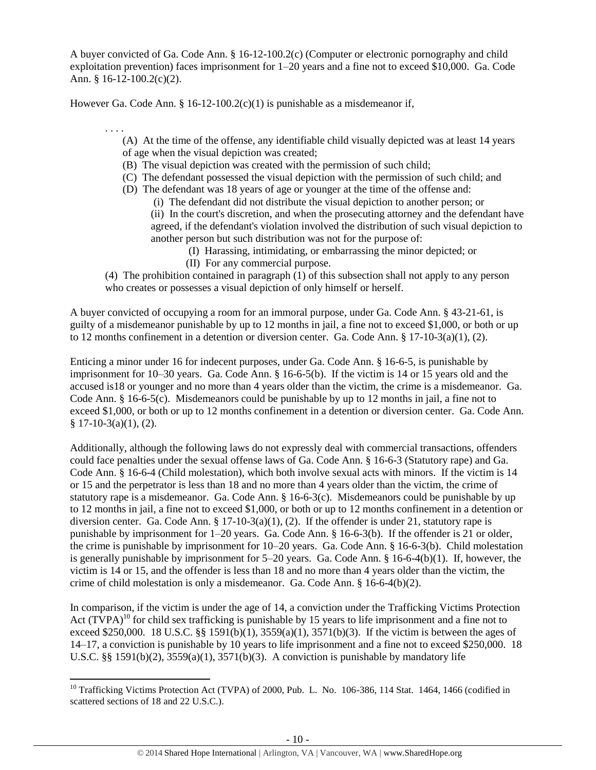A buyer convicted of Ga. Code Ann. § 16-12-100.2(c) (Computer or electronic pornography and child exploitation prevention) faces imprisonment for 1–20 years and a fine not to exceed \$10,000. Ga. Code Ann. § 16-12-100.2(c)(2).

However Ga. Code Ann. § 16-12-100.2(c)(1) is punishable as a misdemeanor if,

. . . .

 $\overline{\phantom{a}}$ 

(A) At the time of the offense, any identifiable child visually depicted was at least 14 years of age when the visual depiction was created;

- (B) The visual depiction was created with the permission of such child;
- (C) The defendant possessed the visual depiction with the permission of such child; and
- (D) The defendant was 18 years of age or younger at the time of the offense and:
	- (i) The defendant did not distribute the visual depiction to another person; or

(ii) In the court's discretion, and when the prosecuting attorney and the defendant have agreed, if the defendant's violation involved the distribution of such visual depiction to another person but such distribution was not for the purpose of:

(I) Harassing, intimidating, or embarrassing the minor depicted; or (II) For any commercial purpose.

(4) The prohibition contained in paragraph (1) of this subsection shall not apply to any person who creates or possesses a visual depiction of only himself or herself.

A buyer convicted of occupying a room for an immoral purpose, under Ga. Code Ann. § 43-21-61, is guilty of a misdemeanor punishable by up to 12 months in jail, a fine not to exceed \$1,000, or both or up to 12 months confinement in a detention or diversion center. Ga. Code Ann.  $\S 17$ -10-3(a)(1), (2).

Enticing a minor under 16 for indecent purposes, under Ga. Code Ann. § 16-6-5, is punishable by imprisonment for 10–30 years. Ga. Code Ann. § 16-6-5(b). If the victim is 14 or 15 years old and the accused is18 or younger and no more than 4 years older than the victim, the crime is a misdemeanor. Ga. Code Ann. § 16-6-5(c). Misdemeanors could be punishable by up to 12 months in jail, a fine not to exceed \$1,000, or both or up to 12 months confinement in a detention or diversion center. Ga. Code Ann.  $§ 17-10-3(a)(1), (2).$ 

Additionally, although the following laws do not expressly deal with commercial transactions, offenders could face penalties under the sexual offense laws of Ga. Code Ann. § 16-6-3 (Statutory rape) and Ga. Code Ann. § 16-6-4 (Child molestation), which both involve sexual acts with minors. If the victim is 14 or 15 and the perpetrator is less than 18 and no more than 4 years older than the victim, the crime of statutory rape is a misdemeanor. Ga. Code Ann. § 16-6-3(c). Misdemeanors could be punishable by up to 12 months in jail, a fine not to exceed \$1,000, or both or up to 12 months confinement in a detention or diversion center. Ga. Code Ann. §  $17-10-3(a)(1)$ , (2). If the offender is under 21, statutory rape is punishable by imprisonment for 1–20 years. Ga. Code Ann. § 16-6-3(b). If the offender is 21 or older, the crime is punishable by imprisonment for 10–20 years. Ga. Code Ann. § 16-6-3(b). Child molestation is generally punishable by imprisonment for 5–20 years. Ga. Code Ann. § 16-6-4(b)(1). If, however, the victim is 14 or 15, and the offender is less than 18 and no more than 4 years older than the victim, the crime of child molestation is only a misdemeanor. Ga. Code Ann. § 16-6-4(b)(2).

<span id="page-9-0"></span>In comparison, if the victim is under the age of 14, a conviction under the Trafficking Victims Protection Act  $(T\hat{V}PA)^{10}$  for child sex trafficking is punishable by 15 years to life imprisonment and a fine not to exceed \$250,000. 18 U.S.C. §§ 1591(b)(1), 3559(a)(1), 3571(b)(3). If the victim is between the ages of 14–17, a conviction is punishable by 10 years to life imprisonment and a fine not to exceed \$250,000. 18 U.S.C. §§ 1591(b)(2),  $3559(a)(1)$ ,  $3571(b)(3)$ . A conviction is punishable by mandatory life

<sup>&</sup>lt;sup>10</sup> Trafficking Victims Protection Act (TVPA) of 2000, Pub. L. No. 106-386, 114 Stat. 1464, 1466 (codified in scattered sections of 18 and 22 U.S.C.).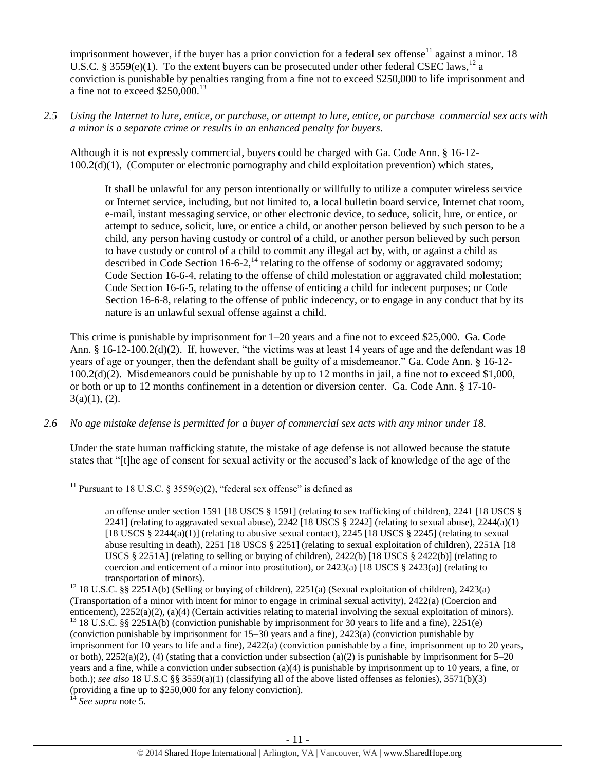imprisonment however, if the buyer has a prior conviction for a federal sex offense<sup>11</sup> against a minor. 18 U.S.C. § 3559(e)(1). To the extent buyers can be prosecuted under other federal CSEC laws,<sup>12</sup> a conviction is punishable by penalties ranging from a fine not to exceed \$250,000 to life imprisonment and a fine not to exceed  $$250,000$ .<sup>13</sup>

*2.5 Using the Internet to lure, entice, or purchase, or attempt to lure, entice, or purchase commercial sex acts with a minor is a separate crime or results in an enhanced penalty for buyers.*

Although it is not expressly commercial, buyers could be charged with Ga. Code Ann. § 16-12- 100.2(d)(1), (Computer or electronic pornography and child exploitation prevention) which states,

<span id="page-10-0"></span>It shall be unlawful for any person intentionally or willfully to utilize a computer wireless service or Internet service, including, but not limited to, a local bulletin board service, Internet chat room, e-mail, instant messaging service, or other electronic device, to seduce, solicit, lure, or entice, or attempt to seduce, solicit, lure, or entice a child, or another person believed by such person to be a child, any person having custody or control of a child, or another person believed by such person to have custody or control of a child to commit any illegal act by, with, or against a child as described in Code Section 16-6-2,<sup>14</sup> relating to the offense of sodomy or aggravated sodomy; Code Section 16-6-4, relating to the offense of child molestation or aggravated child molestation; Code Section 16-6-5, relating to the offense of enticing a child for indecent purposes; or Code Section 16-6-8, relating to the offense of public indecency, or to engage in any conduct that by its nature is an unlawful sexual offense against a child.

This crime is punishable by imprisonment for 1–20 years and a fine not to exceed \$25,000. Ga. Code Ann. § 16-12-100.2(d)(2). If, however, "the victims was at least 14 years of age and the defendant was 18 years of age or younger, then the defendant shall be guilty of a misdemeanor." Ga. Code Ann. § 16-12- 100.2(d)(2). Misdemeanors could be punishable by up to 12 months in jail, a fine not to exceed \$1,000, or both or up to 12 months confinement in a detention or diversion center. Ga. Code Ann. § 17-10-  $3(a)(1)$ , (2).

*2.6 No age mistake defense is permitted for a buyer of commercial sex acts with any minor under 18.*

Under the state human trafficking statute, the mistake of age defense is not allowed because the statute states that "[t]he age of consent for sexual activity or the accused's lack of knowledge of the age of the

 $\overline{\phantom{a}}$ <sup>11</sup> Pursuant to 18 U.S.C. § 3559(e)(2), "federal sex offense" is defined as

an offense under section 1591 [18 USCS § 1591] (relating to sex trafficking of children), 2241 [18 USCS § 2241] (relating to aggravated sexual abuse),  $2242$  [18 USCS § 2242] (relating to sexual abuse),  $2244(a)(1)$ [18 USCS § 2244(a)(1)] (relating to abusive sexual contact), 2245 [18 USCS § 2245] (relating to sexual abuse resulting in death), 2251 [18 USCS § 2251] (relating to sexual exploitation of children), 2251A [18 USCS § 2251A] (relating to selling or buying of children), 2422(b) [18 USCS § 2422(b)] (relating to coercion and enticement of a minor into prostitution), or  $2423(a)$  [18 USCS §  $2423(a)$ ] (relating to transportation of minors).

<sup>12</sup> 18 U.S.C. §§ 2251A(b) (Selling or buying of children), 2251(a) (Sexual exploitation of children), 2423(a) (Transportation of a minor with intent for minor to engage in criminal sexual activity), 2422(a) (Coercion and enticement), 2252(a)(2), (a)(4) (Certain activities relating to material involving the sexual exploitation of minors). <sup>13</sup> 18 U.S.C. §§ 2251A(b) (conviction punishable by imprisonment for 30 years to life and a fine), 2251(e) (conviction punishable by imprisonment for 15–30 years and a fine), 2423(a) (conviction punishable by imprisonment for 10 years to life and a fine), 2422(a) (conviction punishable by a fine, imprisonment up to 20 years, or both),  $2252(a)(2)$ , (4) (stating that a conviction under subsection (a)(2) is punishable by imprisonment for 5–20 years and a fine, while a conviction under subsection (a)(4) is punishable by imprisonment up to 10 years, a fine, or both.); *see also* 18 U.S.C §§ 3559(a)(1) (classifying all of the above listed offenses as felonies), 3571(b)(3) (providing a fine up to \$250,000 for any felony conviction).

<sup>14</sup> *See supra* note [5.](#page-5-0)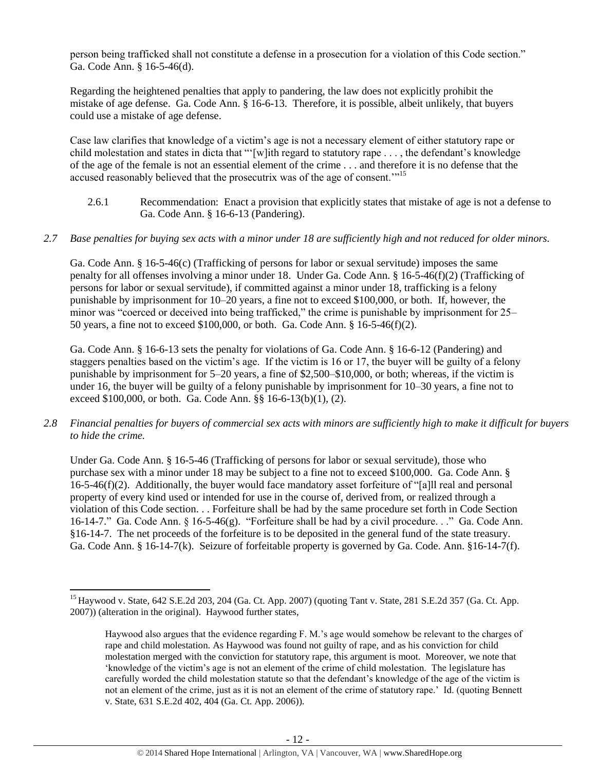person being trafficked shall not constitute a defense in a prosecution for a violation of this Code section." Ga. Code Ann. § 16-5-46(d).

Regarding the heightened penalties that apply to pandering, the law does not explicitly prohibit the mistake of age defense. Ga. Code Ann. § 16-6-13. Therefore, it is possible, albeit unlikely, that buyers could use a mistake of age defense.

Case law clarifies that knowledge of a victim's age is not a necessary element of either statutory rape or child molestation and states in dicta that "'[w]ith regard to statutory rape . . . , the defendant's knowledge of the age of the female is not an essential element of the crime . . . and therefore it is no defense that the accused reasonably believed that the prosecutrix was of the age of consent."<sup>15</sup>

2.6.1 Recommendation: Enact a provision that explicitly states that mistake of age is not a defense to Ga. Code Ann. § 16-6-13 (Pandering).

# *2.7 Base penalties for buying sex acts with a minor under 18 are sufficiently high and not reduced for older minors.*

Ga. Code Ann. § 16-5-46(c) (Trafficking of persons for labor or sexual servitude) imposes the same penalty for all offenses involving a minor under 18. Under Ga. Code Ann. § 16-5-46(f)(2) (Trafficking of persons for labor or sexual servitude), if committed against a minor under 18, trafficking is a felony punishable by imprisonment for 10–20 years, a fine not to exceed \$100,000, or both. If, however, the minor was "coerced or deceived into being trafficked," the crime is punishable by imprisonment for 25– 50 years, a fine not to exceed \$100,000, or both. Ga. Code Ann. § 16-5-46(f)(2).

Ga. Code Ann. § 16-6-13 sets the penalty for violations of Ga. Code Ann. § 16-6-12 (Pandering) and staggers penalties based on the victim's age. If the victim is 16 or 17, the buyer will be guilty of a felony punishable by imprisonment for 5–20 years, a fine of \$2,500–\$10,000, or both; whereas, if the victim is under 16, the buyer will be guilty of a felony punishable by imprisonment for 10–30 years, a fine not to exceed \$100,000, or both. Ga. Code Ann. §§ 16-6-13(b)(1), (2).

*2.8 Financial penalties for buyers of commercial sex acts with minors are sufficiently high to make it difficult for buyers to hide the crime.*

Under Ga. Code Ann. § 16-5-46 (Trafficking of persons for labor or sexual servitude), those who purchase sex with a minor under 18 may be subject to a fine not to exceed \$100,000. Ga. Code Ann. § 16-5-46(f)(2). Additionally, the buyer would face mandatory asset forfeiture of "[a]ll real and personal property of every kind used or intended for use in the course of, derived from, or realized through a violation of this Code section. . . Forfeiture shall be had by the same procedure set forth in Code Section 16-14-7." Ga. Code Ann. § 16-5-46(g). "Forfeiture shall be had by a civil procedure. . ." Ga. Code Ann. §16-14-7. The net proceeds of the forfeiture is to be deposited in the general fund of the state treasury. Ga. Code Ann. § 16-14-7(k). Seizure of forfeitable property is governed by Ga. Code. Ann. §16-14-7(f).

 $\overline{\phantom{a}}$ <sup>15</sup> Haywood v. State, 642 S.E.2d 203, 204 (Ga. Ct. App. 2007) (quoting Tant v. State, 281 S.E.2d 357 (Ga. Ct. App. 2007)) (alteration in the original). Haywood further states,

Haywood also argues that the evidence regarding F. M.'s age would somehow be relevant to the charges of rape and child molestation. As Haywood was found not guilty of rape, and as his conviction for child molestation merged with the conviction for statutory rape, this argument is moot. Moreover, we note that 'knowledge of the victim's age is not an element of the crime of child molestation. The legislature has carefully worded the child molestation statute so that the defendant's knowledge of the age of the victim is not an element of the crime, just as it is not an element of the crime of statutory rape.' Id. (quoting Bennett v. State, 631 S.E.2d 402, 404 (Ga. Ct. App. 2006)).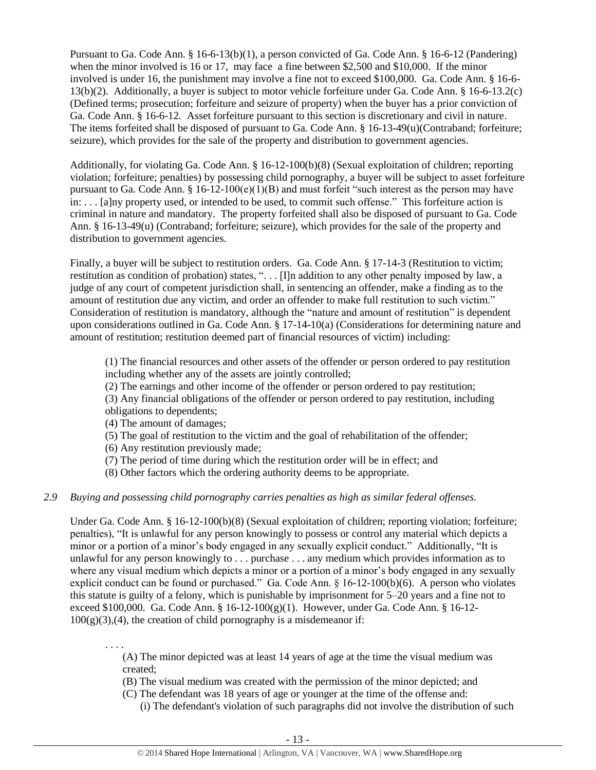Pursuant to Ga. Code Ann. § 16-6-13(b)(1), a person convicted of Ga. Code Ann. § 16-6-12 (Pandering) when the minor involved is 16 or 17, may face a fine between \$2,500 and \$10,000. If the minor involved is under 16, the punishment may involve a fine not to exceed \$100,000. Ga. Code Ann. § 16-6- 13(b)(2). Additionally, a buyer is subject to motor vehicle forfeiture under Ga. Code Ann. § 16-6-13.2(c) (Defined terms; prosecution; forfeiture and seizure of property) when the buyer has a prior conviction of Ga. Code Ann. § 16-6-12. Asset forfeiture pursuant to this section is discretionary and civil in nature. The items forfeited shall be disposed of pursuant to Ga. Code Ann. § 16-13-49(u)(Contraband; forfeiture; seizure), which provides for the sale of the property and distribution to government agencies.

Additionally, for violating Ga. Code Ann. § 16-12-100(b)(8) (Sexual exploitation of children; reporting violation; forfeiture; penalties) by possessing child pornography, a buyer will be subject to asset forfeiture pursuant to Ga. Code Ann. § 16-12-100(e)(1)(B) and must forfeit "such interest as the person may have in: . . . [a]ny property used, or intended to be used, to commit such offense." This forfeiture action is criminal in nature and mandatory. The property forfeited shall also be disposed of pursuant to Ga. Code Ann. § 16-13-49(u) (Contraband; forfeiture; seizure), which provides for the sale of the property and distribution to government agencies.

Finally, a buyer will be subject to restitution orders. Ga. Code Ann. § 17-14-3 (Restitution to victim; restitution as condition of probation) states, ". . . [I]n addition to any other penalty imposed by law, a judge of any court of competent jurisdiction shall, in sentencing an offender, make a finding as to the amount of restitution due any victim, and order an offender to make full restitution to such victim." Consideration of restitution is mandatory, although the "nature and amount of restitution" is dependent upon considerations outlined in Ga. Code Ann. § 17-14-10(a) (Considerations for determining nature and amount of restitution; restitution deemed part of financial resources of victim) including:

(1) The financial resources and other assets of the offender or person ordered to pay restitution including whether any of the assets are jointly controlled;

(2) The earnings and other income of the offender or person ordered to pay restitution;

(3) Any financial obligations of the offender or person ordered to pay restitution, including obligations to dependents;

- (4) The amount of damages;
- (5) The goal of restitution to the victim and the goal of rehabilitation of the offender;

(6) Any restitution previously made;

- (7) The period of time during which the restitution order will be in effect; and
- (8) Other factors which the ordering authority deems to be appropriate.

## *2.9 Buying and possessing child pornography carries penalties as high as similar federal offenses.*

Under Ga. Code Ann. § 16-12-100(b)(8) (Sexual exploitation of children; reporting violation; forfeiture; penalties), "It is unlawful for any person knowingly to possess or control any material which depicts a minor or a portion of a minor's body engaged in any sexually explicit conduct." Additionally, "It is unlawful for any person knowingly to . . . purchase . . . any medium which provides information as to where any visual medium which depicts a minor or a portion of a minor's body engaged in any sexually explicit conduct can be found or purchased." Ga. Code Ann. § 16-12-100(b)(6). A person who violates this statute is guilty of a felony, which is punishable by imprisonment for 5–20 years and a fine not to exceed \$100,000. Ga. Code Ann. §  $16-12-100(g)(1)$ . However, under Ga. Code Ann. § 16-12- $100(g)(3)$ , (4), the creation of child pornography is a misdemeanor if:

. . . . (A) The minor depicted was at least 14 years of age at the time the visual medium was created;

(B) The visual medium was created with the permission of the minor depicted; and

- (C) The defendant was 18 years of age or younger at the time of the offense and:
	- (i) The defendant's violation of such paragraphs did not involve the distribution of such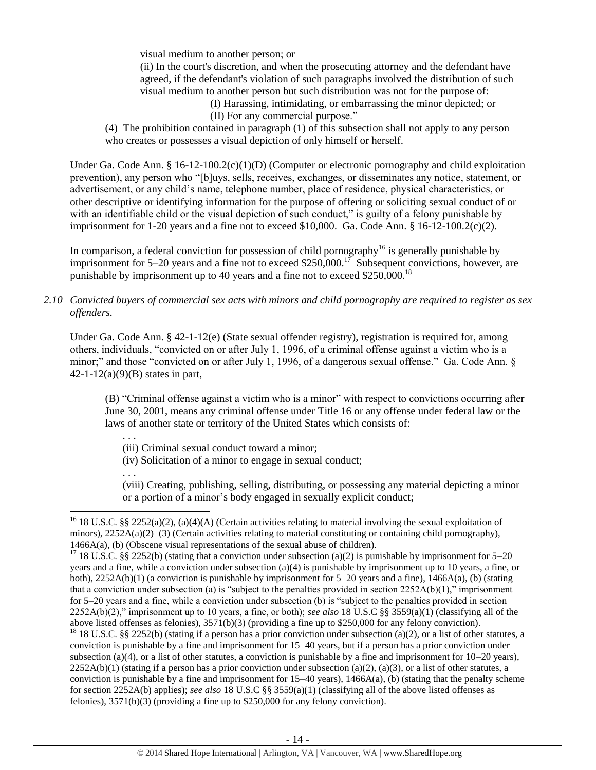visual medium to another person; or

(ii) In the court's discretion, and when the prosecuting attorney and the defendant have agreed, if the defendant's violation of such paragraphs involved the distribution of such visual medium to another person but such distribution was not for the purpose of:

(I) Harassing, intimidating, or embarrassing the minor depicted; or (II) For any commercial purpose."

(4) The prohibition contained in paragraph (1) of this subsection shall not apply to any person who creates or possesses a visual depiction of only himself or herself.

Under Ga. Code Ann. § 16-12-100.2(c)(1)(D) (Computer or electronic pornography and child exploitation prevention), any person who "[b]uys, sells, receives, exchanges, or disseminates any notice, statement, or advertisement, or any child's name, telephone number, place of residence, physical characteristics, or other descriptive or identifying information for the purpose of offering or soliciting sexual conduct of or with an identifiable child or the visual depiction of such conduct," is guilty of a felony punishable by imprisonment for 1-20 years and a fine not to exceed \$10,000. Ga. Code Ann.  $\S$  16-12-100.2(c)(2).

In comparison, a federal conviction for possession of child pornography<sup>16</sup> is generally punishable by imprisonment for 5–20 years and a fine not to exceed \$250,000.<sup>17</sup> Subsequent convictions, however, are punishable by imprisonment up to 40 years and a fine not to exceed \$250,000.<sup>18</sup>

## *2.10 Convicted buyers of commercial sex acts with minors and child pornography are required to register as sex offenders.*

Under Ga. Code Ann. § 42-1-12(e) (State sexual offender registry), registration is required for, among others, individuals, "convicted on or after July 1, 1996, of a criminal offense against a victim who is a minor;" and those "convicted on or after July 1, 1996, of a dangerous sexual offense." Ga. Code Ann. § 42-1-12(a)(9)(B) states in part,

(B) "Criminal offense against a victim who is a minor" with respect to convictions occurring after June 30, 2001, means any criminal offense under Title 16 or any offense under federal law or the laws of another state or territory of the United States which consists of:

- . . .
- (iii) Criminal sexual conduct toward a minor;
- (iv) Solicitation of a minor to engage in sexual conduct;
- . . .

 $\overline{\phantom{a}}$ 

(viii) Creating, publishing, selling, distributing, or possessing any material depicting a minor or a portion of a minor's body engaged in sexually explicit conduct;

<sup>18</sup> 18 U.S.C. §§ 2252(b) (stating if a person has a prior conviction under subsection (a)(2), or a list of other statutes, a conviction is punishable by a fine and imprisonment for 15–40 years, but if a person has a prior conviction under subsection (a)(4), or a list of other statutes, a conviction is punishable by a fine and imprisonment for  $10-20$  years),  $2252A(b)(1)$  (stating if a person has a prior conviction under subsection (a)(2), (a)(3), or a list of other statutes, a conviction is punishable by a fine and imprisonment for  $15-40$  years),  $1466A(a)$ , (b) (stating that the penalty scheme for section 2252A(b) applies); *see also* 18 U.S.C §§ 3559(a)(1) (classifying all of the above listed offenses as felonies), 3571(b)(3) (providing a fine up to \$250,000 for any felony conviction).

<sup>&</sup>lt;sup>16</sup> 18 U.S.C. §§ 2252(a)(2), (a)(4)(A) (Certain activities relating to material involving the sexual exploitation of minors), 2252A(a)(2)–(3) (Certain activities relating to material constituting or containing child pornography), 1466A(a), (b) (Obscene visual representations of the sexual abuse of children).

<sup>&</sup>lt;sup>17</sup> 18 U.S.C. §§ 2252(b) (stating that a conviction under subsection (a)(2) is punishable by imprisonment for 5–20 years and a fine, while a conviction under subsection (a)(4) is punishable by imprisonment up to 10 years, a fine, or both), 2252A(b)(1) (a conviction is punishable by imprisonment for 5–20 years and a fine), 1466A(a), (b) (stating that a conviction under subsection (a) is "subject to the penalties provided in section  $2252A(b)(1)$ ," imprisonment for 5–20 years and a fine, while a conviction under subsection (b) is "subject to the penalties provided in section 2252A(b)(2)," imprisonment up to 10 years, a fine, or both); *see also* 18 U.S.C §§ 3559(a)(1) (classifying all of the above listed offenses as felonies), 3571(b)(3) (providing a fine up to \$250,000 for any felony conviction).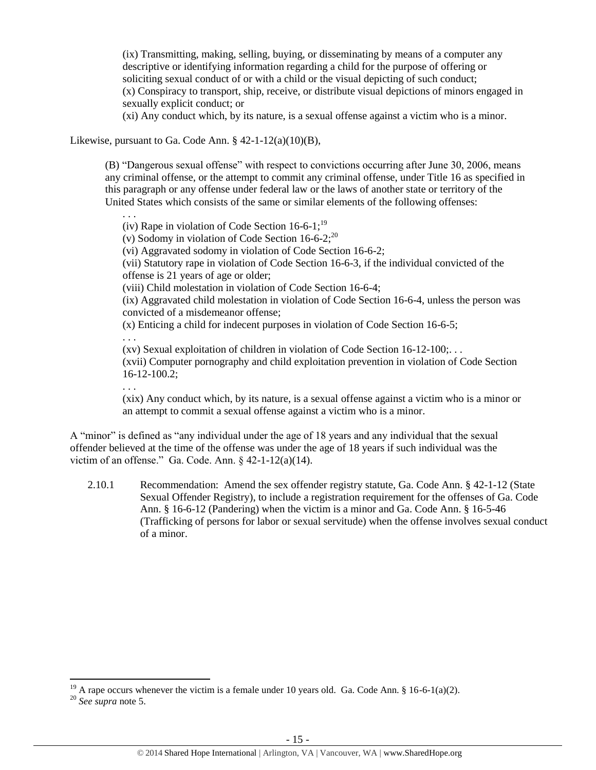(ix) Transmitting, making, selling, buying, or disseminating by means of a computer any descriptive or identifying information regarding a child for the purpose of offering or soliciting sexual conduct of or with a child or the visual depicting of such conduct; (x) Conspiracy to transport, ship, receive, or distribute visual depictions of minors engaged in sexually explicit conduct; or

(xi) Any conduct which, by its nature, is a sexual offense against a victim who is a minor.

Likewise, pursuant to Ga. Code Ann.  $§$  42-1-12(a)(10)(B),

(B) "Dangerous sexual offense" with respect to convictions occurring after June 30, 2006, means any criminal offense, or the attempt to commit any criminal offense, under Title 16 as specified in this paragraph or any offense under federal law or the laws of another state or territory of the United States which consists of the same or similar elements of the following offenses:

. . . (iv) Rape in violation of Code Section  $16-6-1$ ;<sup>19</sup>

(v) Sodomy in violation of Code Section  $16-6-2$ ;<sup>20</sup>

<span id="page-14-0"></span>(vi) Aggravated sodomy in violation of Code Section 16-6-2;

(vii) Statutory rape in violation of Code Section 16-6-3, if the individual convicted of the offense is 21 years of age or older;

(viii) Child molestation in violation of Code Section 16-6-4;

(ix) Aggravated child molestation in violation of Code Section 16-6-4, unless the person was convicted of a misdemeanor offense;

(x) Enticing a child for indecent purposes in violation of Code Section 16-6-5;

. . .

(xv) Sexual exploitation of children in violation of Code Section 16-12-100;. . .

(xvii) Computer pornography and child exploitation prevention in violation of Code Section 16-12-100.2;

. . .

(xix) Any conduct which, by its nature, is a sexual offense against a victim who is a minor or an attempt to commit a sexual offense against a victim who is a minor.

A "minor" is defined as "any individual under the age of 18 years and any individual that the sexual offender believed at the time of the offense was under the age of 18 years if such individual was the victim of an offense." Ga. Code. Ann. § 42-1-12(a)(14).

2.10.1 Recommendation: Amend the sex offender registry statute, Ga. Code Ann. § 42-1-12 (State Sexual Offender Registry), to include a registration requirement for the offenses of Ga. Code Ann. § 16-6-12 (Pandering) when the victim is a minor and Ga. Code Ann. § 16-5-46 (Trafficking of persons for labor or sexual servitude) when the offense involves sexual conduct of a minor.

 $\overline{\phantom{a}}$ 

<sup>&</sup>lt;sup>19</sup> A rape occurs whenever the victim is a female under 10 years old. Ga. Code Ann. § 16-6-1(a)(2).

<sup>20</sup> *See supra* note [5.](#page-5-0)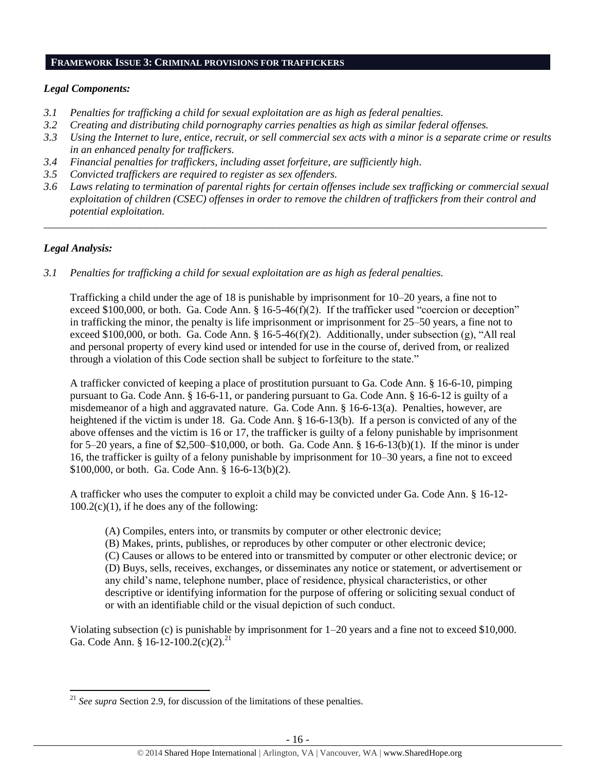#### **FRAMEWORK ISSUE 3: CRIMINAL PROVISIONS FOR TRAFFICKERS**

# *Legal Components:*

- *3.1 Penalties for trafficking a child for sexual exploitation are as high as federal penalties.*
- *3.2 Creating and distributing child pornography carries penalties as high as similar federal offenses.*
- *3.3 Using the Internet to lure, entice, recruit, or sell commercial sex acts with a minor is a separate crime or results in an enhanced penalty for traffickers.*
- *3.4 Financial penalties for traffickers, including asset forfeiture, are sufficiently high*.
- *3.5 Convicted traffickers are required to register as sex offenders.*
- *3.6 Laws relating to termination of parental rights for certain offenses include sex trafficking or commercial sexual exploitation of children (CSEC) offenses in order to remove the children of traffickers from their control and potential exploitation.*

*\_\_\_\_\_\_\_\_\_\_\_\_\_\_\_\_\_\_\_\_\_\_\_\_\_\_\_\_\_\_\_\_\_\_\_\_\_\_\_\_\_\_\_\_\_\_\_\_\_\_\_\_\_\_\_\_\_\_\_\_\_\_\_\_\_\_\_\_\_\_\_\_\_\_\_\_\_\_\_\_\_\_\_\_\_\_\_\_\_\_\_\_\_\_*

# *Legal Analysis:*

 $\overline{\phantom{a}}$ 

*3.1 Penalties for trafficking a child for sexual exploitation are as high as federal penalties.* 

Trafficking a child under the age of 18 is punishable by imprisonment for 10–20 years, a fine not to exceed \$100,000, or both. Ga. Code Ann. § 16-5-46(f)(2). If the trafficker used "coercion or deception" in trafficking the minor, the penalty is life imprisonment or imprisonment for 25–50 years, a fine not to exceed \$100,000, or both. Ga. Code Ann. § 16-5-46(f)(2). Additionally, under subsection (g), "All real and personal property of every kind used or intended for use in the course of, derived from, or realized through a violation of this Code section shall be subject to forfeiture to the state."

A trafficker convicted of keeping a place of prostitution pursuant to Ga. Code Ann. § 16-6-10, pimping pursuant to Ga. Code Ann. § 16-6-11, or pandering pursuant to Ga. Code Ann. § 16-6-12 is guilty of a misdemeanor of a high and aggravated nature. Ga. Code Ann. § 16-6-13(a). Penalties, however, are heightened if the victim is under 18. Ga. Code Ann. § 16-6-13(b). If a person is convicted of any of the above offenses and the victim is 16 or 17, the trafficker is guilty of a felony punishable by imprisonment for 5–20 years, a fine of  $$2,500–$10,000$ , or both. Ga. Code Ann. § 16-6-13(b)(1). If the minor is under 16, the trafficker is guilty of a felony punishable by imprisonment for 10–30 years, a fine not to exceed \$100,000, or both. Ga. Code Ann. § 16-6-13(b)(2).

A trafficker who uses the computer to exploit a child may be convicted under Ga. Code Ann. § 16-12-  $100.2(c)(1)$ , if he does any of the following:

- (A) Compiles, enters into, or transmits by computer or other electronic device;
- (B) Makes, prints, publishes, or reproduces by other computer or other electronic device;

(C) Causes or allows to be entered into or transmitted by computer or other electronic device; or (D) Buys, sells, receives, exchanges, or disseminates any notice or statement, or advertisement or any child's name, telephone number, place of residence, physical characteristics, or other descriptive or identifying information for the purpose of offering or soliciting sexual conduct of or with an identifiable child or the visual depiction of such conduct.

Violating subsection (c) is punishable by imprisonment for 1–20 years and a fine not to exceed \$10,000. Ga. Code Ann. § 16-12-100.2(c)(2).<sup>21</sup>

<sup>&</sup>lt;sup>21</sup> *See supra* Section 2.9, for discussion of the limitations of these penalties.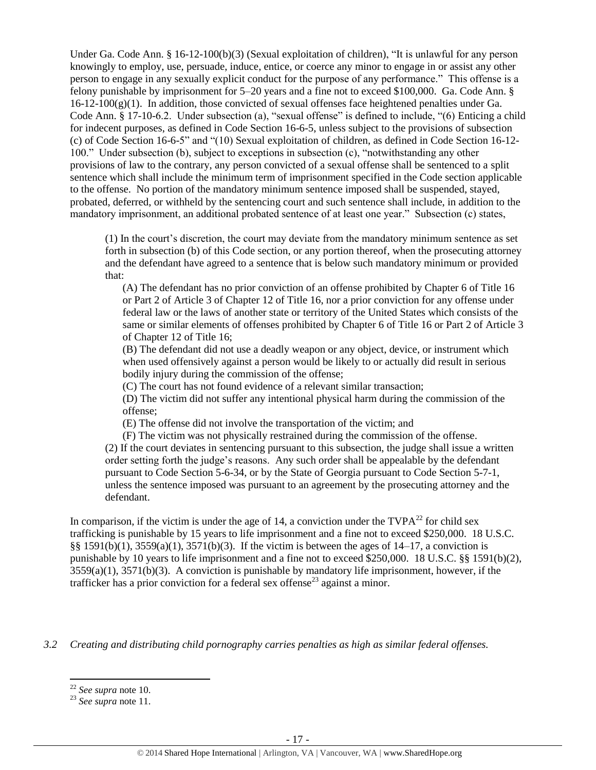Under Ga. Code Ann. § 16-12-100(b)(3) (Sexual exploitation of children), "It is unlawful for any person knowingly to employ, use, persuade, induce, entice, or coerce any minor to engage in or assist any other person to engage in any sexually explicit conduct for the purpose of any performance." This offense is a felony punishable by imprisonment for 5–20 years and a fine not to exceed \$100,000. Ga. Code Ann. §  $16-12-100(g)(1)$ . In addition, those convicted of sexual offenses face heightened penalties under Ga. Code Ann. § 17-10-6.2. Under subsection (a), "sexual offense" is defined to include, "(6) Enticing a child for indecent purposes, as defined in Code Section 16-6-5, unless subject to the provisions of subsection (c) of Code Section 16-6-5" and "(10) Sexual exploitation of children, as defined in Code Section 16-12- 100." Under subsection (b), subject to exceptions in subsection (c), "notwithstanding any other provisions of law to the contrary, any person convicted of a sexual offense shall be sentenced to a split sentence which shall include the minimum term of imprisonment specified in the Code section applicable to the offense. No portion of the mandatory minimum sentence imposed shall be suspended, stayed, probated, deferred, or withheld by the sentencing court and such sentence shall include, in addition to the mandatory imprisonment, an additional probated sentence of at least one year." Subsection (c) states,

(1) In the court's discretion, the court may deviate from the mandatory minimum sentence as set forth in subsection (b) of this Code section, or any portion thereof, when the prosecuting attorney and the defendant have agreed to a sentence that is below such mandatory minimum or provided that:

(A) The defendant has no prior conviction of an offense prohibited by Chapter 6 of Title 16 or Part 2 of Article 3 of Chapter 12 of Title 16, nor a prior conviction for any offense under federal law or the laws of another state or territory of the United States which consists of the same or similar elements of offenses prohibited by Chapter 6 of Title 16 or Part 2 of Article 3 of Chapter 12 of Title 16;

(B) The defendant did not use a deadly weapon or any object, device, or instrument which when used offensively against a person would be likely to or actually did result in serious bodily injury during the commission of the offense;

(C) The court has not found evidence of a relevant similar transaction;

(D) The victim did not suffer any intentional physical harm during the commission of the offense;

(E) The offense did not involve the transportation of the victim; and

(F) The victim was not physically restrained during the commission of the offense. (2) If the court deviates in sentencing pursuant to this subsection, the judge shall issue a written order setting forth the judge's reasons. Any such order shall be appealable by the defendant pursuant to Code Section 5-6-34, or by the State of Georgia pursuant to Code Section 5-7-1, unless the sentence imposed was pursuant to an agreement by the prosecuting attorney and the defendant.

In comparison, if the victim is under the age of 14, a conviction under the  $TVPA^{22}$  for child sex trafficking is punishable by 15 years to life imprisonment and a fine not to exceed \$250,000. 18 U.S.C. §§ 1591(b)(1), 3559(a)(1), 3571(b)(3). If the victim is between the ages of 14–17, a conviction is punishable by 10 years to life imprisonment and a fine not to exceed \$250,000. 18 U.S.C. §§ 1591(b)(2), 3559(a)(1), 3571(b)(3). A conviction is punishable by mandatory life imprisonment, however, if the trafficker has a prior conviction for a federal sex offense<sup>23</sup> against a minor.

*3.2 Creating and distributing child pornography carries penalties as high as similar federal offenses.*

 $\overline{\phantom{a}}$ 

<sup>22</sup> *See supra* note [10.](#page-9-0)

<sup>23</sup> *See supra* note [11.](#page-10-0)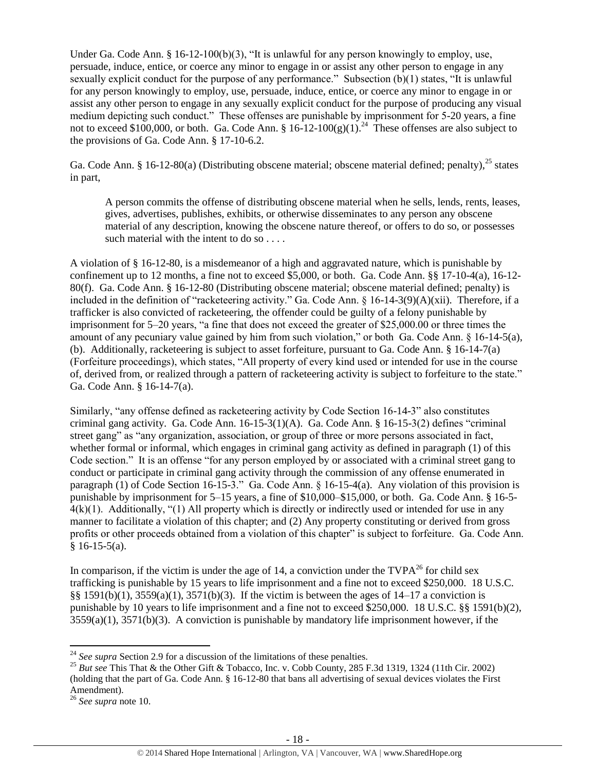Under Ga. Code Ann. §  $16-12-100(b)(3)$ , "It is unlawful for any person knowingly to employ, use, persuade, induce, entice, or coerce any minor to engage in or assist any other person to engage in any sexually explicit conduct for the purpose of any performance." Subsection (b)(1) states, "It is unlawful for any person knowingly to employ, use, persuade, induce, entice, or coerce any minor to engage in or assist any other person to engage in any sexually explicit conduct for the purpose of producing any visual medium depicting such conduct." These offenses are punishable by imprisonment for 5-20 years, a fine not to exceed \$100,000, or both. Ga. Code Ann.  $$16-12-100(g)(1).^{24}$  These offenses are also subject to the provisions of Ga. Code Ann. § 17-10-6.2.

Ga. Code Ann. § 16-12-80(a) (Distributing obscene material; obscene material defined; penalty),  $^{25}$  states in part,

A person commits the offense of distributing obscene material when he sells, lends, rents, leases, gives, advertises, publishes, exhibits, or otherwise disseminates to any person any obscene material of any description, knowing the obscene nature thereof, or offers to do so, or possesses such material with the intent to do so . . . .

A violation of § 16-12-80, is a misdemeanor of a high and aggravated nature, which is punishable by confinement up to 12 months, a fine not to exceed \$5,000, or both. Ga. Code Ann. §§ 17-10-4(a), 16-12- 80(f). Ga. Code Ann. § 16-12-80 (Distributing obscene material; obscene material defined; penalty) is included in the definition of "racketeering activity." Ga. Code Ann.  $\S$  16-14-3(9)(A)(xii). Therefore, if a trafficker is also convicted of racketeering, the offender could be guilty of a felony punishable by imprisonment for 5–20 years, "a fine that does not exceed the greater of \$25,000.00 or three times the amount of any pecuniary value gained by him from such violation," or both Ga. Code Ann. § 16-14-5(a), (b). Additionally, racketeering is subject to asset forfeiture, pursuant to Ga. Code Ann. § 16-14-7(a) (Forfeiture proceedings), which states, "All property of every kind used or intended for use in the course of, derived from, or realized through a pattern of racketeering activity is subject to forfeiture to the state." Ga. Code Ann. § 16-14-7(a).

Similarly, "any offense defined as racketeering activity by Code Section 16-14-3" also constitutes criminal gang activity. Ga. Code Ann. 16-15-3(1)(A). Ga. Code Ann. § 16-15-3(2) defines "criminal street gang" as "any organization, association, or group of three or more persons associated in fact, whether formal or informal, which engages in criminal gang activity as defined in paragraph (1) of this Code section." It is an offense "for any person employed by or associated with a criminal street gang to conduct or participate in criminal gang activity through the commission of any offense enumerated in paragraph (1) of Code Section 16-15-3." Ga. Code Ann. § 16-15-4(a). Any violation of this provision is punishable by imprisonment for 5–15 years, a fine of \$10,000–\$15,000, or both. Ga. Code Ann. § 16-5-  $4(k)(1)$ . Additionally, "(1) All property which is directly or indirectly used or intended for use in any manner to facilitate a violation of this chapter; and (2) Any property constituting or derived from gross profits or other proceeds obtained from a violation of this chapter" is subject to forfeiture. Ga. Code Ann.  $§ 16-15-5(a).$ 

In comparison, if the victim is under the age of 14, a conviction under the  $TVPA^{26}$  for child sex trafficking is punishable by 15 years to life imprisonment and a fine not to exceed \$250,000. 18 U.S.C. §§ 1591(b)(1), 3559(a)(1), 3571(b)(3). If the victim is between the ages of 14–17 a conviction is punishable by 10 years to life imprisonment and a fine not to exceed \$250,000. 18 U.S.C. §§ 1591(b)(2),  $3559(a)(1)$ ,  $3571(b)(3)$ . A conviction is punishable by mandatory life imprisonment however, if the

 $\overline{\phantom{a}}$ 

<sup>&</sup>lt;sup>24</sup> *See supra* Section 2.9 for a discussion of the limitations of these penalties.

<sup>&</sup>lt;sup>25</sup> *But see* This That & the Other Gift & Tobacco, Inc. v. Cobb County, 285 F.3d 1319, 1324 (11th Cir. 2002) (holding that the part of Ga. Code Ann. § 16-12-80 that bans all advertising of sexual devices violates the First Amendment).

<sup>26</sup> *See supra* note [10.](#page-9-0)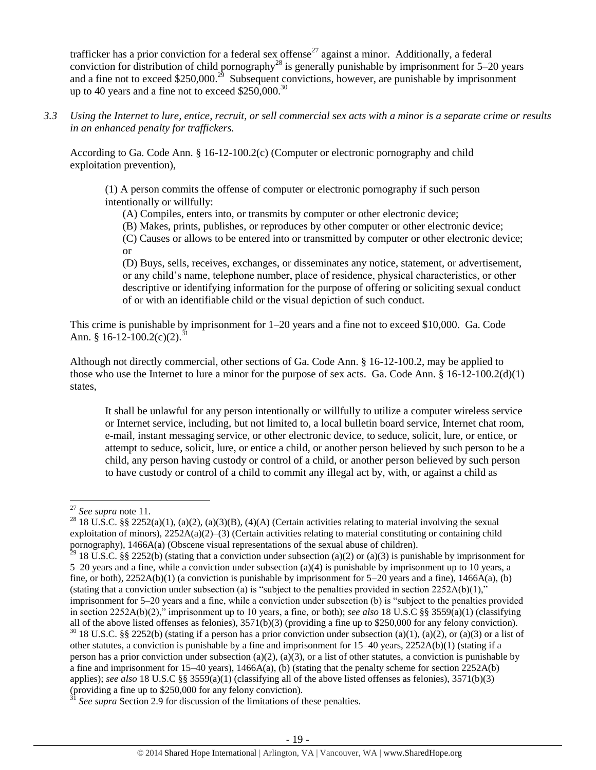trafficker has a prior conviction for a federal sex offense<sup>27</sup> against a minor. Additionally, a federal conviction for distribution of child pornography<sup>28</sup> is generally punishable by imprisonment for 5–20 years and a fine not to exceed \$250,000.<sup>29</sup> Subsequent convictions, however, are punishable by imprisonment up to 40 years and a fine not to exceed  $$250,000.<sup>30</sup>$ 

*3.3 Using the Internet to lure, entice, recruit, or sell commercial sex acts with a minor is a separate crime or results in an enhanced penalty for traffickers.*

According to Ga. Code Ann. § 16-12-100.2(c) (Computer or electronic pornography and child exploitation prevention),

(1) A person commits the offense of computer or electronic pornography if such person intentionally or willfully:

(A) Compiles, enters into, or transmits by computer or other electronic device;

(B) Makes, prints, publishes, or reproduces by other computer or other electronic device;

(C) Causes or allows to be entered into or transmitted by computer or other electronic device; or

(D) Buys, sells, receives, exchanges, or disseminates any notice, statement, or advertisement, or any child's name, telephone number, place of residence, physical characteristics, or other descriptive or identifying information for the purpose of offering or soliciting sexual conduct of or with an identifiable child or the visual depiction of such conduct.

This crime is punishable by imprisonment for 1–20 years and a fine not to exceed \$10,000. Ga. Code Ann. § 16-12-100.2(c)(2).<sup>31</sup>

Although not directly commercial, other sections of Ga. Code Ann. § 16-12-100.2, may be applied to those who use the Internet to lure a minor for the purpose of sex acts. Ga. Code Ann.  $\S 16-12-100.2(d)(1)$ states,

It shall be unlawful for any person intentionally or willfully to utilize a computer wireless service or Internet service, including, but not limited to, a local bulletin board service, Internet chat room, e-mail, instant messaging service, or other electronic device, to seduce, solicit, lure, or entice, or attempt to seduce, solicit, lure, or entice a child, or another person believed by such person to be a child, any person having custody or control of a child, or another person believed by such person to have custody or control of a child to commit any illegal act by, with, or against a child as

 $\overline{a}$ 

<sup>27</sup> *See supra* note [11.](#page-10-0)

<sup>&</sup>lt;sup>28</sup> 18 U.S.C. §§ 2252(a)(1), (a)(2), (a)(3)(B), (4)(A) (Certain activities relating to material involving the sexual exploitation of minors),  $2252A(a)(2)–(3)$  (Certain activities relating to material constituting or containing child pornography), 1466A(a) (Obscene visual representations of the sexual abuse of children).

<sup>&</sup>lt;sup>29</sup> 18 U.S.C. §§ 2252(b) (stating that a conviction under subsection (a)(2) or (a)(3) is punishable by imprisonment for 5–20 years and a fine, while a conviction under subsection (a)(4) is punishable by imprisonment up to 10 years, a fine, or both),  $2252A(b)(1)$  (a conviction is punishable by imprisonment for  $5-20$  years and a fine),  $1466A(a)$ , (b) (stating that a conviction under subsection (a) is "subject to the penalties provided in section  $2252A(b)(1)$ ," imprisonment for 5–20 years and a fine, while a conviction under subsection (b) is "subject to the penalties provided in section 2252A(b)(2)," imprisonment up to 10 years, a fine, or both); *see also* 18 U.S.C §§ 3559(a)(1) (classifying all of the above listed offenses as felonies),  $3571(b)(3)$  (providing a fine up to \$250,000 for any felony conviction).

 $30\,18$  U.S.C. §§ 2252(b) (stating if a person has a prior conviction under subsection (a)(1), (a)(2), or (a)(3) or a list of other statutes, a conviction is punishable by a fine and imprisonment for  $15-40$  years,  $2252A(b)(1)$  (stating if a person has a prior conviction under subsection (a)(2), (a)(3), or a list of other statutes, a conviction is punishable by a fine and imprisonment for  $15-40$  years),  $1466A(a)$ , (b) (stating that the penalty scheme for section  $2252A(b)$ applies); *see also* 18 U.S.C §§ 3559(a)(1) (classifying all of the above listed offenses as felonies), 3571(b)(3) (providing a fine up to \$250,000 for any felony conviction).

See supra Section 2.9 for discussion of the limitations of these penalties.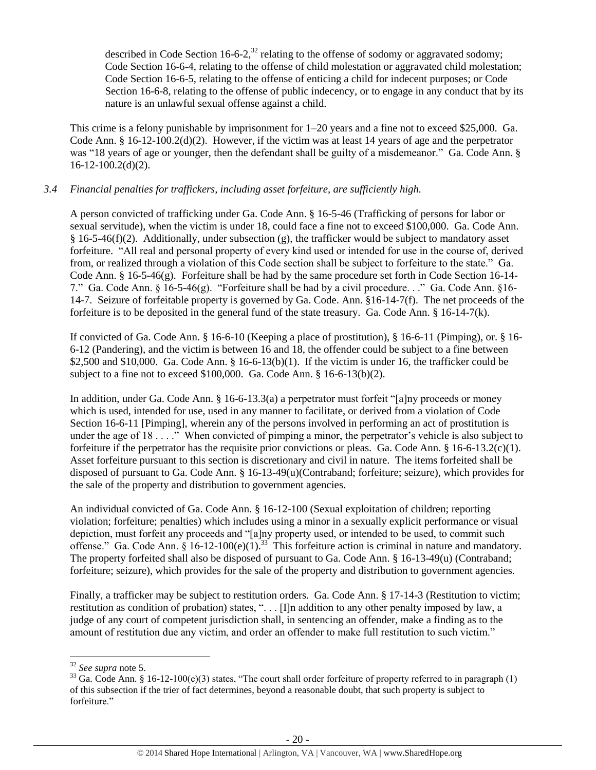described in Code Section 16-6-2,<sup>32</sup> relating to the offense of sodomy or aggravated sodomy; Code Section 16-6-4, relating to the offense of child molestation or aggravated child molestation; Code Section 16-6-5, relating to the offense of enticing a child for indecent purposes; or Code Section 16-6-8, relating to the offense of public indecency, or to engage in any conduct that by its nature is an unlawful sexual offense against a child.

This crime is a felony punishable by imprisonment for 1–20 years and a fine not to exceed \$25,000. Ga. Code Ann. § 16-12-100.2(d)(2). However, if the victim was at least 14 years of age and the perpetrator was "18 years of age or younger, then the defendant shall be guilty of a misdemeanor." Ga. Code Ann. §  $16-12-100.2(d)(2)$ .

## *3.4 Financial penalties for traffickers, including asset forfeiture, are sufficiently high.*

A person convicted of trafficking under Ga. Code Ann. § 16-5-46 (Trafficking of persons for labor or sexual servitude), when the victim is under 18, could face a fine not to exceed \$100,000. Ga. Code Ann.  $§$  16-5-46(f)(2). Additionally, under subsection (g), the trafficker would be subject to mandatory asset forfeiture. "All real and personal property of every kind used or intended for use in the course of, derived from, or realized through a violation of this Code section shall be subject to forfeiture to the state." Ga. Code Ann. § 16-5-46(g). Forfeiture shall be had by the same procedure set forth in Code Section 16-14- 7." Ga. Code Ann. § 16-5-46(g). "Forfeiture shall be had by a civil procedure. . ." Ga. Code Ann. §16- 14-7. Seizure of forfeitable property is governed by Ga. Code. Ann. §16-14-7(f). The net proceeds of the forfeiture is to be deposited in the general fund of the state treasury. Ga. Code Ann. § 16-14-7(k).

If convicted of Ga. Code Ann. § 16-6-10 (Keeping a place of prostitution), § 16-6-11 (Pimping), or. § 16- 6-12 (Pandering), and the victim is between 16 and 18, the offender could be subject to a fine between \$2,500 and \$10,000. Ga. Code Ann.  $\S$  16-6-13(b)(1). If the victim is under 16, the trafficker could be subject to a fine not to exceed \$100,000. Ga. Code Ann. § 16-6-13(b)(2).

In addition, under Ga. Code Ann. § 16-6-13.3(a) a perpetrator must forfeit "[a]ny proceeds or money which is used, intended for use, used in any manner to facilitate, or derived from a violation of Code Section 16-6-11 [Pimping], wherein any of the persons involved in performing an act of prostitution is under the age of 18 . . . ." When convicted of pimping a minor, the perpetrator's vehicle is also subject to forfeiture if the perpetrator has the requisite prior convictions or pleas. Ga. Code Ann. § 16-6-13.2(c)(1). Asset forfeiture pursuant to this section is discretionary and civil in nature. The items forfeited shall be disposed of pursuant to Ga. Code Ann. § 16-13-49(u)(Contraband; forfeiture; seizure), which provides for the sale of the property and distribution to government agencies.

An individual convicted of Ga. Code Ann. § 16-12-100 (Sexual exploitation of children; reporting violation; forfeiture; penalties) which includes using a minor in a sexually explicit performance or visual depiction, must forfeit any proceeds and "[a]ny property used, or intended to be used, to commit such offense." Ga. Code Ann.  $\hat{\S}$  16-12-100(e)(1).<sup>33</sup> This forfeiture action is criminal in nature and mandatory. The property forfeited shall also be disposed of pursuant to Ga. Code Ann. § 16-13-49(u) (Contraband; forfeiture; seizure), which provides for the sale of the property and distribution to government agencies.

Finally, a trafficker may be subject to restitution orders. Ga. Code Ann. § 17-14-3 (Restitution to victim: restitution as condition of probation) states, ". . . [I]n addition to any other penalty imposed by law, a judge of any court of competent jurisdiction shall, in sentencing an offender, make a finding as to the amount of restitution due any victim, and order an offender to make full restitution to such victim."

 $\overline{\phantom{a}}$ 

<sup>32</sup> *See supra* note [5.](#page-5-0)

<sup>&</sup>lt;sup>33</sup> Ga. Code Ann. § 16-12-100(e)(3) states, "The court shall order forfeiture of property referred to in paragraph (1) of this subsection if the trier of fact determines, beyond a reasonable doubt, that such property is subject to forfeiture."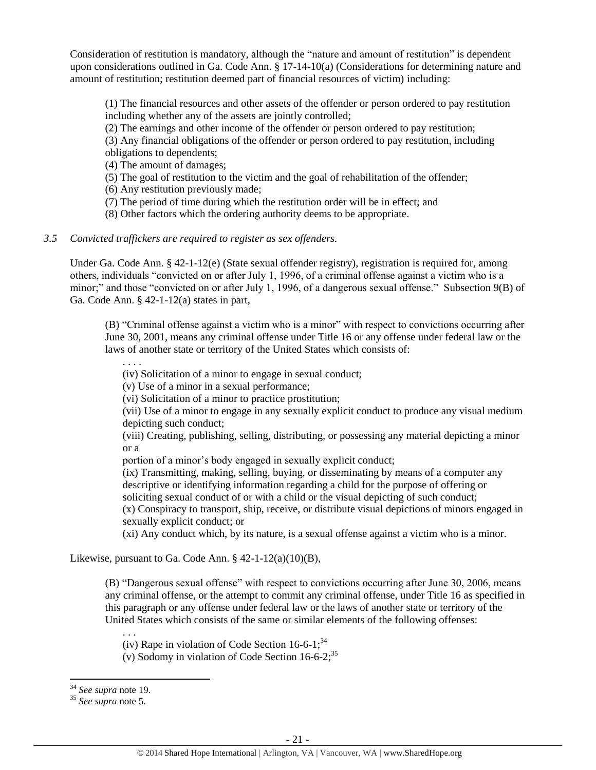Consideration of restitution is mandatory, although the "nature and amount of restitution" is dependent upon considerations outlined in Ga. Code Ann. § 17-14-10(a) (Considerations for determining nature and amount of restitution; restitution deemed part of financial resources of victim) including:

(1) The financial resources and other assets of the offender or person ordered to pay restitution including whether any of the assets are jointly controlled;

(2) The earnings and other income of the offender or person ordered to pay restitution;

(3) Any financial obligations of the offender or person ordered to pay restitution, including obligations to dependents;

(4) The amount of damages;

(5) The goal of restitution to the victim and the goal of rehabilitation of the offender;

(6) Any restitution previously made;

(7) The period of time during which the restitution order will be in effect; and

(8) Other factors which the ordering authority deems to be appropriate.

#### *3.5 Convicted traffickers are required to register as sex offenders.*

Under Ga. Code Ann. § 42-1-12(e) (State sexual offender registry), registration is required for, among others, individuals "convicted on or after July 1, 1996, of a criminal offense against a victim who is a minor;" and those "convicted on or after July 1, 1996, of a dangerous sexual offense." Subsection 9(B) of Ga. Code Ann. § 42-1-12(a) states in part,

(B) "Criminal offense against a victim who is a minor" with respect to convictions occurring after June 30, 2001, means any criminal offense under Title 16 or any offense under federal law or the laws of another state or territory of the United States which consists of:

. . . .

(iv) Solicitation of a minor to engage in sexual conduct;

(v) Use of a minor in a sexual performance;

(vi) Solicitation of a minor to practice prostitution;

(vii) Use of a minor to engage in any sexually explicit conduct to produce any visual medium depicting such conduct;

(viii) Creating, publishing, selling, distributing, or possessing any material depicting a minor or a

portion of a minor's body engaged in sexually explicit conduct;

(ix) Transmitting, making, selling, buying, or disseminating by means of a computer any descriptive or identifying information regarding a child for the purpose of offering or soliciting sexual conduct of or with a child or the visual depicting of such conduct;

(x) Conspiracy to transport, ship, receive, or distribute visual depictions of minors engaged in sexually explicit conduct; or

(xi) Any conduct which, by its nature, is a sexual offense against a victim who is a minor.

Likewise, pursuant to Ga. Code Ann.  $§$  42-1-12(a)(10)(B),

(B) "Dangerous sexual offense" with respect to convictions occurring after June 30, 2006, means any criminal offense, or the attempt to commit any criminal offense, under Title 16 as specified in this paragraph or any offense under federal law or the laws of another state or territory of the United States which consists of the same or similar elements of the following offenses:

(iv) Rape in violation of Code Section  $16-6-1$ ;<sup>34</sup>

(v) Sodomy in violation of Code Section  $16-6-2$ ;<sup>35</sup>

 $\overline{\phantom{a}}$ 

. . .

<sup>34</sup> *See supra* note [19.](#page-14-0)

<sup>35</sup> *See supra* note [5.](#page-5-0)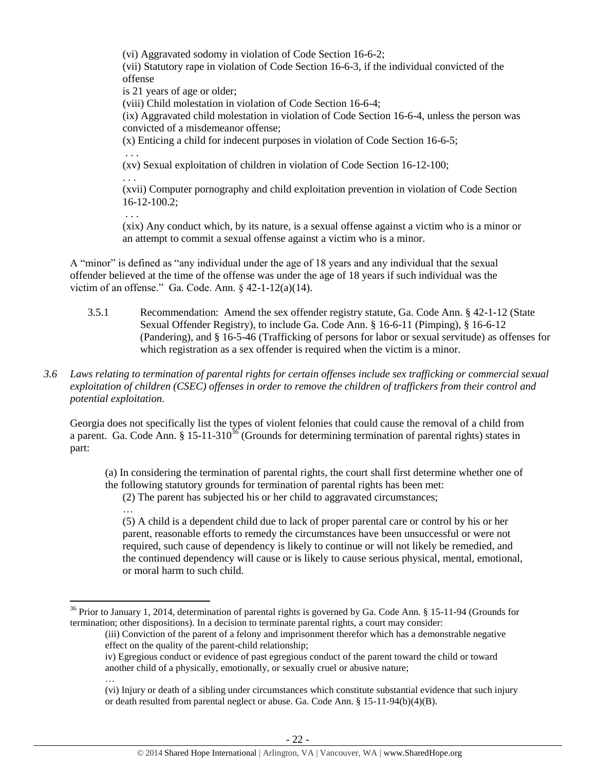(vi) Aggravated sodomy in violation of Code Section 16-6-2;

(vii) Statutory rape in violation of Code Section 16-6-3, if the individual convicted of the offense

is 21 years of age or older;

(viii) Child molestation in violation of Code Section 16-6-4;

(ix) Aggravated child molestation in violation of Code Section 16-6-4, unless the person was convicted of a misdemeanor offense;

(x) Enticing a child for indecent purposes in violation of Code Section 16-6-5;

. . .

(xv) Sexual exploitation of children in violation of Code Section 16-12-100;

. . .

(xvii) Computer pornography and child exploitation prevention in violation of Code Section 16-12-100.2;

. . .

…

(xix) Any conduct which, by its nature, is a sexual offense against a victim who is a minor or an attempt to commit a sexual offense against a victim who is a minor.

A "minor" is defined as "any individual under the age of 18 years and any individual that the sexual offender believed at the time of the offense was under the age of 18 years if such individual was the victim of an offense." Ga. Code. Ann.  $\S$  42-1-12(a)(14).

- 3.5.1 Recommendation: Amend the sex offender registry statute, Ga. Code Ann. § 42-1-12 (State Sexual Offender Registry), to include Ga. Code Ann. § 16-6-11 (Pimping), § 16-6-12 (Pandering), and § 16-5-46 (Trafficking of persons for labor or sexual servitude) as offenses for which registration as a sex offender is required when the victim is a minor.
- *3.6 Laws relating to termination of parental rights for certain offenses include sex trafficking or commercial sexual exploitation of children (CSEC) offenses in order to remove the children of traffickers from their control and potential exploitation.*

Georgia does not specifically list the types of violent felonies that could cause the removal of a child from a parent. Ga. Code Ann. § 15-11-310<sup>36</sup> (Grounds for determining termination of parental rights) states in part:

(a) In considering the termination of parental rights, the court shall first determine whether one of the following statutory grounds for termination of parental rights has been met:

(2) The parent has subjected his or her child to aggravated circumstances;

(5) A child is a dependent child due to lack of proper parental care or control by his or her parent, reasonable efforts to remedy the circumstances have been unsuccessful or were not required, such cause of dependency is likely to continue or will not likely be remedied, and the continued dependency will cause or is likely to cause serious physical, mental, emotional, or moral harm to such child.

… (vi) Injury or death of a sibling under circumstances which constitute substantial evidence that such injury or death resulted from parental neglect or abuse. Ga. Code Ann. § 15-11-94(b)(4)(B).

l  $36$  Prior to January 1, 2014, determination of parental rights is governed by Ga. Code Ann. § 15-11-94 (Grounds for termination; other dispositions). In a decision to terminate parental rights, a court may consider:

<sup>(</sup>iii) Conviction of the parent of a felony and imprisonment therefor which has a demonstrable negative effect on the quality of the parent-child relationship;

iv) Egregious conduct or evidence of past egregious conduct of the parent toward the child or toward another child of a physically, emotionally, or sexually cruel or abusive nature;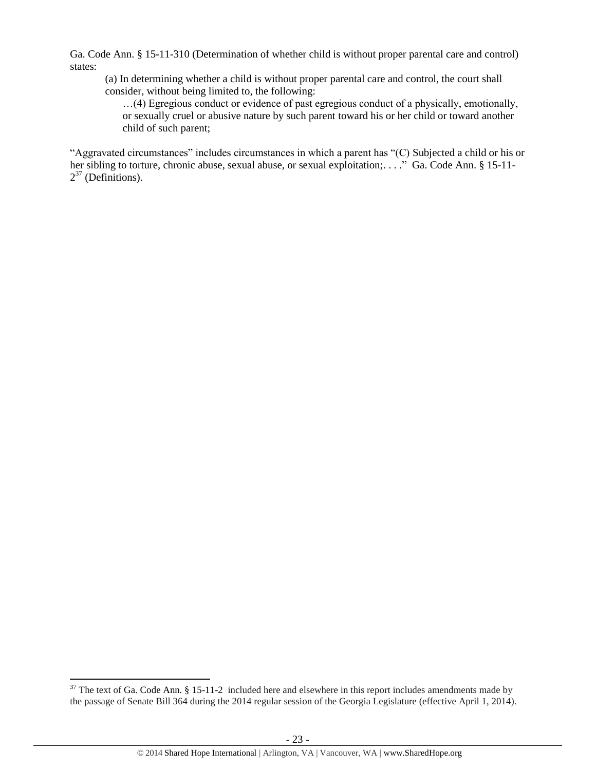Ga. Code Ann. § 15-11-310 (Determination of whether child is without proper parental care and control) states:

(a) In determining whether a child is without proper parental care and control, the court shall consider, without being limited to, the following:

…(4) Egregious conduct or evidence of past egregious conduct of a physically, emotionally, or sexually cruel or abusive nature by such parent toward his or her child or toward another child of such parent;

<span id="page-22-0"></span>"Aggravated circumstances" includes circumstances in which a parent has "(C) Subjected a child or his or her sibling to torture, chronic abuse, sexual abuse, or sexual exploitation;...." Ga. Code Ann. § 15-11- $2^{37}$  (Definitions).

 $\overline{\phantom{a}}$ 

 $37$  The text of Ga. Code Ann. § 15-11-2 included here and elsewhere in this report includes amendments made by the passage of Senate Bill 364 during the 2014 regular session of the Georgia Legislature (effective April 1, 2014).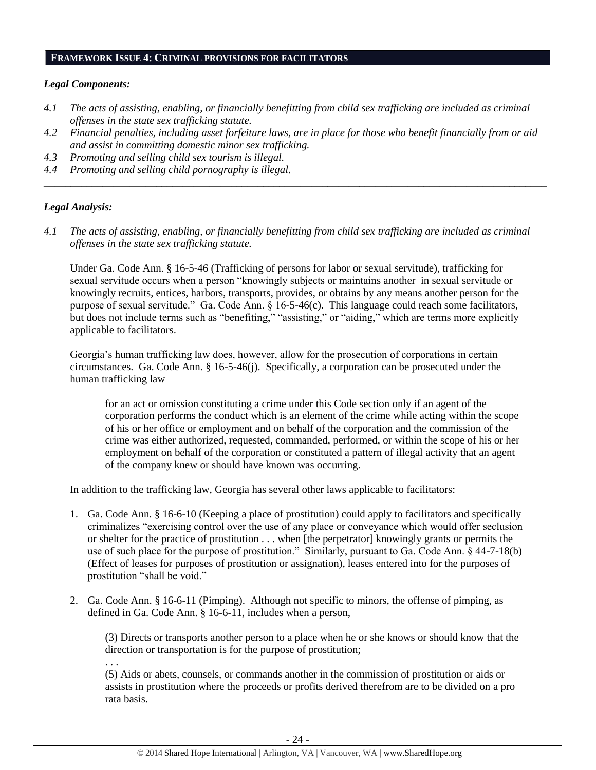#### **FRAMEWORK ISSUE 4: CRIMINAL PROVISIONS FOR FACILITATORS**

#### *Legal Components:*

- *4.1 The acts of assisting, enabling, or financially benefitting from child sex trafficking are included as criminal offenses in the state sex trafficking statute.*
- *4.2 Financial penalties, including asset forfeiture laws, are in place for those who benefit financially from or aid and assist in committing domestic minor sex trafficking.*

*\_\_\_\_\_\_\_\_\_\_\_\_\_\_\_\_\_\_\_\_\_\_\_\_\_\_\_\_\_\_\_\_\_\_\_\_\_\_\_\_\_\_\_\_\_\_\_\_\_\_\_\_\_\_\_\_\_\_\_\_\_\_\_\_\_\_\_\_\_\_\_\_\_\_\_\_\_\_\_\_\_\_\_\_\_\_\_\_\_\_\_\_\_\_*

- *4.3 Promoting and selling child sex tourism is illegal.*
- *4.4 Promoting and selling child pornography is illegal.*

#### *Legal Analysis:*

*4.1 The acts of assisting, enabling, or financially benefitting from child sex trafficking are included as criminal offenses in the state sex trafficking statute.*

Under Ga. Code Ann. § 16-5-46 (Trafficking of persons for labor or sexual servitude), trafficking for sexual servitude occurs when a person "knowingly subjects or maintains another in sexual servitude or knowingly recruits, entices, harbors, transports, provides, or obtains by any means another person for the purpose of sexual servitude." Ga. Code Ann. § 16-5-46(c). This language could reach some facilitators, but does not include terms such as "benefiting," "assisting," or "aiding," which are terms more explicitly applicable to facilitators.

Georgia's human trafficking law does, however, allow for the prosecution of corporations in certain circumstances. Ga. Code Ann. § 16-5-46(j). Specifically, a corporation can be prosecuted under the human trafficking law

for an act or omission constituting a crime under this Code section only if an agent of the corporation performs the conduct which is an element of the crime while acting within the scope of his or her office or employment and on behalf of the corporation and the commission of the crime was either authorized, requested, commanded, performed, or within the scope of his or her employment on behalf of the corporation or constituted a pattern of illegal activity that an agent of the company knew or should have known was occurring.

In addition to the trafficking law, Georgia has several other laws applicable to facilitators:

- 1. Ga. Code Ann. § 16-6-10 (Keeping a place of prostitution) could apply to facilitators and specifically criminalizes "exercising control over the use of any place or conveyance which would offer seclusion or shelter for the practice of prostitution . . . when [the perpetrator] knowingly grants or permits the use of such place for the purpose of prostitution." Similarly, pursuant to Ga. Code Ann. § 44-7-18(b) (Effect of leases for purposes of prostitution or assignation), leases entered into for the purposes of prostitution "shall be void."
- 2. Ga. Code Ann. § 16-6-11 (Pimping). Although not specific to minors, the offense of pimping, as defined in Ga. Code Ann. § 16-6-11, includes when a person,

(3) Directs or transports another person to a place when he or she knows or should know that the direction or transportation is for the purpose of prostitution; . . .

(5) Aids or abets, counsels, or commands another in the commission of prostitution or aids or assists in prostitution where the proceeds or profits derived therefrom are to be divided on a pro rata basis.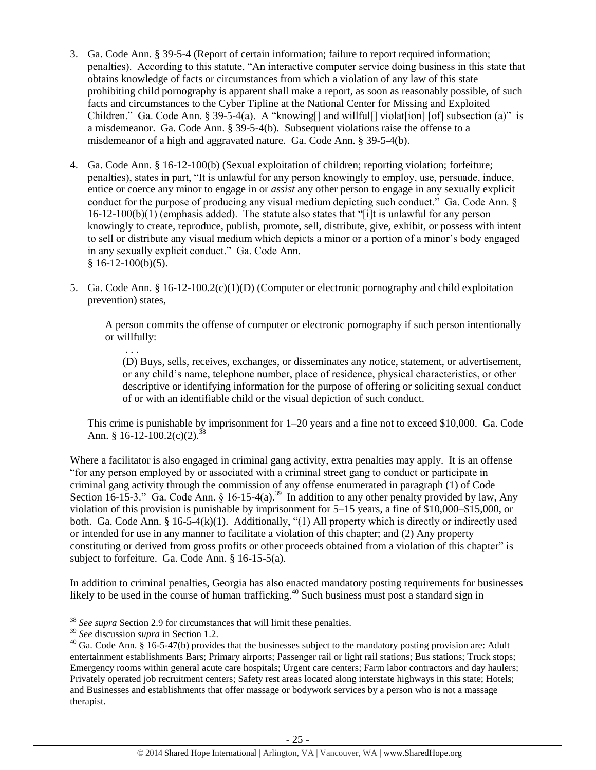- 3. Ga. Code Ann. § 39-5-4 (Report of certain information; failure to report required information; penalties). According to this statute, "An interactive computer service doing business in this state that obtains knowledge of facts or circumstances from which a violation of any law of this state prohibiting child pornography is apparent shall make a report, as soon as reasonably possible, of such facts and circumstances to the Cyber Tipline at the National Center for Missing and Exploited Children." Ga. Code Ann. § 39-5-4(a). A "knowing [] and will full [] violat [ion] [of] subsection (a)" is a misdemeanor. Ga. Code Ann. § 39-5-4(b). Subsequent violations raise the offense to a misdemeanor of a high and aggravated nature. Ga. Code Ann. § 39-5-4(b).
- 4. Ga. Code Ann. § 16-12-100(b) (Sexual exploitation of children; reporting violation; forfeiture; penalties), states in part, "It is unlawful for any person knowingly to employ, use, persuade, induce, entice or coerce any minor to engage in or *assist* any other person to engage in any sexually explicit conduct for the purpose of producing any visual medium depicting such conduct." Ga. Code Ann. § 16-12-100(b)(1) (emphasis added). The statute also states that "[i]t is unlawful for any person knowingly to create, reproduce, publish, promote, sell, distribute, give, exhibit, or possess with intent to sell or distribute any visual medium which depicts a minor or a portion of a minor's body engaged in any sexually explicit conduct." Ga. Code Ann.  $$16-12-100(b)(5).$
- 5. Ga. Code Ann. § 16-12-100.2(c)(1)(D) (Computer or electronic pornography and child exploitation prevention) states,

A person commits the offense of computer or electronic pornography if such person intentionally or willfully:

(D) Buys, sells, receives, exchanges, or disseminates any notice, statement, or advertisement, or any child's name, telephone number, place of residence, physical characteristics, or other descriptive or identifying information for the purpose of offering or soliciting sexual conduct of or with an identifiable child or the visual depiction of such conduct.

This crime is punishable by imprisonment for 1–20 years and a fine not to exceed \$10,000. Ga. Code Ann. § 16-12-100.2(c)(2).<sup>38</sup>

Where a facilitator is also engaged in criminal gang activity, extra penalties may apply. It is an offense "for any person employed by or associated with a criminal street gang to conduct or participate in criminal gang activity through the commission of any offense enumerated in paragraph (1) of Code Section 16-15-3." Ga. Code Ann. § 16-15-4(a).<sup>39</sup> In addition to any other penalty provided by law, Any violation of this provision is punishable by imprisonment for 5–15 years, a fine of \$10,000–\$15,000, or both. Ga. Code Ann. § 16-5-4(k)(1). Additionally, "(1) All property which is directly or indirectly used or intended for use in any manner to facilitate a violation of this chapter; and (2) Any property constituting or derived from gross profits or other proceeds obtained from a violation of this chapter" is subject to forfeiture. Ga. Code Ann. § 16-15-5(a).

In addition to criminal penalties, Georgia has also enacted mandatory posting requirements for businesses likely to be used in the course of human trafficking.<sup>40</sup> Such business must post a standard sign in

 $\overline{\phantom{a}}$ 

. . .

<sup>38</sup> *See supra* Section 2.9 for circumstances that will limit these penalties.

<sup>39</sup> *See* discussion *supra* in Section 1.2.

 $40$  Ga. Code Ann.  $\hat{\S}$  16-5-47(b) provides that the businesses subject to the mandatory posting provision are: Adult entertainment establishments Bars; Primary airports; Passenger rail or light rail stations; Bus stations; Truck stops; Emergency rooms within general acute care hospitals; Urgent care centers; Farm labor contractors and day haulers; Privately operated job recruitment centers; Safety rest areas located along interstate highways in this state; Hotels; and Businesses and establishments that offer massage or bodywork services by a person who is not a massage therapist.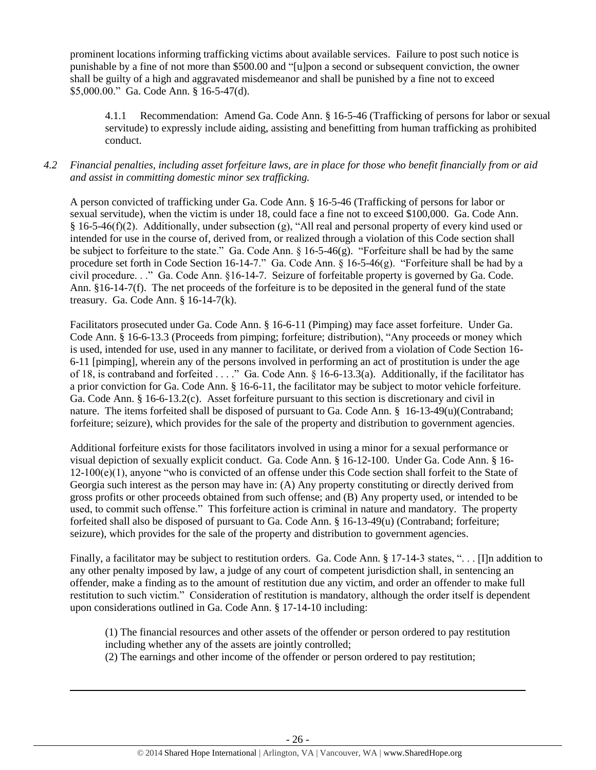prominent locations informing trafficking victims about available services. Failure to post such notice is punishable by a fine of not more than \$500.00 and "[u]pon a second or subsequent conviction, the owner shall be guilty of a high and aggravated misdemeanor and shall be punished by a fine not to exceed \$5,000.00." Ga. Code Ann. § 16-5-47(d).

4.1.1 Recommendation: Amend Ga. Code Ann. § 16-5-46 (Trafficking of persons for labor or sexual servitude) to expressly include aiding, assisting and benefitting from human trafficking as prohibited conduct.

## *4.2 Financial penalties, including asset forfeiture laws, are in place for those who benefit financially from or aid and assist in committing domestic minor sex trafficking.*

A person convicted of trafficking under Ga. Code Ann. § 16-5-46 (Trafficking of persons for labor or sexual servitude), when the victim is under 18, could face a fine not to exceed \$100,000. Ga. Code Ann. § 16-5-46(f)(2). Additionally, under subsection (g), "All real and personal property of every kind used or intended for use in the course of, derived from, or realized through a violation of this Code section shall be subject to forfeiture to the state." Ga. Code Ann. § 16-5-46(g). "Forfeiture shall be had by the same procedure set forth in Code Section 16-14-7." Ga. Code Ann. § 16-5-46(g). "Forfeiture shall be had by a civil procedure. . ." Ga. Code Ann. §16-14-7. Seizure of forfeitable property is governed by Ga. Code. Ann. §16-14-7(f). The net proceeds of the forfeiture is to be deposited in the general fund of the state treasury. Ga. Code Ann. § 16-14-7(k).

Facilitators prosecuted under Ga. Code Ann. § 16-6-11 (Pimping) may face asset forfeiture. Under Ga. Code Ann. § 16-6-13.3 (Proceeds from pimping; forfeiture; distribution), "Any proceeds or money which is used, intended for use, used in any manner to facilitate, or derived from a violation of Code Section 16- 6-11 [pimping], wherein any of the persons involved in performing an act of prostitution is under the age of 18, is contraband and forfeited . . . ." Ga. Code Ann. § 16-6-13.3(a). Additionally, if the facilitator has a prior conviction for Ga. Code Ann. § 16-6-11, the facilitator may be subject to motor vehicle forfeiture. Ga. Code Ann. § 16-6-13.2(c). Asset forfeiture pursuant to this section is discretionary and civil in nature. The items forfeited shall be disposed of pursuant to Ga. Code Ann. § 16-13-49(u)(Contraband; forfeiture; seizure), which provides for the sale of the property and distribution to government agencies.

Additional forfeiture exists for those facilitators involved in using a minor for a sexual performance or visual depiction of sexually explicit conduct. Ga. Code Ann. § 16-12-100. Under Ga. Code Ann. § 16- 12-100(e)(1), anyone "who is convicted of an offense under this Code section shall forfeit to the State of Georgia such interest as the person may have in: (A) Any property constituting or directly derived from gross profits or other proceeds obtained from such offense; and (B) Any property used, or intended to be used, to commit such offense." This forfeiture action is criminal in nature and mandatory. The property forfeited shall also be disposed of pursuant to Ga. Code Ann. § 16-13-49(u) (Contraband; forfeiture; seizure), which provides for the sale of the property and distribution to government agencies.

Finally, a facilitator may be subject to restitution orders. Ga. Code Ann. § 17-14-3 states, "... [I]n addition to any other penalty imposed by law, a judge of any court of competent jurisdiction shall, in sentencing an offender, make a finding as to the amount of restitution due any victim, and order an offender to make full restitution to such victim." Consideration of restitution is mandatory, although the order itself is dependent upon considerations outlined in Ga. Code Ann. § 17-14-10 including:

(1) The financial resources and other assets of the offender or person ordered to pay restitution including whether any of the assets are jointly controlled;

(2) The earnings and other income of the offender or person ordered to pay restitution;

 $\overline{\phantom{a}}$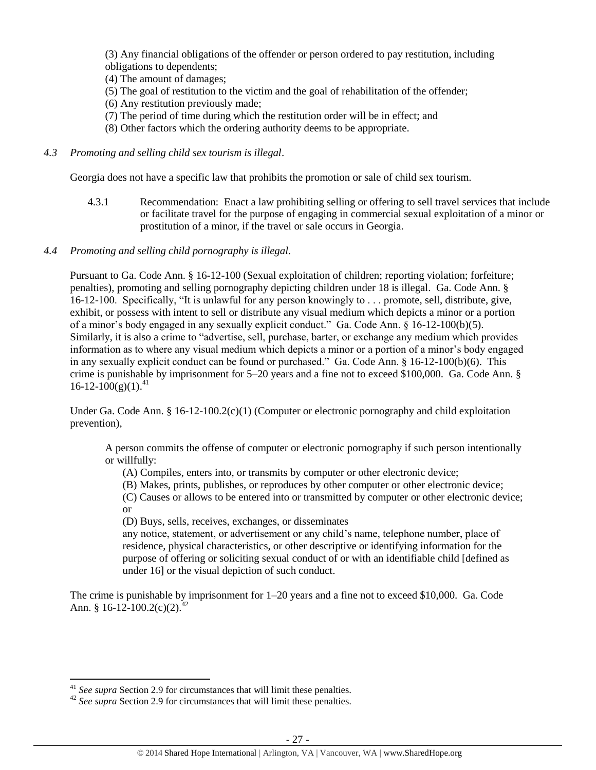(3) Any financial obligations of the offender or person ordered to pay restitution, including obligations to dependents;

(4) The amount of damages;

- (5) The goal of restitution to the victim and the goal of rehabilitation of the offender;
- (6) Any restitution previously made;
- (7) The period of time during which the restitution order will be in effect; and
- (8) Other factors which the ordering authority deems to be appropriate.
- *4.3 Promoting and selling child sex tourism is illegal*.

Georgia does not have a specific law that prohibits the promotion or sale of child sex tourism.

4.3.1 Recommendation: Enact a law prohibiting selling or offering to sell travel services that include or facilitate travel for the purpose of engaging in commercial sexual exploitation of a minor or prostitution of a minor, if the travel or sale occurs in Georgia.

## *4.4 Promoting and selling child pornography is illegal.*

Pursuant to Ga. Code Ann. § 16-12-100 (Sexual exploitation of children; reporting violation; forfeiture; penalties), promoting and selling pornography depicting children under 18 is illegal. Ga. Code Ann. § 16-12-100. Specifically, "It is unlawful for any person knowingly to . . . promote, sell, distribute, give, exhibit, or possess with intent to sell or distribute any visual medium which depicts a minor or a portion of a minor's body engaged in any sexually explicit conduct." Ga. Code Ann. § 16-12-100(b)(5). Similarly, it is also a crime to "advertise, sell, purchase, barter, or exchange any medium which provides information as to where any visual medium which depicts a minor or a portion of a minor's body engaged in any sexually explicit conduct can be found or purchased." Ga. Code Ann. § 16-12-100(b)(6). This crime is punishable by imprisonment for 5–20 years and a fine not to exceed \$100,000. Ga. Code Ann. §  $16 - 12 - 100(g)(1)^{41}$ 

Under Ga. Code Ann. § 16-12-100.2(c)(1) (Computer or electronic pornography and child exploitation prevention),

A person commits the offense of computer or electronic pornography if such person intentionally or willfully:

(A) Compiles, enters into, or transmits by computer or other electronic device;

(B) Makes, prints, publishes, or reproduces by other computer or other electronic device;

(C) Causes or allows to be entered into or transmitted by computer or other electronic device; or

(D) Buys, sells, receives, exchanges, or disseminates

any notice, statement, or advertisement or any child's name, telephone number, place of residence, physical characteristics, or other descriptive or identifying information for the purpose of offering or soliciting sexual conduct of or with an identifiable child [defined as under 16] or the visual depiction of such conduct.

The crime is punishable by imprisonment for 1–20 years and a fine not to exceed \$10,000. Ga. Code Ann. § 16-12-100.2(c)(2).<sup>42</sup>

 $\overline{\phantom{a}}$ 

<sup>41</sup> *See supra* Section 2.9 for circumstances that will limit these penalties.

<sup>&</sup>lt;sup>42</sup> *See supra* Section 2.9 for circumstances that will limit these penalties.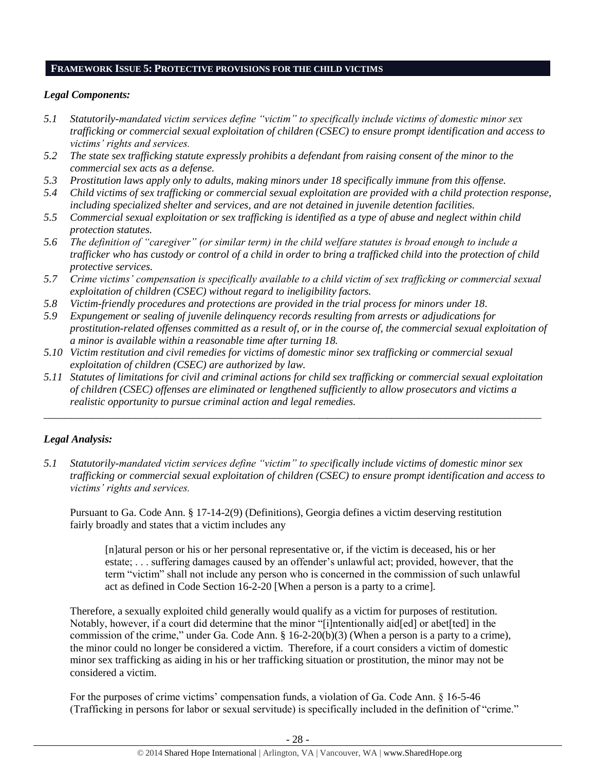#### **FRAMEWORK ISSUE 5: PROTECTIVE PROVISIONS FOR THE CHILD VICTIMS**

## *Legal Components:*

- *5.1 Statutorily-mandated victim services define "victim" to specifically include victims of domestic minor sex trafficking or commercial sexual exploitation of children (CSEC) to ensure prompt identification and access to victims' rights and services.*
- *5.2 The state sex trafficking statute expressly prohibits a defendant from raising consent of the minor to the commercial sex acts as a defense.*
- *5.3 Prostitution laws apply only to adults, making minors under 18 specifically immune from this offense.*
- *5.4 Child victims of sex trafficking or commercial sexual exploitation are provided with a child protection response, including specialized shelter and services, and are not detained in juvenile detention facilities.*
- *5.5 Commercial sexual exploitation or sex trafficking is identified as a type of abuse and neglect within child protection statutes.*
- *5.6 The definition of "caregiver" (or similar term) in the child welfare statutes is broad enough to include a trafficker who has custody or control of a child in order to bring a trafficked child into the protection of child protective services.*
- *5.7 Crime victims' compensation is specifically available to a child victim of sex trafficking or commercial sexual exploitation of children (CSEC) without regard to ineligibility factors.*
- *5.8 Victim-friendly procedures and protections are provided in the trial process for minors under 18.*
- *5.9 Expungement or sealing of juvenile delinquency records resulting from arrests or adjudications for prostitution-related offenses committed as a result of, or in the course of, the commercial sexual exploitation of a minor is available within a reasonable time after turning 18.*
- *5.10 Victim restitution and civil remedies for victims of domestic minor sex trafficking or commercial sexual exploitation of children (CSEC) are authorized by law.*
- *5.11 Statutes of limitations for civil and criminal actions for child sex trafficking or commercial sexual exploitation of children (CSEC) offenses are eliminated or lengthened sufficiently to allow prosecutors and victims a realistic opportunity to pursue criminal action and legal remedies.*

*\_\_\_\_\_\_\_\_\_\_\_\_\_\_\_\_\_\_\_\_\_\_\_\_\_\_\_\_\_\_\_\_\_\_\_\_\_\_\_\_\_\_\_\_\_\_\_\_\_\_\_\_\_\_\_\_\_\_\_\_\_\_\_\_\_\_\_\_\_\_\_\_\_\_\_\_\_\_\_\_\_\_\_\_\_\_\_\_\_\_\_\_\_*

# *Legal Analysis:*

*5.1 Statutorily-mandated victim services define "victim" to specifically include victims of domestic minor sex trafficking or commercial sexual exploitation of children (CSEC) to ensure prompt identification and access to victims' rights and services.*

Pursuant to Ga. Code Ann. § 17-14-2(9) (Definitions), Georgia defines a victim deserving restitution fairly broadly and states that a victim includes any

[n]atural person or his or her personal representative or, if the victim is deceased, his or her estate; . . . suffering damages caused by an offender's unlawful act; provided, however, that the term "victim" shall not include any person who is concerned in the commission of such unlawful act as defined in Code Section 16-2-20 [When a person is a party to a crime]*.*

Therefore, a sexually exploited child generally would qualify as a victim for purposes of restitution. Notably, however, if a court did determine that the minor "[i]ntentionally aid[ed] or abet[ted] in the commission of the crime," under Ga. Code Ann. § 16-2-20(b)(3) (When a person is a party to a crime), the minor could no longer be considered a victim. Therefore, if a court considers a victim of domestic minor sex trafficking as aiding in his or her trafficking situation or prostitution, the minor may not be considered a victim.

For the purposes of crime victims' compensation funds, a violation of Ga. Code Ann. § 16-5-46 (Trafficking in persons for labor or sexual servitude) is specifically included in the definition of "crime."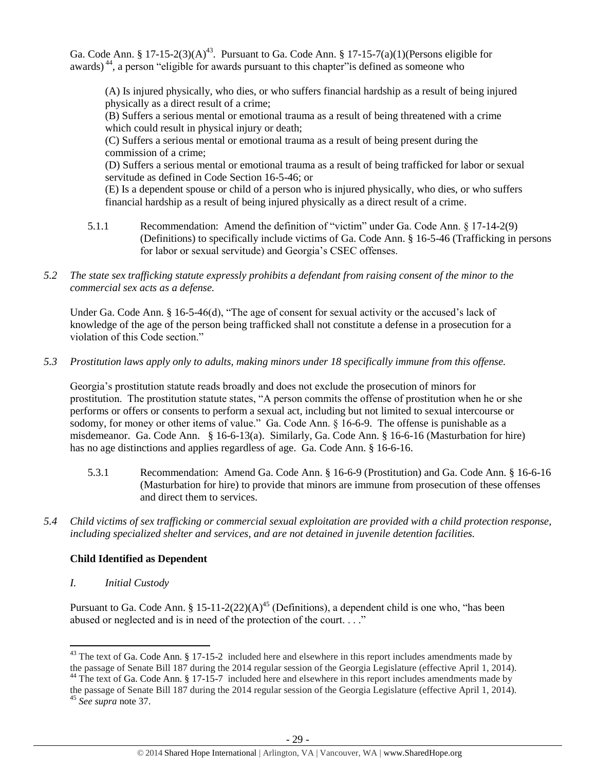Ga. Code Ann. § 17-15-2(3)(A)<sup>43</sup>. Pursuant to Ga. Code Ann. § 17-15-7(a)(1)(Persons eligible for awards) <sup>44</sup>, a person "eligible for awards pursuant to this chapter"is defined as someone who

<span id="page-28-1"></span><span id="page-28-0"></span>(A) Is injured physically, who dies, or who suffers financial hardship as a result of being injured physically as a direct result of a crime;

(B) Suffers a serious mental or emotional trauma as a result of being threatened with a crime which could result in physical injury or death;

(C) Suffers a serious mental or emotional trauma as a result of being present during the commission of a crime;

(D) Suffers a serious mental or emotional trauma as a result of being trafficked for labor or sexual servitude as defined in Code Section 16-5-46; or

(E) Is a dependent spouse or child of a person who is injured physically, who dies, or who suffers financial hardship as a result of being injured physically as a direct result of a crime.

- 5.1.1 Recommendation: Amend the definition of "victim" under Ga. Code Ann. § 17-14-2(9) (Definitions) to specifically include victims of Ga. Code Ann. § 16-5-46 (Trafficking in persons for labor or sexual servitude) and Georgia's CSEC offenses.
- *5.2 The state sex trafficking statute expressly prohibits a defendant from raising consent of the minor to the commercial sex acts as a defense.*

Under Ga. Code Ann. § 16-5-46(d), "The age of consent for sexual activity or the accused's lack of knowledge of the age of the person being trafficked shall not constitute a defense in a prosecution for a violation of this Code section."

# *5.3 Prostitution laws apply only to adults, making minors under 18 specifically immune from this offense.*

Georgia's prostitution statute reads broadly and does not exclude the prosecution of minors for prostitution. The prostitution statute states, "A person commits the offense of prostitution when he or she performs or offers or consents to perform a sexual act, including but not limited to sexual intercourse or sodomy, for money or other items of value." Ga. Code Ann. § 16-6-9. The offense is punishable as a misdemeanor. Ga. Code Ann. § 16-6-13(a). Similarly, Ga. Code Ann. § 16-6-16 (Masturbation for hire) has no age distinctions and applies regardless of age. Ga. Code Ann. § 16-6-16.

- 5.3.1 Recommendation: Amend Ga. Code Ann. § 16-6-9 (Prostitution) and Ga. Code Ann. § 16-6-16 (Masturbation for hire) to provide that minors are immune from prosecution of these offenses and direct them to services.
- *5.4 Child victims of sex trafficking or commercial sexual exploitation are provided with a child protection response, including specialized shelter and services, and are not detained in juvenile detention facilities.*

# **Child Identified as Dependent**

*I. Initial Custody*

Pursuant to Ga. Code Ann. § 15-11-2(22)(A)<sup>45</sup> (Definitions), a dependent child is one who, "has been abused or neglected and is in need of the protection of the court. . . ."

 $\overline{\phantom{a}}$ 

<sup>&</sup>lt;sup>43</sup> The text of Ga. Code Ann. § 17-15-2 included here and elsewhere in this report includes amendments made by the passage of Senate Bill 187 during the 2014 regular session of the Georgia Legislature (effective April 1, 2014).

<sup>&</sup>lt;sup>44</sup> The text of Ga. Code Ann. § 17-15-7 included here and elsewhere in this report includes amendments made by the passage of Senate Bill 187 during the 2014 regular session of the Georgia Legislature (effective April 1, 2014).

<sup>45</sup> *See supra* note [37.](#page-22-0)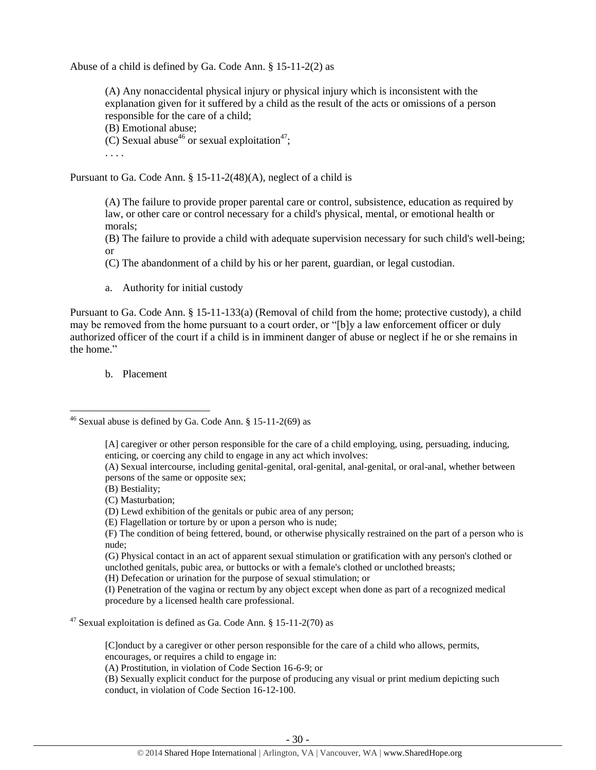Abuse of a child is defined by Ga. Code Ann. § 15-11-2(2) as

(A) Any nonaccidental physical injury or physical injury which is inconsistent with the explanation given for it suffered by a child as the result of the acts or omissions of a person responsible for the care of a child;

(B) Emotional abuse;

(C) Sexual abuse<sup>46</sup> or sexual exploitation<sup>47</sup>;

. . . .

Pursuant to Ga. Code Ann. § 15-11-2(48)(A), neglect of a child is

(A) The failure to provide proper parental care or control, subsistence, education as required by law, or other care or control necessary for a child's physical, mental, or emotional health or morals;

(B) The failure to provide a child with adequate supervision necessary for such child's well-being; or

(C) The abandonment of a child by his or her parent, guardian, or legal custodian.

a. Authority for initial custody

Pursuant to Ga. Code Ann. § 15-11-133(a) (Removal of child from the home; protective custody), a child may be removed from the home pursuant to a court order, or "[b]y a law enforcement officer or duly authorized officer of the court if a child is in imminent danger of abuse or neglect if he or she remains in the home."

b. Placement

 $\overline{\phantom{a}}$ 

[C]onduct by a caregiver or other person responsible for the care of a child who allows, permits, encourages, or requires a child to engage in:

(A) Prostitution, in violation of Code Section 16-6-9; or

(B) Sexually explicit conduct for the purpose of producing any visual or print medium depicting such conduct, in violation of Code Section 16-12-100.

<sup>&</sup>lt;sup>46</sup> Sexual abuse is defined by Ga. Code Ann. § 15-11-2(69) as

<sup>[</sup>A] caregiver or other person responsible for the care of a child employing, using, persuading, inducing, enticing, or coercing any child to engage in any act which involves:

<sup>(</sup>A) Sexual intercourse, including genital-genital, oral-genital, anal-genital, or oral-anal, whether between persons of the same or opposite sex;

<sup>(</sup>B) Bestiality;

<sup>(</sup>C) Masturbation;

<sup>(</sup>D) Lewd exhibition of the genitals or pubic area of any person;

<sup>(</sup>E) Flagellation or torture by or upon a person who is nude;

<sup>(</sup>F) The condition of being fettered, bound, or otherwise physically restrained on the part of a person who is nude;

<sup>(</sup>G) Physical contact in an act of apparent sexual stimulation or gratification with any person's clothed or unclothed genitals, pubic area, or buttocks or with a female's clothed or unclothed breasts;

<sup>(</sup>H) Defecation or urination for the purpose of sexual stimulation; or

<sup>(</sup>I) Penetration of the vagina or rectum by any object except when done as part of a recognized medical procedure by a licensed health care professional.

<sup>&</sup>lt;sup>47</sup> Sexual exploitation is defined as Ga. Code Ann.  $\S 15$ -11-2(70) as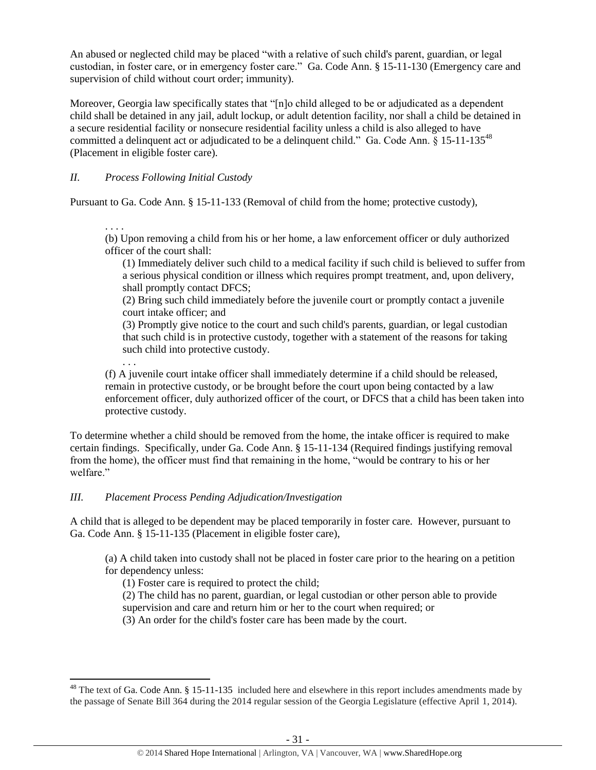An abused or neglected child may be placed "with a relative of such child's parent, guardian, or legal custodian, in foster care, or in emergency foster care." Ga. Code Ann. § 15-11-130 (Emergency care and supervision of child without court order; immunity).

Moreover, Georgia law specifically states that "[n]o child alleged to be or adjudicated as a dependent child shall be detained in any jail, adult lockup, or adult detention facility, nor shall a child be detained in a secure residential facility or nonsecure residential facility unless a child is also alleged to have committed a delinquent act or adjudicated to be a delinquent child." Ga. Code Ann.  $\S$  15-11-135<sup>48</sup> (Placement in eligible foster care).

*II. Process Following Initial Custody*

Pursuant to Ga. Code Ann. § 15-11-133 (Removal of child from the home; protective custody),

. . . .

. . .

 $\overline{\phantom{a}}$ 

(b) Upon removing a child from his or her home, a law enforcement officer or duly authorized officer of the court shall:

(1) Immediately deliver such child to a medical facility if such child is believed to suffer from a serious physical condition or illness which requires prompt treatment, and, upon delivery, shall promptly contact DFCS;

(2) Bring such child immediately before the juvenile court or promptly contact a juvenile court intake officer; and

(3) Promptly give notice to the court and such child's parents, guardian, or legal custodian that such child is in protective custody, together with a statement of the reasons for taking such child into protective custody.

(f) A juvenile court intake officer shall immediately determine if a child should be released, remain in protective custody, or be brought before the court upon being contacted by a law enforcement officer, duly authorized officer of the court, or DFCS that a child has been taken into protective custody.

To determine whether a child should be removed from the home, the intake officer is required to make certain findings. Specifically, under Ga. Code Ann. § 15-11-134 (Required findings justifying removal from the home), the officer must find that remaining in the home, "would be contrary to his or her welfare."

## *III. Placement Process Pending Adjudication/Investigation*

A child that is alleged to be dependent may be placed temporarily in foster care. However, pursuant to Ga. Code Ann. § 15-11-135 (Placement in eligible foster care),

(a) A child taken into custody shall not be placed in foster care prior to the hearing on a petition for dependency unless:

(1) Foster care is required to protect the child;

(2) The child has no parent, guardian, or legal custodian or other person able to provide

supervision and care and return him or her to the court when required; or

(3) An order for the child's foster care has been made by the court.

<sup>&</sup>lt;sup>48</sup> The text of Ga. Code Ann. § 15-11-135 included here and elsewhere in this report includes amendments made by the passage of Senate Bill 364 during the 2014 regular session of the Georgia Legislature (effective April 1, 2014).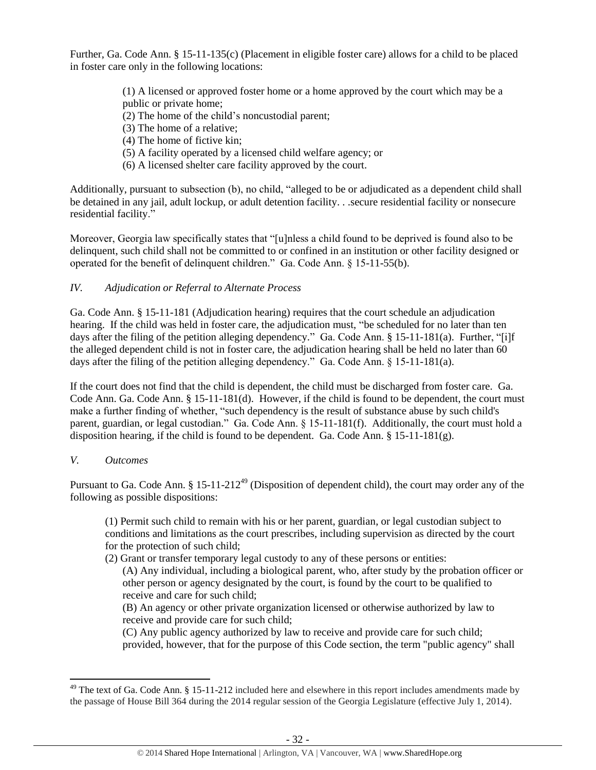Further, Ga. Code Ann. § 15-11-135(c) (Placement in eligible foster care) allows for a child to be placed in foster care only in the following locations:

> (1) A licensed or approved foster home or a home approved by the court which may be a public or private home;

- (2) The home of the child's noncustodial parent;
- (3) The home of a relative;
- (4) The home of fictive kin;
- (5) A facility operated by a licensed child welfare agency; or
- (6) A licensed shelter care facility approved by the court.

Additionally, pursuant to subsection (b), no child, "alleged to be or adjudicated as a dependent child shall be detained in any jail, adult lockup, or adult detention facility. . .secure residential facility or nonsecure residential facility."

Moreover, Georgia law specifically states that "[u]nless a child found to be deprived is found also to be delinquent, such child shall not be committed to or confined in an institution or other facility designed or operated for the benefit of delinquent children." Ga. Code Ann. § 15-11-55(b).

# *IV. Adjudication or Referral to Alternate Process*

Ga. Code Ann. § 15-11-181 (Adjudication hearing) requires that the court schedule an adjudication hearing. If the child was held in foster care, the adjudication must, "be scheduled for no later than ten days after the filing of the petition alleging dependency." Ga. Code Ann. § 15-11-181(a). Further, "[i]f the alleged dependent child is not in foster care, the adjudication hearing shall be held no later than 60 days after the filing of the petition alleging dependency." Ga. Code Ann. § 15-11-181(a).

If the court does not find that the child is dependent, the child must be discharged from foster care. Ga. Code Ann. Ga. Code Ann. § 15-11-181(d). However, if the child is found to be dependent, the court must make a further finding of whether, "such dependency is the result of substance abuse by such child's parent, guardian, or legal custodian." Ga. Code Ann. § 15-11-181(f). Additionally, the court must hold a disposition hearing, if the child is found to be dependent. Ga. Code Ann. § 15-11-181(g).

## *V. Outcomes*

 $\overline{\phantom{a}}$ 

Pursuant to Ga. Code Ann.  $\S 15{\text -}11{\text -}212^{49}$  (Disposition of dependent child), the court may order any of the following as possible dispositions:

(1) Permit such child to remain with his or her parent, guardian, or legal custodian subject to conditions and limitations as the court prescribes, including supervision as directed by the court for the protection of such child;

(2) Grant or transfer temporary legal custody to any of these persons or entities:

(A) Any individual, including a biological parent, who, after study by the probation officer or other person or agency designated by the court, is found by the court to be qualified to receive and care for such child;

(B) An agency or other private organization licensed or otherwise authorized by law to receive and provide care for such child;

(C) Any public agency authorized by law to receive and provide care for such child; provided, however, that for the purpose of this Code section, the term "public agency" shall

 $49$  The text of Ga. Code Ann. § 15-11-212 included here and elsewhere in this report includes amendments made by the passage of House Bill 364 during the 2014 regular session of the Georgia Legislature (effective July 1, 2014).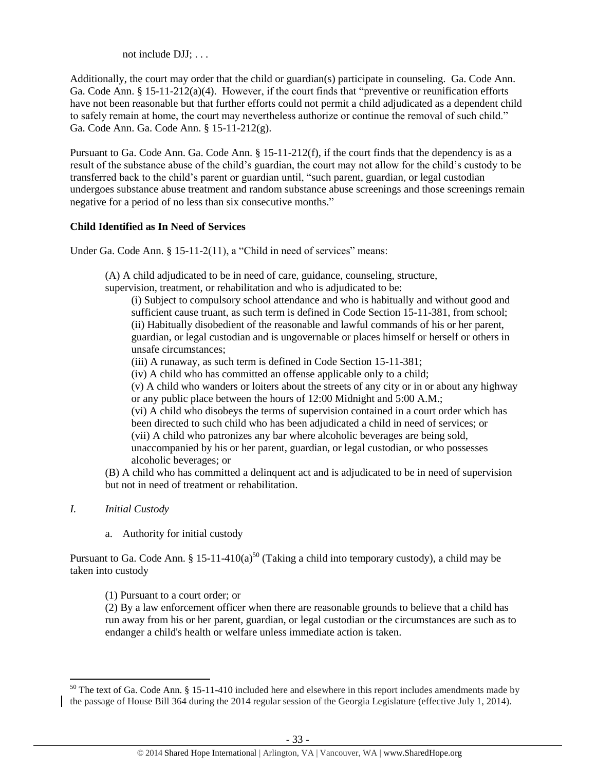not include DJJ; . . .

Additionally, the court may order that the child or guardian(s) participate in counseling. Ga. Code Ann. Ga. Code Ann. § 15-11-212(a)(4). However, if the court finds that "preventive or reunification efforts have not been reasonable but that further efforts could not permit a child adjudicated as a dependent child to safely remain at home, the court may nevertheless authorize or continue the removal of such child." Ga. Code Ann. Ga. Code Ann. § 15-11-212(g).

Pursuant to Ga. Code Ann. Ga. Code Ann. § 15-11-212(f), if the court finds that the dependency is as a result of the substance abuse of the child's guardian, the court may not allow for the child's custody to be transferred back to the child's parent or guardian until, "such parent, guardian, or legal custodian undergoes substance abuse treatment and random substance abuse screenings and those screenings remain negative for a period of no less than six consecutive months."

## **Child Identified as In Need of Services**

Under Ga. Code Ann. § 15-11-2(11), a "Child in need of services" means:

(A) A child adjudicated to be in need of care, guidance, counseling, structure,

supervision, treatment, or rehabilitation and who is adjudicated to be:

(i) Subject to compulsory school attendance and who is habitually and without good and sufficient cause truant, as such term is defined in Code Section 15-11-381, from school; (ii) Habitually disobedient of the reasonable and lawful commands of his or her parent, guardian, or legal custodian and is ungovernable or places himself or herself or others in unsafe circumstances;

(iii) A runaway, as such term is defined in Code Section 15-11-381;

(iv) A child who has committed an offense applicable only to a child;

(v) A child who wanders or loiters about the streets of any city or in or about any highway or any public place between the hours of 12:00 Midnight and 5:00 A.M.;

(vi) A child who disobeys the terms of supervision contained in a court order which has been directed to such child who has been adjudicated a child in need of services; or (vii) A child who patronizes any bar where alcoholic beverages are being sold, unaccompanied by his or her parent, guardian, or legal custodian, or who possesses alcoholic beverages; or

(B) A child who has committed a delinquent act and is adjudicated to be in need of supervision but not in need of treatment or rehabilitation.

*I. Initial Custody*

 $\overline{\phantom{a}}$ 

a. Authority for initial custody

Pursuant to Ga. Code Ann. § 15-11-410(a)<sup>50</sup> (Taking a child into temporary custody), a child may be taken into custody

(1) Pursuant to a court order; or

(2) By a law enforcement officer when there are reasonable grounds to believe that a child has run away from his or her parent, guardian, or legal custodian or the circumstances are such as to endanger a child's health or welfare unless immediate action is taken.

 $50$  The text of Ga. Code Ann. § 15-11-410 included here and elsewhere in this report includes amendments made by the passage of House Bill 364 during the 2014 regular session of the Georgia Legislature (effective July 1, 2014).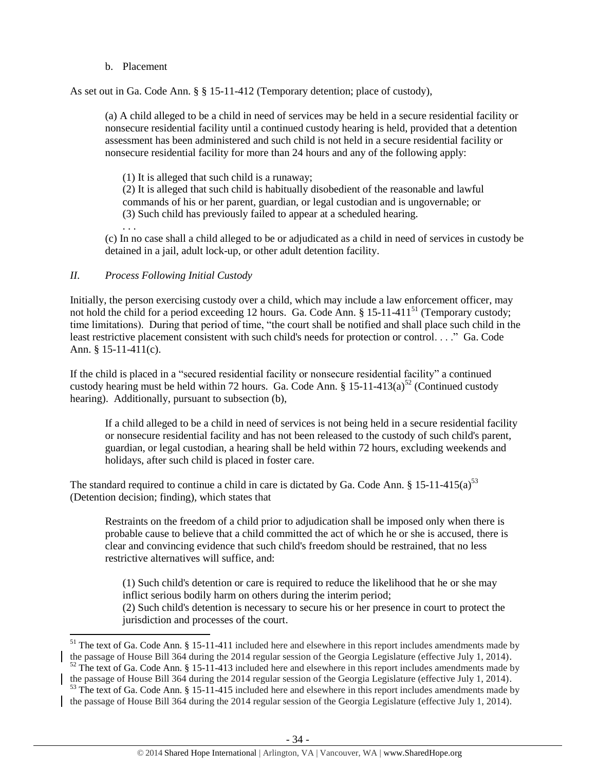## b. Placement

As set out in Ga. Code Ann. § § 15-11-412 (Temporary detention; place of custody),

(a) A child alleged to be a child in need of services may be held in a secure residential facility or nonsecure residential facility until a continued custody hearing is held, provided that a detention assessment has been administered and such child is not held in a secure residential facility or nonsecure residential facility for more than 24 hours and any of the following apply:

(1) It is alleged that such child is a runaway;

(2) It is alleged that such child is habitually disobedient of the reasonable and lawful commands of his or her parent, guardian, or legal custodian and is ungovernable; or (3) Such child has previously failed to appear at a scheduled hearing.

. . .

 $\overline{a}$ 

(c) In no case shall a child alleged to be or adjudicated as a child in need of services in custody be detained in a jail, adult lock-up, or other adult detention facility.

# *II. Process Following Initial Custody*

Initially, the person exercising custody over a child, which may include a law enforcement officer, may not hold the child for a period exceeding 12 hours. Ga. Code Ann. § 15-11-411<sup>51</sup> (Temporary custody; time limitations). During that period of time, "the court shall be notified and shall place such child in the least restrictive placement consistent with such child's needs for protection or control. . . ." Ga. Code Ann. § 15-11-411(c).

If the child is placed in a "secured residential facility or nonsecure residential facility" a continued custody hearing must be held within 72 hours. Ga. Code Ann.  $\S 15{\text -}11{\text -}413(a)^{52}$  (Continued custody hearing). Additionally, pursuant to subsection (b),

If a child alleged to be a child in need of services is not being held in a secure residential facility or nonsecure residential facility and has not been released to the custody of such child's parent, guardian, or legal custodian, a hearing shall be held within 72 hours, excluding weekends and holidays, after such child is placed in foster care.

The standard required to continue a child in care is dictated by Ga. Code Ann. § 15-11-415(a)<sup>53</sup> (Detention decision; finding), which states that

Restraints on the freedom of a child prior to adjudication shall be imposed only when there is probable cause to believe that a child committed the act of which he or she is accused, there is clear and convincing evidence that such child's freedom should be restrained, that no less restrictive alternatives will suffice, and:

(1) Such child's detention or care is required to reduce the likelihood that he or she may inflict serious bodily harm on others during the interim period; (2) Such child's detention is necessary to secure his or her presence in court to protect the jurisdiction and processes of the court.

 $51$  The text of Ga. Code Ann. § 15-11-411 included here and elsewhere in this report includes amendments made by the passage of House Bill 364 during the 2014 regular session of the Georgia Legislature (effective July 1, 2014).  $52$  The text of Ga. Code Ann. § 15-11-413 included here and elsewhere in this report includes amendments made by

the passage of House Bill 364 during the 2014 regular session of the Georgia Legislature (effective July 1, 2014).

 $53$  The text of Ga. Code Ann. § 15-11-415 included here and elsewhere in this report includes amendments made by the passage of House Bill 364 during the 2014 regular session of the Georgia Legislature (effective July 1, 2014).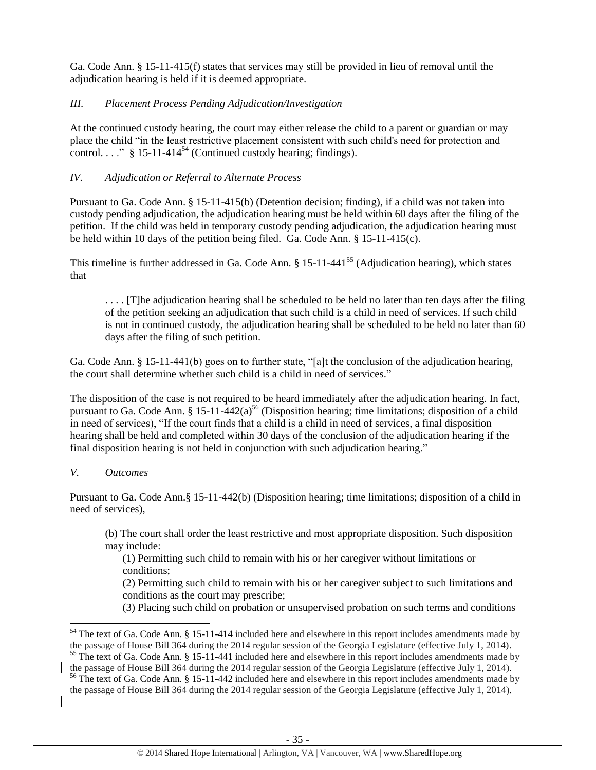Ga. Code Ann. § 15-11-415(f) states that services may still be provided in lieu of removal until the adjudication hearing is held if it is deemed appropriate.

## *III. Placement Process Pending Adjudication/Investigation*

At the continued custody hearing, the court may either release the child to a parent or guardian or may place the child "in the least restrictive placement consistent with such child's need for protection and control.  $\ldots$ " § 15-11-414<sup>54</sup> (Continued custody hearing; findings).

# *IV. Adjudication or Referral to Alternate Process*

Pursuant to Ga. Code Ann. § 15-11-415(b) (Detention decision; finding), if a child was not taken into custody pending adjudication, the adjudication hearing must be held within 60 days after the filing of the petition. If the child was held in temporary custody pending adjudication, the adjudication hearing must be held within 10 days of the petition being filed. Ga. Code Ann. § 15-11-415(c).

This timeline is further addressed in Ga. Code Ann. § 15-11-441<sup>55</sup> (Adjudication hearing), which states that

.... [T]he adjudication hearing shall be scheduled to be held no later than ten days after the filing of the petition seeking an adjudication that such child is a child in need of services. If such child is not in continued custody, the adjudication hearing shall be scheduled to be held no later than 60 days after the filing of such petition.

Ga. Code Ann. § 15-11-441(b) goes on to further state, "[a]t the conclusion of the adjudication hearing, the court shall determine whether such child is a child in need of services."

The disposition of the case is not required to be heard immediately after the adjudication hearing. In fact, pursuant to Ga. Code Ann. § 15-11-442(a)<sup>56</sup> (Disposition hearing; time limitations; disposition of a child in need of services), "If the court finds that a child is a child in need of services, a final disposition hearing shall be held and completed within 30 days of the conclusion of the adjudication hearing if the final disposition hearing is not held in conjunction with such adjudication hearing."

# *V. Outcomes*

 $\overline{\phantom{a}}$ 

Pursuant to Ga. Code Ann.§ 15-11-442(b) (Disposition hearing; time limitations; disposition of a child in need of services),

(b) The court shall order the least restrictive and most appropriate disposition. Such disposition may include:

(1) Permitting such child to remain with his or her caregiver without limitations or conditions;

(2) Permitting such child to remain with his or her caregiver subject to such limitations and conditions as the court may prescribe;

(3) Placing such child on probation or unsupervised probation on such terms and conditions

the passage of House Bill 364 during the 2014 regular session of the Georgia Legislature (effective July 1, 2014).

 $54$  The text of Ga. Code Ann. § 15-11-414 included here and elsewhere in this report includes amendments made by the passage of House Bill 364 during the 2014 regular session of the Georgia Legislature (effective July 1, 2014). <sup>55</sup> The text of Ga. Code Ann. § 15-11-441 included here and elsewhere in this report includes amendments made by

<sup>&</sup>lt;sup>56</sup> The text of Ga. Code Ann. § 15-11-442 included here and elsewhere in this report includes amendments made by the passage of House Bill 364 during the 2014 regular session of the Georgia Legislature (effective July 1, 2014).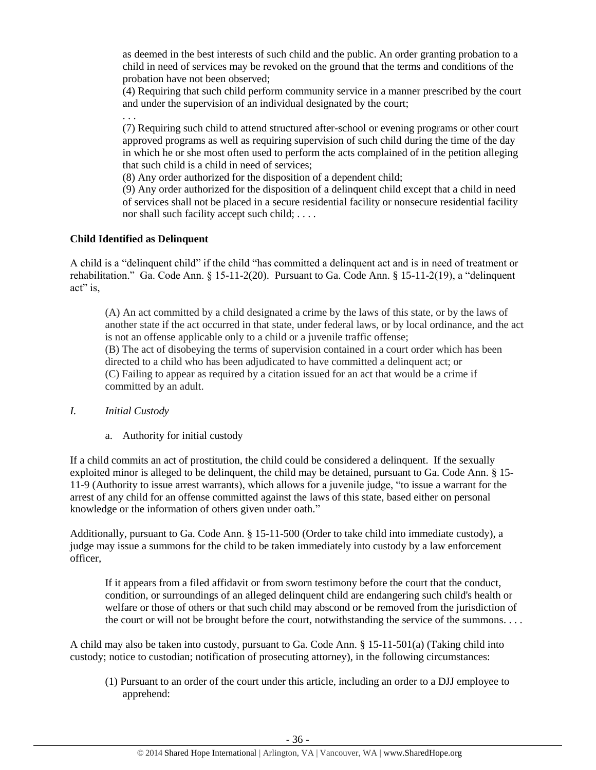as deemed in the best interests of such child and the public. An order granting probation to a child in need of services may be revoked on the ground that the terms and conditions of the probation have not been observed;

(4) Requiring that such child perform community service in a manner prescribed by the court and under the supervision of an individual designated by the court;

(7) Requiring such child to attend structured after-school or evening programs or other court approved programs as well as requiring supervision of such child during the time of the day in which he or she most often used to perform the acts complained of in the petition alleging that such child is a child in need of services;

(8) Any order authorized for the disposition of a dependent child;

(9) Any order authorized for the disposition of a delinquent child except that a child in need of services shall not be placed in a secure residential facility or nonsecure residential facility nor shall such facility accept such child; . . . .

# **Child Identified as Delinquent**

. . .

A child is a "delinquent child" if the child "has committed a delinquent act and is in need of treatment or rehabilitation." Ga. Code Ann. § 15-11-2(20). Pursuant to Ga. Code Ann. § 15-11-2(19), a "delinquent act" is,

(A) An act committed by a child designated a crime by the laws of this state, or by the laws of another state if the act occurred in that state, under federal laws, or by local ordinance, and the act is not an offense applicable only to a child or a juvenile traffic offense; (B) The act of disobeying the terms of supervision contained in a court order which has been directed to a child who has been adjudicated to have committed a delinquent act; or (C) Failing to appear as required by a citation issued for an act that would be a crime if committed by an adult.

## *I. Initial Custody*

a. Authority for initial custody

If a child commits an act of prostitution, the child could be considered a delinquent. If the sexually exploited minor is alleged to be delinquent, the child may be detained, pursuant to Ga. Code Ann. § 15- 11-9 (Authority to issue arrest warrants), which allows for a juvenile judge, "to issue a warrant for the arrest of any child for an offense committed against the laws of this state, based either on personal knowledge or the information of others given under oath."

Additionally, pursuant to Ga. Code Ann. § 15-11-500 (Order to take child into immediate custody), a judge may issue a summons for the child to be taken immediately into custody by a law enforcement officer,

If it appears from a filed affidavit or from sworn testimony before the court that the conduct, condition, or surroundings of an alleged delinquent child are endangering such child's health or welfare or those of others or that such child may abscond or be removed from the jurisdiction of the court or will not be brought before the court, notwithstanding the service of the summons. . . .

A child may also be taken into custody, pursuant to Ga. Code Ann. § 15-11-501(a) (Taking child into custody; notice to custodian; notification of prosecuting attorney), in the following circumstances:

(1) Pursuant to an order of the court under this article, including an order to a DJJ employee to apprehend: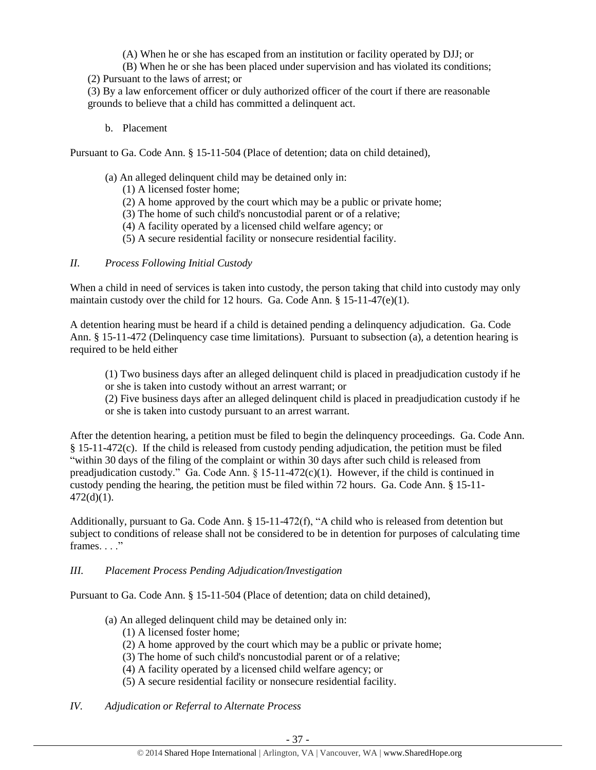(A) When he or she has escaped from an institution or facility operated by DJJ; or

- (B) When he or she has been placed under supervision and has violated its conditions;
- (2) Pursuant to the laws of arrest; or

(3) By a law enforcement officer or duly authorized officer of the court if there are reasonable grounds to believe that a child has committed a delinquent act.

b. Placement

Pursuant to Ga. Code Ann. § 15-11-504 (Place of detention; data on child detained),

- (a) An alleged delinquent child may be detained only in:
	- (1) A licensed foster home;
	- (2) A home approved by the court which may be a public or private home;
	- (3) The home of such child's noncustodial parent or of a relative;
	- (4) A facility operated by a licensed child welfare agency; or
	- (5) A secure residential facility or nonsecure residential facility.

# *II. Process Following Initial Custody*

When a child in need of services is taken into custody, the person taking that child into custody may only maintain custody over the child for 12 hours. Ga. Code Ann. § 15-11-47(e)(1).

A detention hearing must be heard if a child is detained pending a delinquency adjudication. Ga. Code Ann. § 15-11-472 (Delinquency case time limitations). Pursuant to subsection (a), a detention hearing is required to be held either

(1) Two business days after an alleged delinquent child is placed in preadjudication custody if he or she is taken into custody without an arrest warrant; or

(2) Five business days after an alleged delinquent child is placed in preadjudication custody if he or she is taken into custody pursuant to an arrest warrant.

After the detention hearing, a petition must be filed to begin the delinquency proceedings. Ga. Code Ann. § 15-11-472(c). If the child is released from custody pending adjudication, the petition must be filed "within 30 days of the filing of the complaint or within 30 days after such child is released from preadjudication custody." Ga. Code Ann. § 15-11-472(c)(1). However, if the child is continued in custody pending the hearing, the petition must be filed within 72 hours. Ga. Code Ann. § 15-11-  $472(d)(1)$ .

Additionally, pursuant to Ga. Code Ann. § 15-11-472(f), "A child who is released from detention but subject to conditions of release shall not be considered to be in detention for purposes of calculating time frames. . . ."

## *III. Placement Process Pending Adjudication/Investigation*

Pursuant to Ga. Code Ann. § 15-11-504 (Place of detention; data on child detained),

- (a) An alleged delinquent child may be detained only in:
	- (1) A licensed foster home;
	- (2) A home approved by the court which may be a public or private home;
	- (3) The home of such child's noncustodial parent or of a relative;
	- (4) A facility operated by a licensed child welfare agency; or
	- (5) A secure residential facility or nonsecure residential facility.
- *IV. Adjudication or Referral to Alternate Process*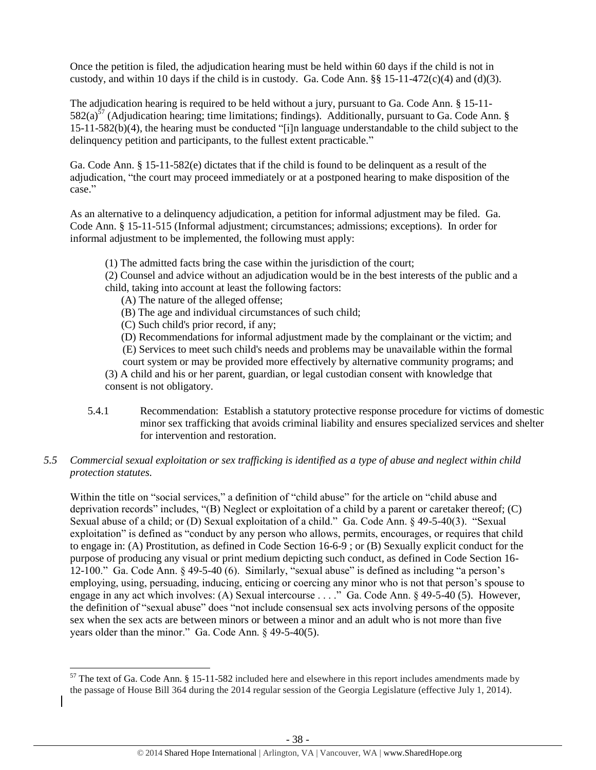Once the petition is filed, the adjudication hearing must be held within 60 days if the child is not in custody, and within 10 days if the child is in custody. Ga. Code Ann.  $\S$ § 15-11-472(c)(4) and (d)(3).

The adjudication hearing is required to be held without a jury, pursuant to Ga. Code Ann. § 15-11-  $582(a)^{57}$  (Adjudication hearing; time limitations; findings). Additionally, pursuant to Ga. Code Ann. § 15-11-582(b)(4), the hearing must be conducted "[i]n language understandable to the child subject to the delinquency petition and participants, to the fullest extent practicable."

Ga. Code Ann. § 15-11-582(e) dictates that if the child is found to be delinquent as a result of the adjudication, "the court may proceed immediately or at a postponed hearing to make disposition of the case."

As an alternative to a delinquency adjudication, a petition for informal adjustment may be filed. Ga. Code Ann. § 15-11-515 (Informal adjustment; circumstances; admissions; exceptions). In order for informal adjustment to be implemented, the following must apply:

(1) The admitted facts bring the case within the jurisdiction of the court;

(2) Counsel and advice without an adjudication would be in the best interests of the public and a child, taking into account at least the following factors:

(A) The nature of the alleged offense;

(B) The age and individual circumstances of such child;

(C) Such child's prior record, if any;

 (D) Recommendations for informal adjustment made by the complainant or the victim; and (E) Services to meet such child's needs and problems may be unavailable within the formal

court system or may be provided more effectively by alternative community programs; and (3) A child and his or her parent, guardian, or legal custodian consent with knowledge that

consent is not obligatory.

l

5.4.1 Recommendation: Establish a statutory protective response procedure for victims of domestic minor sex trafficking that avoids criminal liability and ensures specialized services and shelter for intervention and restoration.

# *5.5 Commercial sexual exploitation or sex trafficking is identified as a type of abuse and neglect within child protection statutes.*

Within the title on "social services," a definition of "child abuse" for the article on "child abuse and deprivation records" includes, "(B) Neglect or exploitation of a child by a parent or caretaker thereof; (C) Sexual abuse of a child; or (D) Sexual exploitation of a child." Ga. Code Ann. § 49-5-40(3). "Sexual exploitation" is defined as "conduct by any person who allows, permits, encourages, or requires that child to engage in: (A) Prostitution, as defined in Code Section 16-6-9 ; or (B) Sexually explicit conduct for the purpose of producing any visual or print medium depicting such conduct, as defined in Code Section 16- 12-100." Ga. Code Ann. § 49-5-40 (6). Similarly, "sexual abuse" is defined as including "a person's employing, using, persuading, inducing, enticing or coercing any minor who is not that person's spouse to engage in any act which involves: (A) Sexual intercourse . . . ." Ga. Code Ann. § 49-5-40 (5). However, the definition of "sexual abuse" does "not include consensual sex acts involving persons of the opposite sex when the sex acts are between minors or between a minor and an adult who is not more than five years older than the minor." Ga. Code Ann. § 49-5-40(5).

 $57$  The text of Ga. Code Ann. § 15-11-582 included here and elsewhere in this report includes amendments made by the passage of House Bill 364 during the 2014 regular session of the Georgia Legislature (effective July 1, 2014).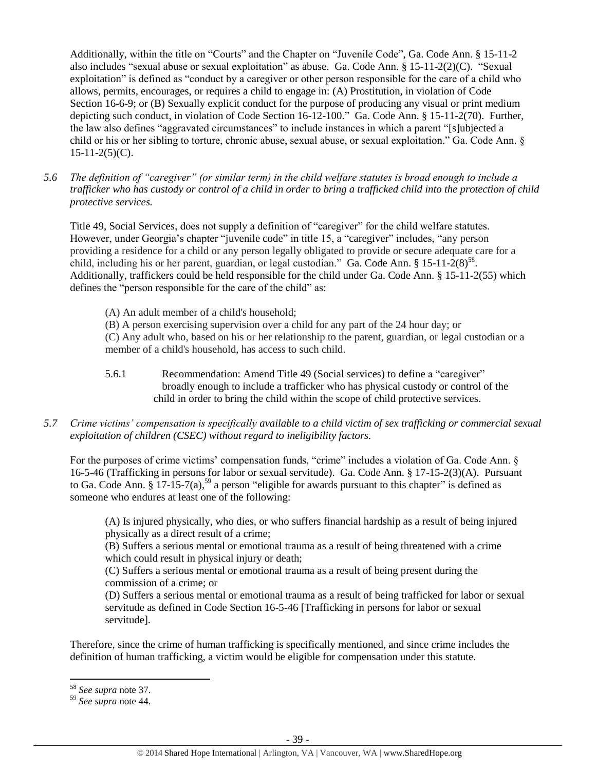Additionally, within the title on "Courts" and the Chapter on "Juvenile Code", Ga. Code Ann. § 15-11-2 also includes "sexual abuse or sexual exploitation" as abuse. Ga. Code Ann. § 15-11-2(2)(C). "Sexual exploitation" is defined as "conduct by a caregiver or other person responsible for the care of a child who allows, permits, encourages, or requires a child to engage in: (A) Prostitution, in violation of Code Section 16-6-9; or (B) Sexually explicit conduct for the purpose of producing any visual or print medium depicting such conduct, in violation of Code Section 16-12-100." Ga. Code Ann. § 15-11-2(70). Further, the law also defines "aggravated circumstances" to include instances in which a parent "[s]ubjected a child or his or her sibling to torture, chronic abuse, sexual abuse, or sexual exploitation." Ga. Code Ann. §  $15-11-2(5)(C)$ .

*5.6 The definition of "caregiver" (or similar term) in the child welfare statutes is broad enough to include a trafficker who has custody or control of a child in order to bring a trafficked child into the protection of child protective services.*

Title 49, Social Services, does not supply a definition of "caregiver" for the child welfare statutes. However, under Georgia's chapter "juvenile code" in title 15, a "caregiver" includes, "any person providing a residence for a child or any person legally obligated to provide or secure adequate care for a child, including his or her parent, guardian, or legal custodian." Ga. Code Ann. §  $15{\text -}11{\text -}2(8)^{58}$ . Additionally, traffickers could be held responsible for the child under Ga. Code Ann. § 15-11-2(55) which defines the "person responsible for the care of the child" as:

(A) An adult member of a child's household;

(B) A person exercising supervision over a child for any part of the 24 hour day; or (C) Any adult who, based on his or her relationship to the parent, guardian, or legal custodian or a member of a child's household, has access to such child.

- 5.6.1 Recommendation: Amend Title 49 (Social services) to define a "caregiver" broadly enough to include a trafficker who has physical custody or control of the child in order to bring the child within the scope of child protective services.
- *5.7 Crime victims' compensation is specifically available to a child victim of sex trafficking or commercial sexual exploitation of children (CSEC) without regard to ineligibility factors.*

For the purposes of crime victims' compensation funds, "crime" includes a violation of Ga. Code Ann. § 16-5-46 (Trafficking in persons for labor or sexual servitude). Ga. Code Ann. § 17-15-2(3)(A). Pursuant to Ga. Code Ann.  $\S 17$ -15-7(a),<sup>59</sup> a person "eligible for awards pursuant to this chapter" is defined as someone who endures at least one of the following:

(A) Is injured physically, who dies, or who suffers financial hardship as a result of being injured physically as a direct result of a crime;

(B) Suffers a serious mental or emotional trauma as a result of being threatened with a crime which could result in physical injury or death;

(C) Suffers a serious mental or emotional trauma as a result of being present during the commission of a crime; or

(D) Suffers a serious mental or emotional trauma as a result of being trafficked for labor or sexual servitude as defined in Code Section 16-5-46 [Trafficking in persons for labor or sexual servitude].

Therefore, since the crime of human trafficking is specifically mentioned, and since crime includes the definition of human trafficking, a victim would be eligible for compensation under this statute.

 $\overline{\phantom{a}}$ <sup>58</sup> *See supra* note [37.](#page-22-0)

<sup>59</sup> *See supra* note [44.](#page-28-0)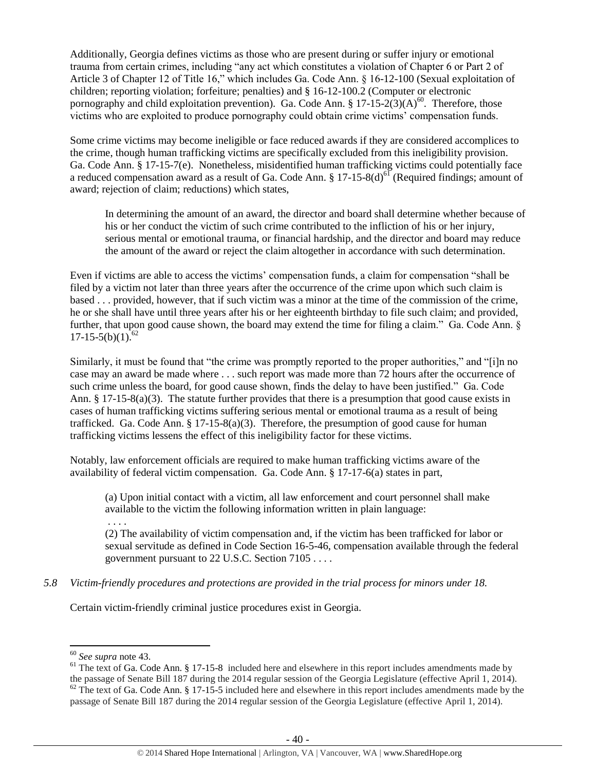Additionally, Georgia defines victims as those who are present during or suffer injury or emotional trauma from certain crimes, including "any act which constitutes a violation of Chapter 6 or Part 2 of Article 3 of Chapter 12 of Title 16," which includes Ga. Code Ann. § 16-12-100 (Sexual exploitation of children; reporting violation; forfeiture; penalties) and § 16-12-100.2 (Computer or electronic pornography and child exploitation prevention). Ga. Code Ann.  $\S 17{\text -}15{\text -}2(3)(A)^{60}$ . Therefore, those victims who are exploited to produce pornography could obtain crime victims' compensation funds.

Some crime victims may become ineligible or face reduced awards if they are considered accomplices to the crime, though human trafficking victims are specifically excluded from this ineligibility provision. Ga. Code Ann. § 17-15-7(e). Nonetheless, misidentified human trafficking victims could potentially face a reduced compensation award as a result of Ga. Code Ann. § 17-15-8(d)<sup>61</sup> (Required findings; amount of award; rejection of claim; reductions) which states,

In determining the amount of an award, the director and board shall determine whether because of his or her conduct the victim of such crime contributed to the infliction of his or her injury, serious mental or emotional trauma, or financial hardship, and the director and board may reduce the amount of the award or reject the claim altogether in accordance with such determination.

Even if victims are able to access the victims' compensation funds, a claim for compensation "shall be filed by a victim not later than three years after the occurrence of the crime upon which such claim is based . . . provided, however, that if such victim was a minor at the time of the commission of the crime, he or she shall have until three years after his or her eighteenth birthday to file such claim; and provided, further, that upon good cause shown, the board may extend the time for filing a claim." Ga. Code Ann.  $\delta$  $17-15-5(b)(1)^{62}$ 

Similarly, it must be found that "the crime was promptly reported to the proper authorities," and "[i]n no case may an award be made where . . . such report was made more than 72 hours after the occurrence of such crime unless the board, for good cause shown, finds the delay to have been justified." Ga. Code Ann. § 17-15-8(a)(3). The statute further provides that there is a presumption that good cause exists in cases of human trafficking victims suffering serious mental or emotional trauma as a result of being trafficked. Ga. Code Ann. § 17-15-8(a)(3). Therefore, the presumption of good cause for human trafficking victims lessens the effect of this ineligibility factor for these victims.

Notably, law enforcement officials are required to make human trafficking victims aware of the availability of federal victim compensation. Ga. Code Ann. § 17-17-6(a) states in part,

(a) Upon initial contact with a victim, all law enforcement and court personnel shall make available to the victim the following information written in plain language:

. . . .

(2) The availability of victim compensation and, if the victim has been trafficked for labor or sexual servitude as defined in Code Section 16-5-46, compensation available through the federal government pursuant to 22 U.S.C. Section 7105 . . . .

*5.8 Victim-friendly procedures and protections are provided in the trial process for minors under 18.*

Certain victim-friendly criminal justice procedures exist in Georgia.

 $\overline{\phantom{a}}$ 

<sup>60</sup> *See supra* note [43.](#page-28-1)

 $61$  The text of Ga. Code Ann.  $8\,17-15-8$  included here and elsewhere in this report includes amendments made by the passage of Senate Bill 187 during the 2014 regular session of the Georgia Legislature (effective April 1, 2014).  $62$  The text of Ga. Code Ann. § 17-15-5 included here and elsewhere in this report includes amendments made by the passage of Senate Bill 187 during the 2014 regular session of the Georgia Legislature (effective April 1, 2014).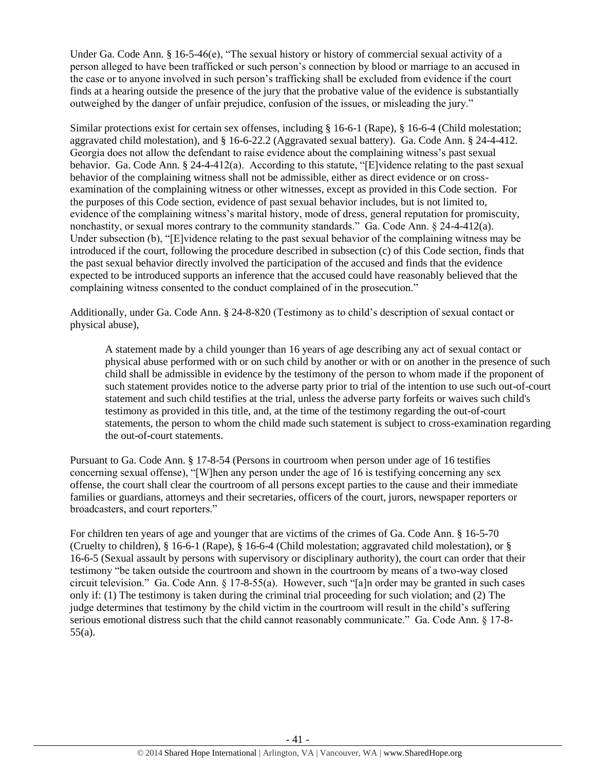Under Ga. Code Ann. § 16-5-46(e), "The sexual history or history of commercial sexual activity of a person alleged to have been trafficked or such person's connection by blood or marriage to an accused in the case or to anyone involved in such person's trafficking shall be excluded from evidence if the court finds at a hearing outside the presence of the jury that the probative value of the evidence is substantially outweighed by the danger of unfair prejudice, confusion of the issues, or misleading the jury."

Similar protections exist for certain sex offenses, including § 16-6-1 (Rape), § 16-6-4 (Child molestation; aggravated child molestation), and § 16-6-22.2 (Aggravated sexual battery). Ga. Code Ann. § 24-4-412. Georgia does not allow the defendant to raise evidence about the complaining witness's past sexual behavior. Ga. Code Ann. § 24-4-412(a). According to this statute, "[E]vidence relating to the past sexual behavior of the complaining witness shall not be admissible, either as direct evidence or on crossexamination of the complaining witness or other witnesses, except as provided in this Code section. For the purposes of this Code section, evidence of past sexual behavior includes, but is not limited to, evidence of the complaining witness's marital history, mode of dress, general reputation for promiscuity, nonchastity, or sexual mores contrary to the community standards." Ga. Code Ann. § 24-4-412(a). Under subsection (b), "[E]vidence relating to the past sexual behavior of the complaining witness may be introduced if the court, following the procedure described in subsection (c) of this Code section, finds that the past sexual behavior directly involved the participation of the accused and finds that the evidence expected to be introduced supports an inference that the accused could have reasonably believed that the complaining witness consented to the conduct complained of in the prosecution."

Additionally, under Ga. Code Ann. § 24-8-820 (Testimony as to child's description of sexual contact or physical abuse),

A statement made by a child younger than 16 years of age describing any act of sexual contact or physical abuse performed with or on such child by another or with or on another in the presence of such child shall be admissible in evidence by the testimony of the person to whom made if the proponent of such statement provides notice to the adverse party prior to trial of the intention to use such out-of-court statement and such child testifies at the trial, unless the adverse party forfeits or waives such child's testimony as provided in this title, and, at the time of the testimony regarding the out-of-court statements, the person to whom the child made such statement is subject to cross-examination regarding the out-of-court statements.

Pursuant to Ga. Code Ann. § 17-8-54 (Persons in courtroom when person under age of 16 testifies concerning sexual offense), "[W]hen any person under the age of 16 is testifying concerning any sex offense, the court shall clear the courtroom of all persons except parties to the cause and their immediate families or guardians, attorneys and their secretaries, officers of the court, jurors, newspaper reporters or broadcasters, and court reporters."

For children ten years of age and younger that are victims of the crimes of Ga. Code Ann. § 16-5-70 (Cruelty to children), § 16-6-1 (Rape), § 16-6-4 (Child molestation; aggravated child molestation), or § 16-6-5 (Sexual assault by persons with supervisory or disciplinary authority), the court can order that their testimony "be taken outside the courtroom and shown in the courtroom by means of a two-way closed circuit television." Ga. Code Ann. § 17-8-55(a). However, such "[a]n order may be granted in such cases only if: (1) The testimony is taken during the criminal trial proceeding for such violation; and (2) The judge determines that testimony by the child victim in the courtroom will result in the child's suffering serious emotional distress such that the child cannot reasonably communicate." Ga. Code Ann. § 17-8-55(a).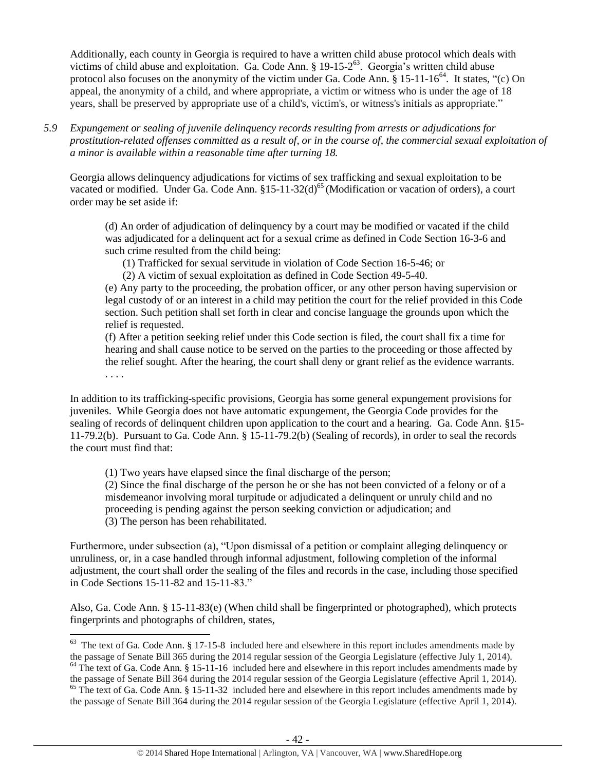Additionally, each county in Georgia is required to have a written child abuse protocol which deals with victims of child abuse and exploitation. Ga. Code Ann. § 19-15-2 $^{63}$ . Georgia's written child abuse protocol also focuses on the anonymity of the victim under Ga. Code Ann.  $\S 15{\text -}11{\text -}16^{64}$ . It states, "(c) On appeal, the anonymity of a child, and where appropriate, a victim or witness who is under the age of 18 years, shall be preserved by appropriate use of a child's, victim's, or witness's initials as appropriate."

*5.9 Expungement or sealing of juvenile delinquency records resulting from arrests or adjudications for prostitution-related offenses committed as a result of, or in the course of, the commercial sexual exploitation of a minor is available within a reasonable time after turning 18.*

Georgia allows delinquency adjudications for victims of sex trafficking and sexual exploitation to be vacated or modified. Under Ga. Code Ann. §15-11-32(d)<sup>65</sup> (Modification or vacation of orders), a court order may be set aside if:

(d) An order of adjudication of delinquency by a court may be modified or vacated if the child was adjudicated for a delinquent act for a sexual crime as defined in Code Section 16-3-6 and such crime resulted from the child being:

(1) Trafficked for sexual servitude in violation of Code Section 16-5-46; or

(2) A victim of sexual exploitation as defined in Code Section 49-5-40.

(e) Any party to the proceeding, the probation officer, or any other person having supervision or legal custody of or an interest in a child may petition the court for the relief provided in this Code section. Such petition shall set forth in clear and concise language the grounds upon which the relief is requested.

(f) After a petition seeking relief under this Code section is filed, the court shall fix a time for hearing and shall cause notice to be served on the parties to the proceeding or those affected by the relief sought. After the hearing, the court shall deny or grant relief as the evidence warrants. . . . .

In addition to its trafficking-specific provisions, Georgia has some general expungement provisions for juveniles. While Georgia does not have automatic expungement, the Georgia Code provides for the sealing of records of delinquent children upon application to the court and a hearing. Ga. Code Ann. §15- 11-79.2(b). Pursuant to Ga. Code Ann. § 15-11-79.2(b) (Sealing of records), in order to seal the records the court must find that:

(1) Two years have elapsed since the final discharge of the person;

(2) Since the final discharge of the person he or she has not been convicted of a felony or of a misdemeanor involving moral turpitude or adjudicated a delinquent or unruly child and no proceeding is pending against the person seeking conviction or adjudication; and (3) The person has been rehabilitated.

Furthermore, under subsection (a), "Upon dismissal of a petition or complaint alleging delinquency or unruliness, or, in a case handled through informal adjustment, following completion of the informal adjustment, the court shall order the sealing of the files and records in the case, including those specified in Code Sections 15-11-82 and 15-11-83."

Also, Ga. Code Ann. § 15-11-83(e) (When child shall be fingerprinted or photographed), which protects fingerprints and photographs of children, states,

<sup>&</sup>lt;sup>63</sup> The text of Ga. Code Ann. § 17-15-8 included here and elsewhere in this report includes amendments made by the passage of Senate Bill 365 during the 2014 regular session of the Georgia Legislature (effective July 1, 2014).

 $64$  The text of Ga. Code Ann. § 15-11-16 included here and elsewhere in this report includes amendments made by the passage of Senate Bill 364 during the 2014 regular session of the Georgia Legislature (effective April 1, 2014).

 $65$  The text of Ga. Code Ann. § 15-11-32 included here and elsewhere in this report includes amendments made by the passage of Senate Bill 364 during the 2014 regular session of the Georgia Legislature (effective April 1, 2014).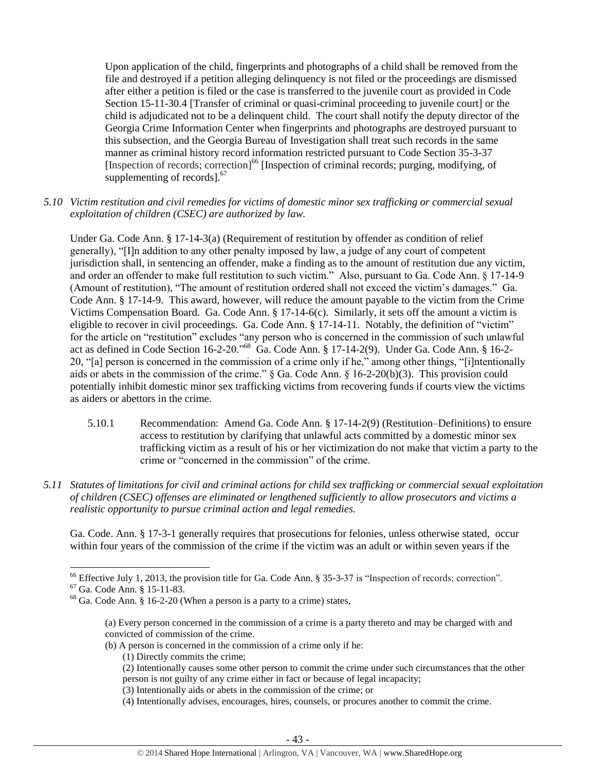Upon application of the child, fingerprints and photographs of a child shall be removed from the file and destroyed if a petition alleging delinquency is not filed or the proceedings are dismissed after either a petition is filed or the case is transferred to the juvenile court as provided in Code Section 15-11-30.4 [Transfer of criminal or quasi-criminal proceeding to juvenile court] or the child is adjudicated not to be a delinquent child. The court shall notify the deputy director of the Georgia Crime Information Center when fingerprints and photographs are destroyed pursuant to this subsection, and the Georgia Bureau of Investigation shall treat such records in the same manner as criminal history record information restricted pursuant to Code Section 35-3-37 [Inspection of records; correction]<sup>66</sup> [Inspection of criminal records; purging, modifying, of supplementing of records]. $67$ 

*5.10 Victim restitution and civil remedies for victims of domestic minor sex trafficking or commercial sexual exploitation of children (CSEC) are authorized by law.* 

Under Ga. Code Ann. § 17-14-3(a) (Requirement of restitution by offender as condition of relief generally), "[I]n addition to any other penalty imposed by law, a judge of any court of competent jurisdiction shall, in sentencing an offender, make a finding as to the amount of restitution due any victim, and order an offender to make full restitution to such victim." Also, pursuant to Ga. Code Ann. § 17-14-9 (Amount of restitution), "The amount of restitution ordered shall not exceed the victim's damages." Ga. Code Ann. § 17-14-9. This award, however, will reduce the amount payable to the victim from the Crime Victims Compensation Board. Ga. Code Ann. § 17-14-6(c). Similarly, it sets off the amount a victim is eligible to recover in civil proceedings. Ga. Code Ann. § 17-14-11. Notably, the definition of "victim" for the article on "restitution" excludes "any person who is concerned in the commission of such unlawful act as defined in Code Section 16-2-20."<sup>68</sup> Ga. Code Ann. § 17-14-2(9). Under Ga. Code Ann. § 16-2- 20, "[a] person is concerned in the commission of a crime only if he," among other things, "[i]ntentionally aids or abets in the commission of the crime." § Ga. Code Ann. § 16-2-20(b)(3). This provision could potentially inhibit domestic minor sex trafficking victims from recovering funds if courts view the victims as aiders or abettors in the crime.

- 5.10.1 Recommendation: Amend Ga. Code Ann. § 17-14-2(9) (Restitution–Definitions) to ensure access to restitution by clarifying that unlawful acts committed by a domestic minor sex trafficking victim as a result of his or her victimization do not make that victim a party to the crime or "concerned in the commission" of the crime.
- *5.11 Statutes of limitations for civil and criminal actions for child sex trafficking or commercial sexual exploitation of children (CSEC) offenses are eliminated or lengthened sufficiently to allow prosecutors and victims a realistic opportunity to pursue criminal action and legal remedies.*

Ga. Code. Ann. § 17-3-1 generally requires that prosecutions for felonies, unless otherwise stated, occur within four years of the commission of the crime if the victim was an adult or within seven years if the

 $\overline{a}$ 

- (b) A person is concerned in the commission of a crime only if he:
	- (1) Directly commits the crime;
	- (2) Intentionally causes some other person to commit the crime under such circumstances that the other person is not guilty of any crime either in fact or because of legal incapacity;
	- (3) Intentionally aids or abets in the commission of the crime; or

<sup>&</sup>lt;sup>66</sup> Effective July 1, 2013, the provision title for Ga. Code Ann. § 35-3-37 is "Inspection of records; correction".

<sup>67</sup> Ga. Code Ann. § 15-11-83.

 $68$  Ga. Code Ann.  $\frac{8}{9}$  16-2-20 (When a person is a party to a crime) states,

<sup>(</sup>a) Every person concerned in the commission of a crime is a party thereto and may be charged with and convicted of commission of the crime.

<sup>(4)</sup> Intentionally advises, encourages, hires, counsels, or procures another to commit the crime.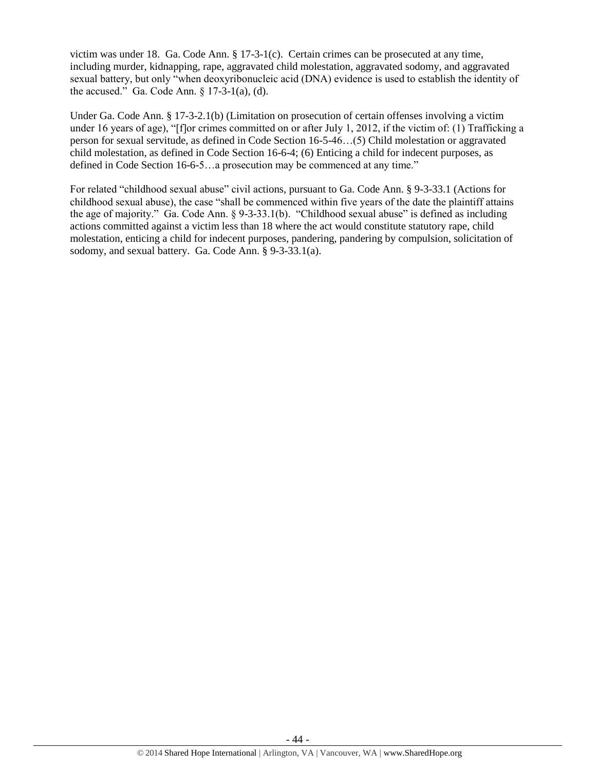victim was under 18. Ga. Code Ann. § 17-3-1(c). Certain crimes can be prosecuted at any time, including murder, kidnapping, rape, aggravated child molestation, aggravated sodomy, and aggravated sexual battery, but only "when deoxyribonucleic acid (DNA) evidence is used to establish the identity of the accused." Ga. Code Ann. § 17-3-1(a), (d).

Under Ga. Code Ann. § 17-3-2.1(b) (Limitation on prosecution of certain offenses involving a victim under 16 years of age), "[f]or crimes committed on or after July 1, 2012, if the victim of: (1) Trafficking a person for sexual servitude, as defined in Code Section 16-5-46…(5) Child molestation or aggravated child molestation, as defined in Code Section 16-6-4; (6) Enticing a child for indecent purposes, as defined in Code Section 16-6-5…a prosecution may be commenced at any time."

For related "childhood sexual abuse" civil actions, pursuant to Ga. Code Ann. § 9-3-33.1 (Actions for childhood sexual abuse), the case "shall be commenced within five years of the date the plaintiff attains the age of majority." Ga. Code Ann. § 9-3-33.1(b). "Childhood sexual abuse" is defined as including actions committed against a victim less than 18 where the act would constitute statutory rape, child molestation, enticing a child for indecent purposes, pandering, pandering by compulsion, solicitation of sodomy, and sexual battery. Ga. Code Ann. § 9-3-33.1(a).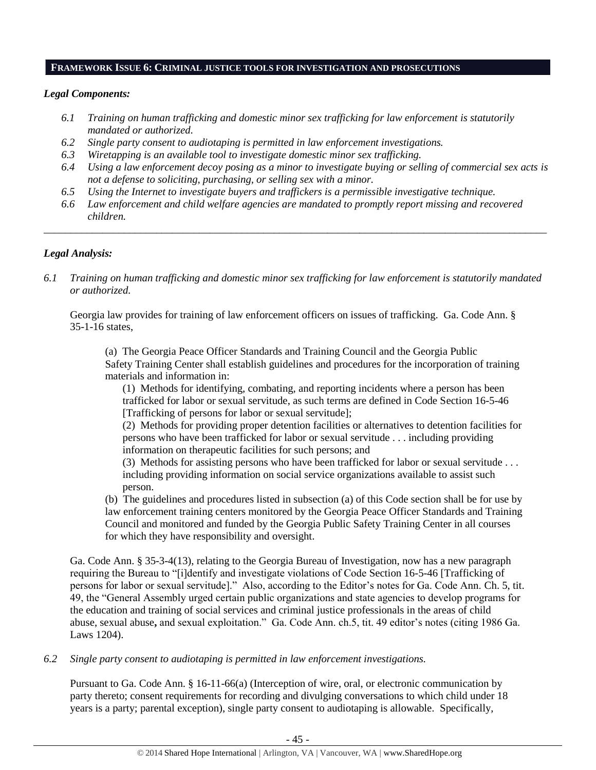#### **FRAMEWORK ISSUE 6: CRIMINAL JUSTICE TOOLS FOR INVESTIGATION AND PROSECUTIONS**

# *Legal Components:*

- *6.1 Training on human trafficking and domestic minor sex trafficking for law enforcement is statutorily mandated or authorized.*
- *6.2 Single party consent to audiotaping is permitted in law enforcement investigations.*
- *6.3 Wiretapping is an available tool to investigate domestic minor sex trafficking.*
- *6.4 Using a law enforcement decoy posing as a minor to investigate buying or selling of commercial sex acts is not a defense to soliciting, purchasing, or selling sex with a minor.*
- *6.5 Using the Internet to investigate buyers and traffickers is a permissible investigative technique.*
- *6.6 Law enforcement and child welfare agencies are mandated to promptly report missing and recovered children.*

*\_\_\_\_\_\_\_\_\_\_\_\_\_\_\_\_\_\_\_\_\_\_\_\_\_\_\_\_\_\_\_\_\_\_\_\_\_\_\_\_\_\_\_\_\_\_\_\_\_\_\_\_\_\_\_\_\_\_\_\_\_\_\_\_\_\_\_\_\_\_\_\_\_\_\_\_\_\_\_\_\_\_\_\_\_\_\_\_\_\_\_\_\_\_*

# *Legal Analysis:*

*6.1 Training on human trafficking and domestic minor sex trafficking for law enforcement is statutorily mandated or authorized.*

Georgia law provides for training of law enforcement officers on issues of trafficking. Ga. Code Ann. § 35-1-16 states,

(a) The Georgia Peace Officer Standards and Training Council and the Georgia Public Safety Training Center shall establish guidelines and procedures for the incorporation of training materials and information in:

(1) Methods for identifying, combating, and reporting incidents where a person has been trafficked for labor or sexual servitude, as such terms are defined in Code Section 16-5-46 [Trafficking of persons for labor or sexual servitude];

(2) Methods for providing proper detention facilities or alternatives to detention facilities for persons who have been trafficked for labor or sexual servitude . . . including providing information on therapeutic facilities for such persons; and

(3) Methods for assisting persons who have been trafficked for labor or sexual servitude . . . including providing information on social service organizations available to assist such person.

(b) The guidelines and procedures listed in subsection (a) of this Code section shall be for use by law enforcement training centers monitored by the Georgia Peace Officer Standards and Training Council and monitored and funded by the Georgia Public Safety Training Center in all courses for which they have responsibility and oversight.

Ga. Code Ann. § 35-3-4(13), relating to the Georgia Bureau of Investigation, now has a new paragraph requiring the Bureau to "[i]dentify and investigate violations of Code Section 16-5-46 [Trafficking of persons for labor or sexual servitude]." Also, according to the Editor's notes for Ga. Code Ann. Ch. 5, tit. 49, the "General Assembly urged certain public organizations and state agencies to develop programs for the education and training of social services and criminal justice professionals in the areas of child abuse, sexual abuse**,** and sexual exploitation." Ga. Code Ann. ch.5, tit. 49 editor's notes (citing 1986 Ga. Laws 1204).

## *6.2 Single party consent to audiotaping is permitted in law enforcement investigations.*

Pursuant to Ga. Code Ann. § 16-11-66(a) (Interception of wire, oral, or electronic communication by party thereto; consent requirements for recording and divulging conversations to which child under 18 years is a party; parental exception), single party consent to audiotaping is allowable. Specifically,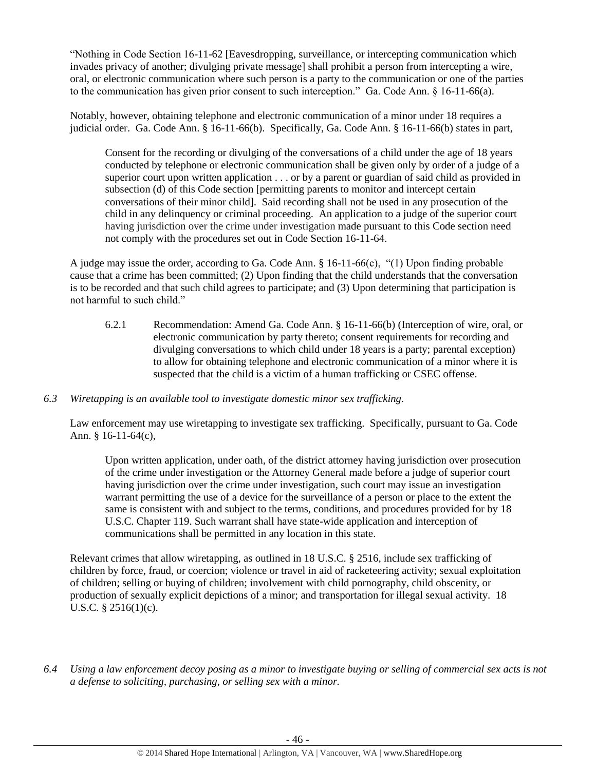"Nothing in Code Section 16-11-62 [Eavesdropping, surveillance, or intercepting communication which invades privacy of another; divulging private message] shall prohibit a person from intercepting a wire, oral, or electronic communication where such person is a party to the communication or one of the parties to the communication has given prior consent to such interception." Ga. Code Ann. § 16-11-66(a).

Notably, however, obtaining telephone and electronic communication of a minor under 18 requires a judicial order. Ga. Code Ann. § 16-11-66(b). Specifically, Ga. Code Ann. § 16-11-66(b) states in part,

Consent for the recording or divulging of the conversations of a child under the age of 18 years conducted by telephone or electronic communication shall be given only by order of a judge of a superior court upon written application . . . or by a parent or guardian of said child as provided in subsection (d) of this Code section [permitting parents to monitor and intercept certain conversations of their minor child]. Said recording shall not be used in any prosecution of the child in any delinquency or criminal proceeding. An application to a judge of the superior court having jurisdiction over the crime under investigation made pursuant to this Code section need not comply with the procedures set out in Code Section 16-11-64.

A judge may issue the order, according to Ga. Code Ann. § 16-11-66(c), "(1) Upon finding probable cause that a crime has been committed; (2) Upon finding that the child understands that the conversation is to be recorded and that such child agrees to participate; and (3) Upon determining that participation is not harmful to such child."

6.2.1 Recommendation: Amend Ga. Code Ann. § 16-11-66(b) (Interception of wire, oral, or electronic communication by party thereto; consent requirements for recording and divulging conversations to which child under 18 years is a party; parental exception) to allow for obtaining telephone and electronic communication of a minor where it is suspected that the child is a victim of a human trafficking or CSEC offense.

## *6.3 Wiretapping is an available tool to investigate domestic minor sex trafficking.*

Law enforcement may use wiretapping to investigate sex trafficking. Specifically, pursuant to Ga. Code Ann. § 16-11-64(c),

Upon written application, under oath, of the district attorney having jurisdiction over prosecution of the crime under investigation or the Attorney General made before a judge of superior court having jurisdiction over the crime under investigation, such court may issue an investigation warrant permitting the use of a device for the surveillance of a person or place to the extent the same is consistent with and subject to the terms, conditions, and procedures provided for by 18 U.S.C. Chapter 119. Such warrant shall have state-wide application and interception of communications shall be permitted in any location in this state.

Relevant crimes that allow wiretapping, as outlined in 18 U.S.C. § 2516, include sex trafficking of children by force, fraud, or coercion; violence or travel in aid of racketeering activity; sexual exploitation of children; selling or buying of children; involvement with child pornography, child obscenity, or production of sexually explicit depictions of a minor; and transportation for illegal sexual activity. 18 U.S.C. § 2516(1)(c).

*6.4 Using a law enforcement decoy posing as a minor to investigate buying or selling of commercial sex acts is not a defense to soliciting, purchasing, or selling sex with a minor.*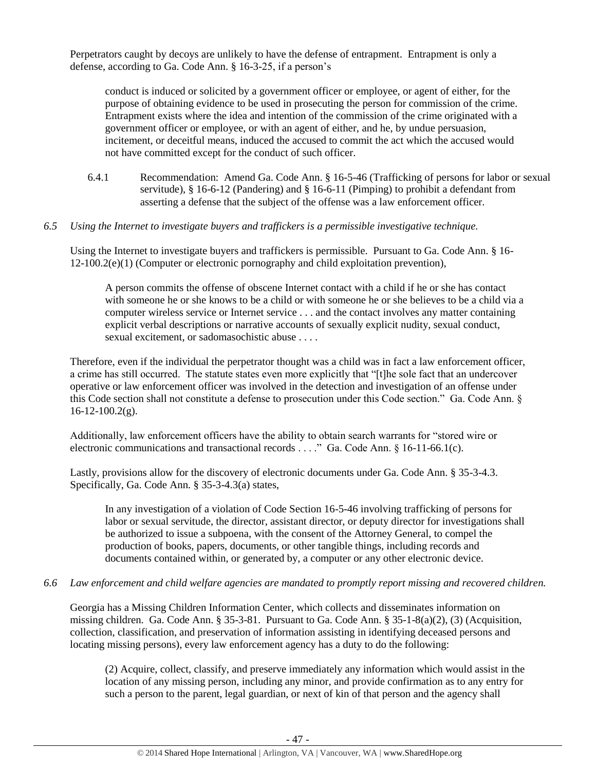Perpetrators caught by decoys are unlikely to have the defense of entrapment. Entrapment is only a defense, according to Ga. Code Ann. § 16-3-25, if a person's

conduct is induced or solicited by a government officer or employee, or agent of either, for the purpose of obtaining evidence to be used in prosecuting the person for commission of the crime. Entrapment exists where the idea and intention of the commission of the crime originated with a government officer or employee, or with an agent of either, and he, by undue persuasion, incitement, or deceitful means, induced the accused to commit the act which the accused would not have committed except for the conduct of such officer.

6.4.1 Recommendation: Amend Ga. Code Ann. § 16-5-46 (Trafficking of persons for labor or sexual servitude), § 16-6-12 (Pandering) and § 16-6-11 (Pimping) to prohibit a defendant from asserting a defense that the subject of the offense was a law enforcement officer.

#### *6.5 Using the Internet to investigate buyers and traffickers is a permissible investigative technique.*

Using the Internet to investigate buyers and traffickers is permissible. Pursuant to Ga. Code Ann. § 16- 12-100.2(e)(1) (Computer or electronic pornography and child exploitation prevention),

A person commits the offense of obscene Internet contact with a child if he or she has contact with someone he or she knows to be a child or with someone he or she believes to be a child via a computer wireless service or Internet service . . . and the contact involves any matter containing explicit verbal descriptions or narrative accounts of sexually explicit nudity, sexual conduct, sexual excitement, or sadomasochistic abuse . . . .

Therefore, even if the individual the perpetrator thought was a child was in fact a law enforcement officer, a crime has still occurred. The statute states even more explicitly that "[t]he sole fact that an undercover operative or law enforcement officer was involved in the detection and investigation of an offense under this Code section shall not constitute a defense to prosecution under this Code section." Ga. Code Ann. § 16-12-100.2(g).

Additionally, law enforcement officers have the ability to obtain search warrants for "stored wire or electronic communications and transactional records . . . ." Ga. Code Ann. § 16-11-66.1(c).

Lastly, provisions allow for the discovery of electronic documents under Ga. Code Ann. § 35-3-4.3. Specifically, Ga. Code Ann. § 35-3-4.3(a) states,

In any investigation of a violation of Code Section 16-5-46 involving trafficking of persons for labor or sexual servitude, the director, assistant director, or deputy director for investigations shall be authorized to issue a subpoena, with the consent of the Attorney General, to compel the production of books, papers, documents, or other tangible things, including records and documents contained within, or generated by, a computer or any other electronic device.

#### *6.6 Law enforcement and child welfare agencies are mandated to promptly report missing and recovered children.*

Georgia has a Missing Children Information Center, which collects and disseminates information on missing children. Ga. Code Ann. § 35-3-81. Pursuant to Ga. Code Ann. § 35-1-8(a)(2), (3) (Acquisition, collection, classification, and preservation of information assisting in identifying deceased persons and locating missing persons), every law enforcement agency has a duty to do the following:

(2) Acquire, collect, classify, and preserve immediately any information which would assist in the location of any missing person, including any minor, and provide confirmation as to any entry for such a person to the parent, legal guardian, or next of kin of that person and the agency shall